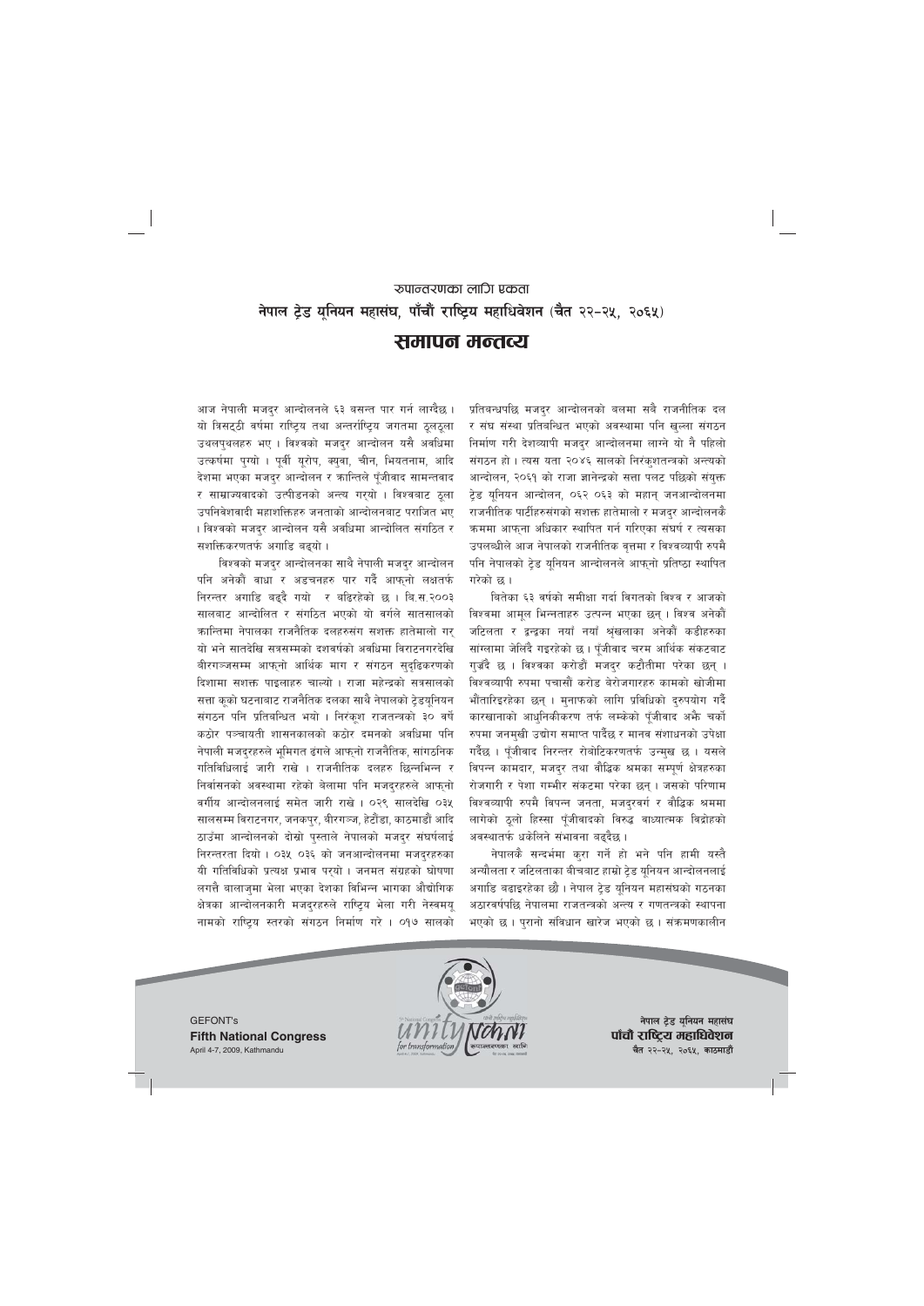# रुपान्तरणका लागि एकता नेपाल ट्रेड यूनियन महासंघ, पाँचौं राष्ट्रिय महाधिवेशन (चैत २२-२५, २०६५)

# समापन मन्तव्य

आज नेपाली मजदुर आन्दोलनले ६३ बसन्त पार गर्न लाग्दैछ । यो त्रिसट्ठी वर्षमा राष्ट्रिय तथा अन्तर्राष्ट्रिय जगतमा ठूलठूला उथलप्थलहरु भए । विश्वको मजद्र आन्दोलन यसै अवधिमा उत्कर्षमा पुग्यो । पूर्वी यूरोप, क्युवा, चीन, भियतनाम, आदि देशमा भएका मजदुर आन्दोलन र कान्तिले पूँजीवाद सामन्तवाद र साम्राज्यवादको उत्पीडनको अन्त्य गरयो । विश्वबाट ठुला उपनिवेशवादी महाशक्तिहरु जनताको आन्दोलनबाट पराजित भए । विश्वको मजदुर आन्दोलन यसै अवधिमा आन्दोलित संगठित र सशक्तिकरणतर्फ अगाडि बढयो ।

विश्वको मजदुर आन्दोलनका साथै नेपाली मजदुर आन्दोलन पनि अनेकौं वाधा र अडचनहरु पार गर्दै आफ्**नो लक्षत**र्फ निरन्तर अगाडि बढ्दै गयो र बढिरहेको छ । बि.स.२००३ सालबाट आन्दोलित र संगठित भएको यो वर्गले सातसालको कान्तिमा नेपालका राजनैतिक दलहरुसंग सशक्त हातेमालो गर् यो भने सातदेखि सत्रसम्मको दशवर्षको अवधिमा विराटनगरदेखि बीरगञ्जसम्म आफुनो आर्थिक माग र संगठन सुदुढिकरणको दिशामा सशक्त पाइलाहरु चाल्यो । राजा महेन्द्रको सत्रसालको सत्ता कूको घटनाबाट राजनैतिक दलका साथै नेपालको ट्रेडयूनियन संगठन पनि प्रतिबन्धित भयो । निरंकूश राजतन्त्रको ३० वर्षे कठोर पञ्चायती शासनकालको कठोर दमनको अवधिमा पनि नेपाली मजदुरहरुले भूमिगत ढंगले आफ्नो राजनैतिक, सांगठनिक गतिविधिलाई जारी राखे । राजनीतिक दलहरु छिन्नभिन्न र निर्वासनको अवस्थामा रहेको बेलामा पनि मजदुरहरुले आफ्नो वर्गीय आन्दोलनलाई समेत जारी राखे। ०२९ सालदेखि ०३५ सालसम्म विराटनगर, जनकपुर, बीरगञ्ज, हेटौंडा, काठमाडौं आदि ठाउँमा आन्दोलनको दोस्रो पुस्ताले नेपालको मजदुर संघर्षलाई निरन्तरता दियो। ०३५ ०३६ को जनआन्दोलनमा मजदरहरुका यी गतिविधिको प्रत्यक्ष प्रभाव पर्यो । जनमत संग्रहको घोषणा लगत्तै बालाज्मा भेला भएका देशका विभिन्न भागका औद्योगिक क्षेत्रका आन्दोलनकारी मजद्रहरुले राष्ट्रिय भेला गरी नेस्वमयू नामको राष्ट्रिय स्तरको संगठन निर्माण गरे । ०१७ सालको

प्रतिबन्धपछि मजदुर आन्दोलनको बलमा सबै राजनीतिक दल र संघ संस्था प्रतिबन्धित भएको अवस्थामा पनि खुल्ला संगठन निर्माण गरी देशव्यापी मजद्र आन्दोलनमा लाग्ने यो नै पहिलो संगठन हो। त्यस यता २०४६ सालको निरंकशतन्त्रको अन्त्यको आन्दोलन, २०६१ को राजा ज्ञानेन्द्रको सत्ता पलट पछिको संयुक्त ट्रेड यूनियन आन्दोलन, ०६२ ०६३ को महान् जनआन्दोलनमा राजनीतिक पार्टीहरुसंगको सशक्त हातेमालो र मजदर आन्दोलनकै क्रममा आफ्ना अधिकार स्थापित गर्न गरिएका संघर्ष र त्यसका उपलब्धीले आज नेपालको राजनीतिक वृत्तमा र विश्वव्यापी रुपमै पनि नेपालको ट्रेड यूनियन आन्दोलनले आफ्नो प्रतिष्ठा स्थापित गरेको छ ।

बितेका ६३ वर्षको समीक्षा गर्दा विगतको विश्व र आजको विश्वमा आमूल भिन्नताहरु उत्पन्न भएका छन् । विश्व अनेकौं जटिलता र द्वन्द्वका नयाँ नयाँ श्रृंखलाका अनेकौं कडीहरुका सांग्लामा जेलिंदै गइरहेको छ । पूँजीवाद चरम आर्थिक संकटबाट गुज़ँदै छ । विश्वका करोडौं मजदर कटौतीमा परेका छन् । विश्वव्यापी रुपमा पचासौं करोड बेरोजगारहरु कामको खोजीमा भौंतारिइरहेका छन् । मुनाफको लागि प्रविधिको दुरुपयोग गर्दै कारखानाको आधुनिकीकरण तर्फ लम्केको पूँजीवाद अभै चर्को रुपमा जनमुखी उद्योग समाप्त पार्दैछ र मानव संशाधनको उपेक्षा गर्दैछ । पूँजीवाद निरन्तर रोबोटिकरणतर्फ उन्मुख छ । यसले विपन्न कामदार, मजदुर तथा वौद्धिक श्रमका सम्पूर्ण क्षेत्रहरुका रोजगारी र पेशा गम्भीर संकटमा परेका छन् । जसको परिणाम विश्वव्यापी रुपमै विपन्न जनता, मजद्रवर्ग र वौद्धिक श्रममा लागेको ठूलो हिस्सा पूँजीवादको विरुद्ध वाध्यात्मक विद्रोहको अवस्थातर्फ धकेलिने संभावना बढ्दैछ।

नेपालकै सन्दर्भमा कुरा गर्ने हो भने पनि हामी यस्तै अन्यौलता र जटिलताका बीचबाट हाम्रो टेड यूनियन आन्दोलनलाई अगाडि बढाइरहेका छौ । नेपाल ट्रेड यूनियन महासंघको गठनका अठारवर्षपछि नेपालमा राजतन्त्रको अन्त्य र गणतन्त्रको स्थापना भएको छ । पुरानो संविधान खारेज भएको छ । संक्रमणकालीन



नेपाल ट्रेड यूनियन महासंघ पाँचौ राष्ट्रिय महाधिवेशन चैत २२-२५, २०६५, काठमाडौं

**GEFONT's Fifth National Congress** April 4-7, 2009, Kathmandu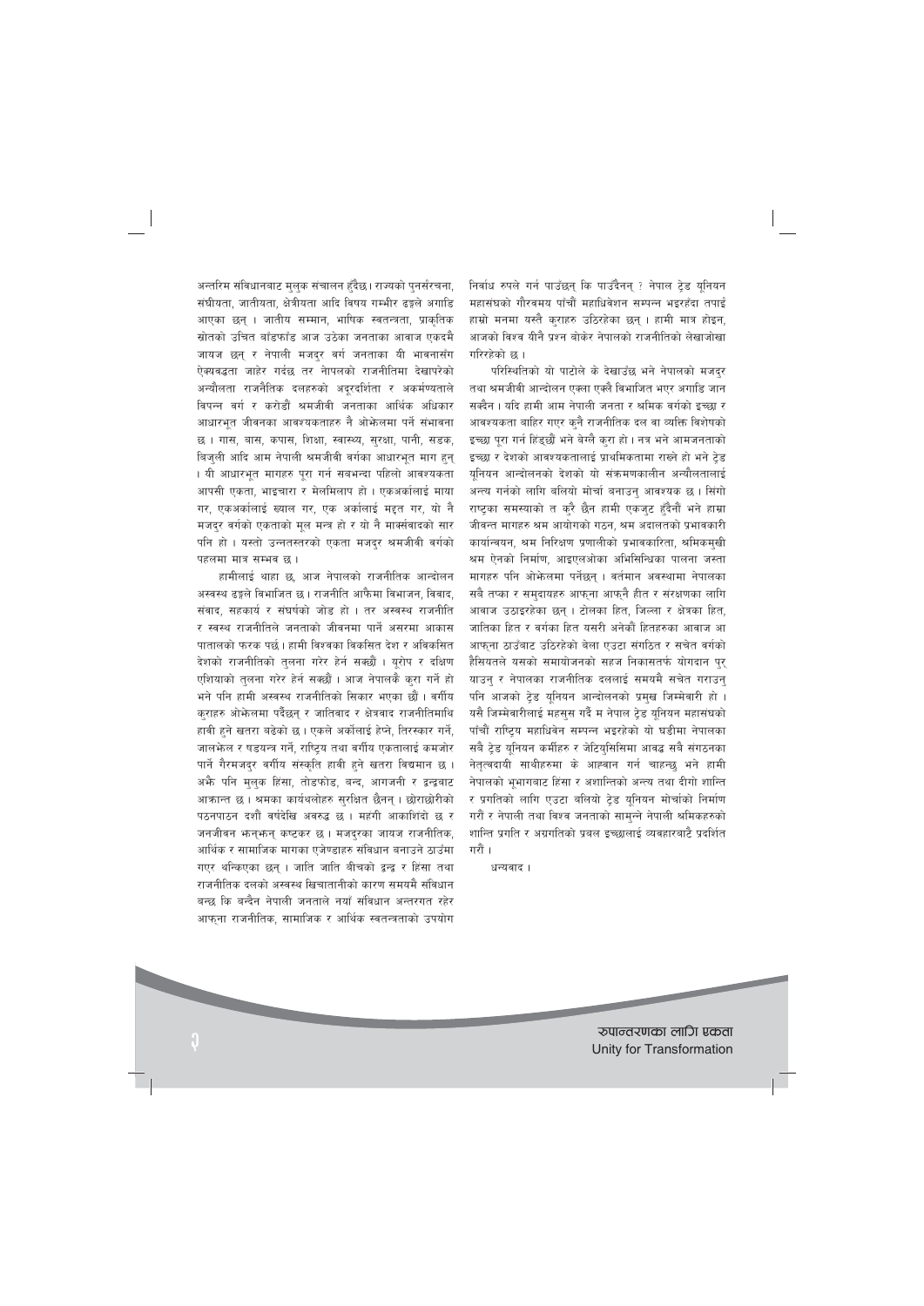अन्तरिम संविधानबाट मुलुक संचालन हुँदैछ। राज्यको पुनर्संरचना, संघीयता, जातीयता, क्षेत्रीयता आदि विषय गम्भीर ढङ्गले अगाडि आएका छन् । जातीय सम्मान, भाषिक स्वतन्त्रता, प्राकृतिक स्रोतको उचित बाँडफाँड आज उठेका जनताका आवाज एकदमै जायज छन् र नेपाली मजदर वर्ग जनताका यी भावनासँग ऐक्यवद्धता जाहेर गर्दछ तर नेापलको राजनीतिमा देखापरेको अन्यौलता राजनैतिक दलहरुको अदूरदर्शिता र अकर्मण्यताले विपन्न वर्ग र करोडौं श्रमजीवी जनताका आर्थिक अधिकार आधारभत जीवनका आवश्यकताहरु नै ओफेलमा पर्ने संभावना छ। गास, बास, कपास, शिक्षा, स्वास्थ्य, सुरक्षा, पानी, सडक, बिजुली आदि आम नेपाली श्रमजीवी वर्गका आधारभुत माग हुन् । यी आधारभुत मागहरु पुरा गर्न सबभन्दा पहिलो आवश्यकता आपसी एकता, भाइचारा र मेलमिलाप हो। एकअर्कालाई माया गर, एकअर्कालाई ख्याल गर, एक अर्कालाई मद्दत गर, यो नै मजदुर वर्गको एकताको मूल मन्त्र हो र यो नै मार्क्सवादको सार पनि हो। यस्तो उन्नतस्तरको एकता मजदुर श्रमजीवी वर्गको पहलमा मात्र सम्भव छ।

हामीलाई थाहा छ, आज नेपालको राजनीतिक आन्दोलन अस्वस्थ ढङ्गले विभाजित छ । राजनीति आफैमा विभाजन, विवाद, संवाद, सहकार्य र संघर्षको जोड हो । तर अस्वस्थ राजनीति र स्वस्थ राजनीतिले जनताको जीवनमा पार्ने असरमा आकास पातालको फरक पर्छ । हामी विश्वका विकसित देश र अविकसित देशको राजनीतिको तुलना गरेर हेर्न सक्छौं । यूरोप र दक्षिण एशियाको तुलना गरेर हेर्न सक्छौं । आज नेपालकै कुरा गर्ने हो भने पनि हामी अस्वस्थ राजनीतिको सिकार भएका छौं । वर्गीय कराहरु ओफेलमा पर्दैछन् र जातिवाद र क्षेत्रवाद राजनीतिमाथि हावी हुने खतरा बढेको छ। एकले अर्कोलाई हेप्ने, तिरस्कार गर्ने, जालफेल र षडयन्त्र गर्ने, राष्ट्रिय तथा वर्गीय एकतालाई कमजोर पार्ने गैरमजद्र वर्गीय संस्कृति हावी हने खतरा विद्यमान छ । अभै पनि मलक हिंसा, तोडफोड, बन्द, आगजनी र द्वन्द्वबाट आक्रान्त छ । श्रमका कार्यथलोहरु सुरक्षित छैनन् । छोराछोरीको पठनपाठन दशौँ वर्षदेखि अवरुद्ध छ । महंगी आकाशिंदो छ र जनजीवन भन्नभन् कष्टकर छ। मजद्रका जायज राजनीतिक, आर्थिक र सामाजिक मागका एजेण्डाहरु संविधान बनाउने ठाउँमा गएर थन्किएका छन । जाति जाति बीचको द्वन्द्व र हिंसा तथा राजनीतिक दलको अस्वस्थ खिचातानीको कारण समयमै संविधान बन्छ कि बन्दैन नेपाली जनताले नयाँ संविधान अन्तरगत रहेर आफुना राजनीतिक, सामाजिक र आर्थिक स्वतन्त्रताको उपयोग निर्वाध रुपले गर्न पाउँछन् कि पाउँदैनन् ? नेपाल टेड युनियन महासंघको गौरवमय पाँचौं महाधिवेशन सम्पन्न भइरहँदा तपाईं हाम्रो मनमा यस्तै कराहरु उठिरहेका छन् । हामी मात्र होइन, आजको विश्व यीनै प्रश्न बोकेर नेपालको राजनीतिको लेखाजोखा गरिरहेको छ ।

परिस्थितिको यो पाटोले के देखाउँछ भने नेपालको मजदुर तथा श्रमजीवी आन्दोलन एक्ला एक्लै विभाजित भएर अगाडि जान सक्दैन । यदि हामी आम नेपाली जनता र श्रमिक वर्गको इच्छा र आवश्यकता बाहिर गएर क्नै राजनीतिक दल वा व्यक्ति विशेषको इच्छा पूरा गर्न हिंड्छौं भने बेग्लै कुरा हो। नत्र भने आमजनताको इच्छा र देशको आवश्यकतालाई प्राथमिकतामा राख्ने हो भने टेड युनियन आन्दोलनको देशको यो संक्रमणकालीन अन्यौलतालाई अन्त्य गर्नको लागि बलियो मोर्चा बनाउन् आवश्यक छ । सिंगो राष्टका समस्याको त करै छैन हामी एकजुट हुँदैनौं भने हाम्रा जीवन्त मागहरु श्रम आयोगको गठन, श्रम अदालतको प्रभावकारी कार्यान्वयन, श्रम निरिक्षण प्रणालीको प्रभावकारिता, श्रमिकमुखी श्रम ऐनको निर्माण, आइएलओका अभिसिन्धिका पालना जस्ता मागहरु पनि ओफेलमा पर्नेछन् । वर्तमान अवस्थामा नेपालका सबै तप्का र समुदायहरु आफ्ना आफ्नै हीत र संरक्षणका लागि आवाज उठाइरहेका छन् । टोलका हित, जिल्ला र क्षेत्रका हित, जातिका हित र वर्गका हित यसरी अनेकौं हितहरुका आवाज आ आफना ठाउँबाट उठिरहेको बेला एउटा संगठित र सचेत वर्गको हैसियतले यसको समायोजनको सहज निकासतर्फ योगदान प्र याउन् र नेपालका राजनीतिक दललाई समयमै सचेत गराउन् पनि आजको टेड यूनियन आन्दोलनको प्रमुख जिम्मेवारी हो । यसै जिम्मेवारीलाई महसुस गर्दै म नेपाल ट्रेड युनियन महासंघको पाँचौं राष्ट्रिय महाधिवेन सम्पन्न भइरहेको यो घडीमा नेपालका सबै ट्रेड यूनियन कर्मीहरु र जेटियुसिसिमा आवद्ध सबै संगठनका नेतृत्वदायी साथीहरुमा के आह्वान गर्न चाहन्छ भने हामी नेपालको भुभागबाट हिंसा र अशान्तिको अन्त्य तथा दीगो शान्ति र प्रगतिको लागि एउटा बलियो टेड युनियन मोर्चाको निर्माण गरौं र नेपाली तथा विश्व जनताको सामुन्ने नेपाली श्रमिकहरुको शान्ति प्रगति र अग्रगतिको प्रबल इच्छालाई व्यवहारबाटै प्रदर्शित गरौं ।

धन्यवाद।

रुपान्तरणका लागि एकता Unity for Transformation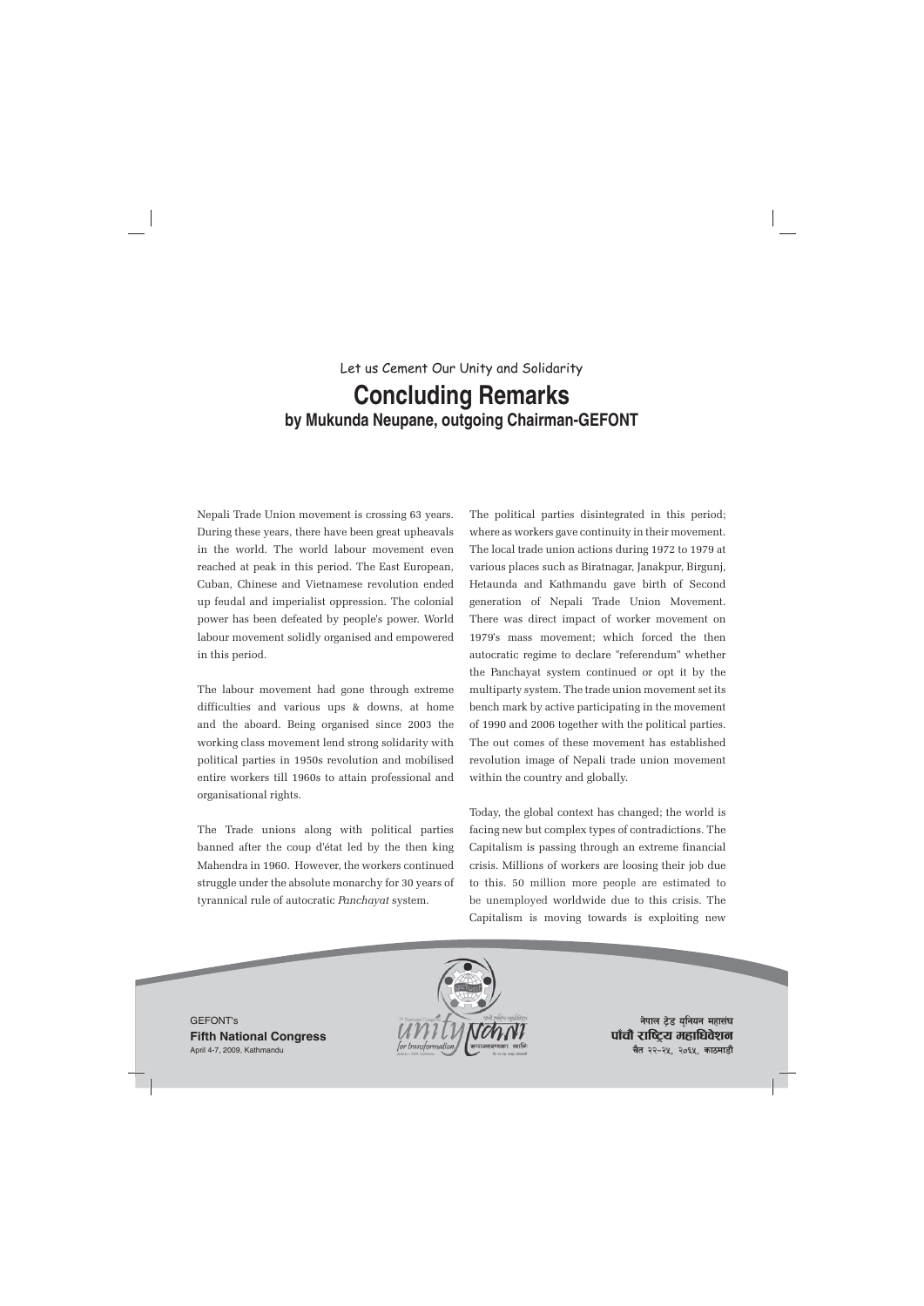# Let us Cement Our Unity and Solidarity **Concluding Remarks by Mukunda Neupane, outgoing Chairman-GEFONT**

Nepali Trade Union movement is crossing 63 years. During these years, there have been great upheavals in the world. The world labour movement even reached at peak in this period. The East European, Cuban, Chinese and Vietnamese revolution ended up feudal and imperialist oppression. The colonial power has been defeated by people's power. World labour movement solidly organised and empowered in this period.

The labour movement had gone through extreme difficulties and various ups & downs, at home and the aboard. Being organised since 2003 the working class movement lend strong solidarity with political parties in 1950s revolution and mobilised entire workers till 1960s to attain professional and organisational rights.

The Trade unions along with political parties banned after the coup d'état led by the then king Mahendra in 1960. However, the workers continued struggle under the absolute monarchy for 30 years of tyrannical rule of autocratic *Panchayat* system.

The political parties disintegrated in this period; where as workers gave continuity in their movement. The local trade union actions during 1972 to 1979 at various places such as Biratnagar, Janakpur, Birgunj, Hetaunda and Kathmandu gave birth of Second generation of Nepali Trade Union Movement. There was direct impact of worker movement on 1979's mass movement; which forced the then autocratic regime to declare "referendum" whether the Panchayat system continued or opt it by the multiparty system. The trade union movement set its bench mark by active participating in the movement of 1990 and 2006 together with the political parties. The out comes of these movement has established revolution image of Nepali trade union movement within the country and globally.

Today, the global context has changed; the world is facing new but complex types of contradictions. The Capitalism is passing through an extreme financial crisis. Millions of workers are loosing their job due to this. 50 million more people are estimated to be unemployed worldwide due to this crisis. The Capitalism is moving towards is exploiting new

GEFONT's **Fifth National Congress** April 4-7, 2009, Kathmandu



**नेपाल टेड युनियन महासंघ** पाँचौ राष्ट्रिय महाधिवेशन **चैत २२-२५, २०६५, काठमाडौं**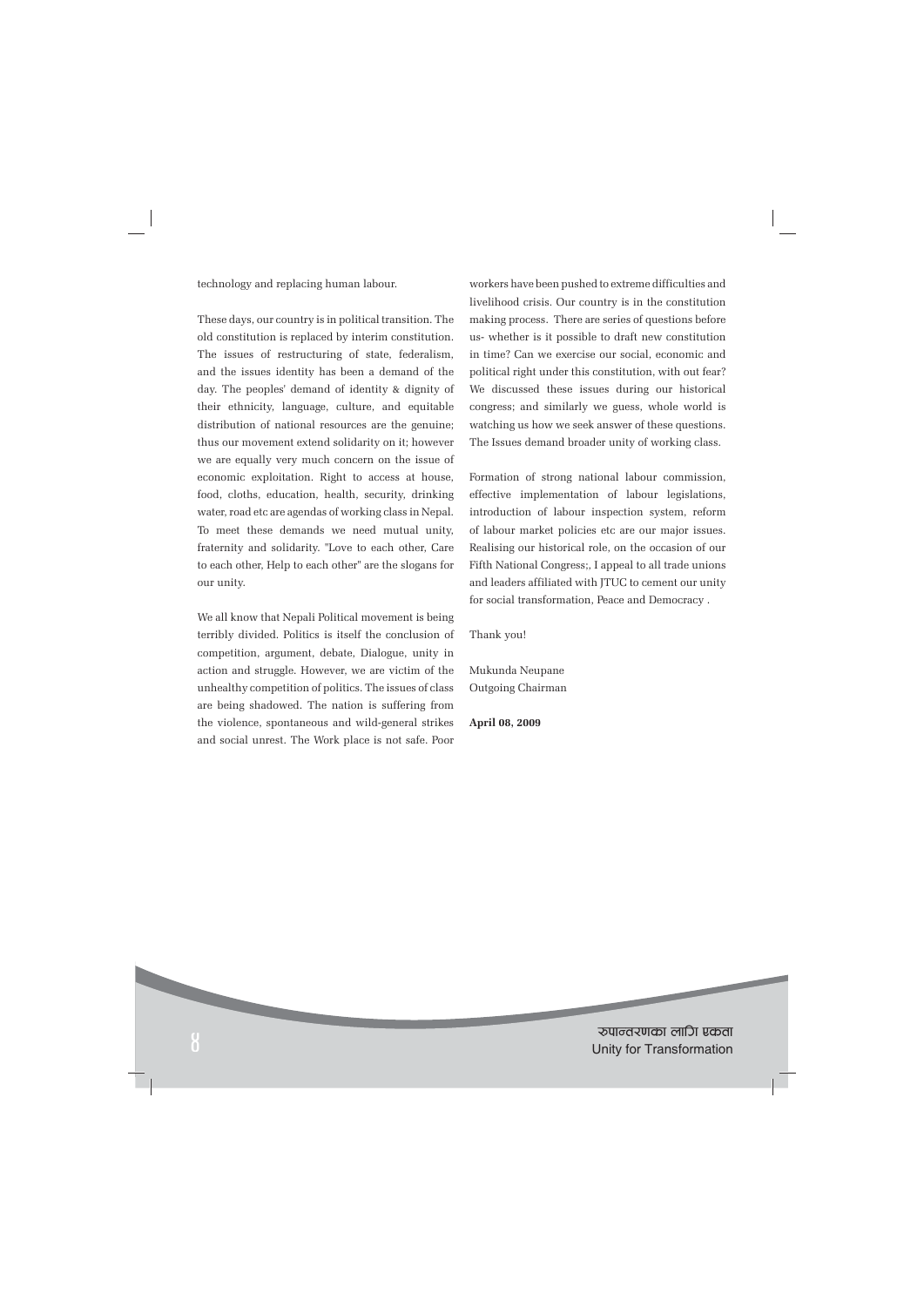technology and replacing human labour.

These days, our country is in political transition. The old constitution is replaced by interim constitution. The issues of restructuring of state, federalism, and the issues identity has been a demand of the day. The peoples' demand of identity & dignity of their ethnicity, language, culture, and equitable distribution of national resources are the genuine; thus our movement extend solidarity on it; however we are equally very much concern on the issue of economic exploitation. Right to access at house, food, cloths, education, health, security, drinking water, road etc are agendas of working class in Nepal. To meet these demands we need mutual unity, fraternity and solidarity. "Love to each other, Care to each other, Help to each other" are the slogans for our unity.

We all know that Nepali Political movement is being terribly divided. Politics is itself the conclusion of competition, argument, debate, Dialogue, unity in action and struggle. However, we are victim of the unhealthy competition of politics. The issues of class are being shadowed. The nation is suffering from the violence, spontaneous and wild-general strikes and social unrest. The Work place is not safe. Poor workers have been pushed to extreme difficulties and livelihood crisis. Our country is in the constitution making process. There are series of questions before us- whether is it possible to draft new constitution in time? Can we exercise our social, economic and political right under this constitution, with out fear? We discussed these issues during our historical congress; and similarly we guess, whole world is watching us how we seek answer of these questions. The Issues demand broader unity of working class.

Formation of strong national labour commission, effective implementation of labour legislations, introduction of labour inspection system, reform of labour market policies etc are our major issues. Realising our historical role, on the occasion of our Fifth National Congress;, I appeal to all trade unions and leaders affiliated with JTUC to cement our unity for social transformation, Peace and Democracy .

Thank you!

Mukunda Neupane Outgoing Chairman

**April 08, 2009**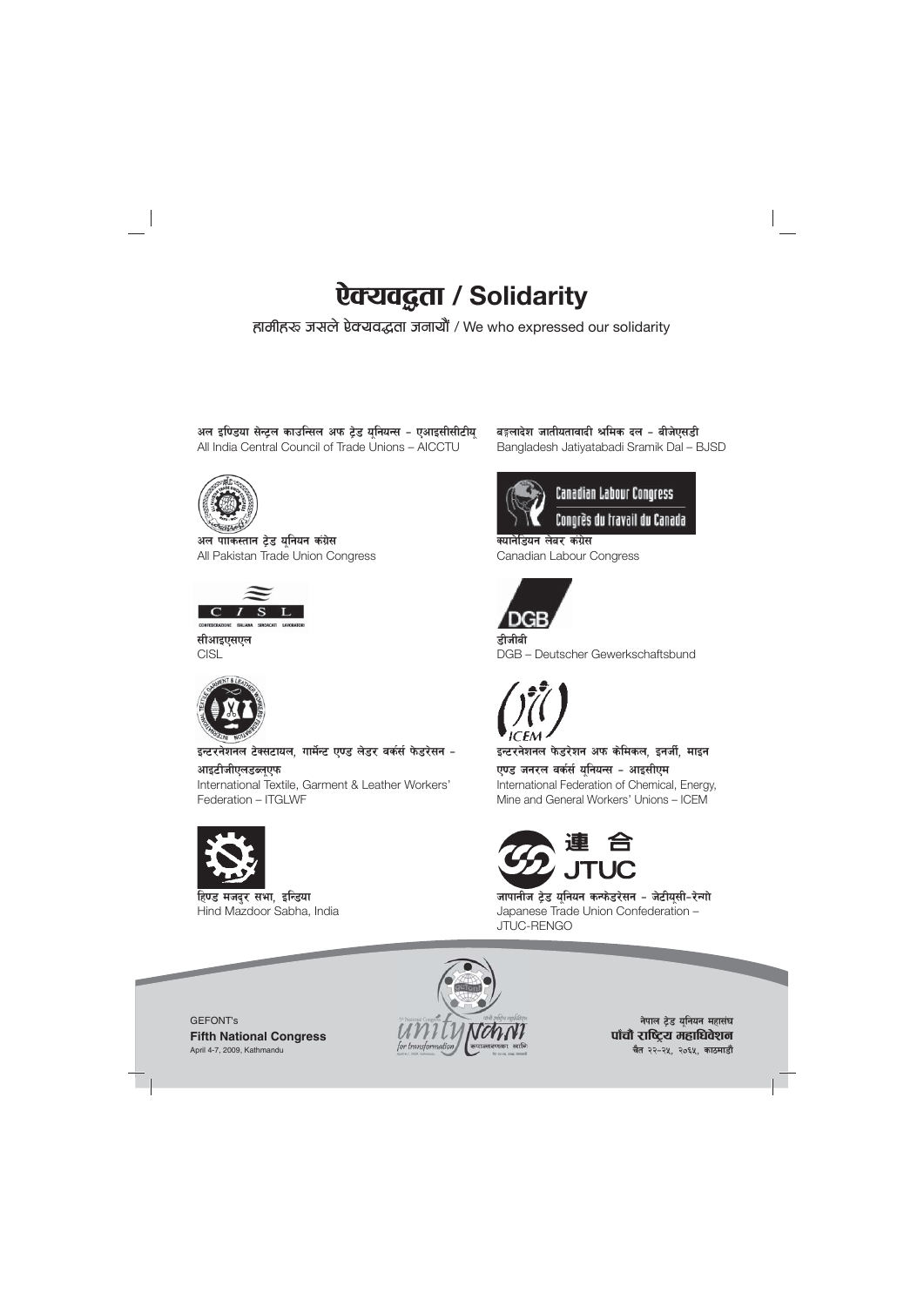# **ऐक्यवद्धता / Solidarity** |<br>|<br>|

हालीहरू जसले ऐक्यवद्धता जनायौं / We who expressed our solidarity

**अल इण्डिया सेन्ट्रल काउन्सिल अफ ट्रेड यूनियन्स - एआइसीसीटीयू<br>All India Central Council of Trade Unions – AICCTU** 



अल पाकिस्तान **टेड यनियन कंग्रेस** All Pakistan Trade Union Congress



**सीआइएसएल CISL** 



इन्टरनेशनल टेक्सटायल, गार्मेन्ट एण्ड लेडर वर्कर्स फेडरेसन **-**आइटीजीएलडब्ल**ए**फ International Textile, Garment & Leather Workers'

Federation – ITGLWF



हिण्ड मजदर सभा, इन्डिया Hind Mazdoor Sabha, India बङ्गलादेश जातीयतावादी श्रमिक दल – बीजेएसडी Bangladesh Jatiyatabadi Sramik Dal – BJSD



**Canadian Labour Congress** 

Congrès du travail du Canada

क्याने**डियन लेबर कंग्रेस** Canadian Labour Congress



.<br>हीजीबी DGB – Deutscher Gewerkschaftsbund



इन्टरनेशनल फेडरेशन अफ केमिकल, इनर्जी, माइन **एण्ड जनरल वर्कर्स यनियन्स - आइसीएम** International Federation of Chemical, Energy, Mine and General Workers' Unions – ICEM



**जापानीज ट्रेड यूनियन कन्फेडरेसन - जेटीयूसी-रेन्गो**<br>Japanese Trade Union Confederation – JTUC-RENGO

GEFONT's **Fifth National Congress** April 4-7, 2009, Kathmandu



**नेपाल ट्रेड युनियन महासंघ** पाँचौ राष्ट्रिय महाधिवेशन **चैत २२-२५, २०६५, काठमाडौं**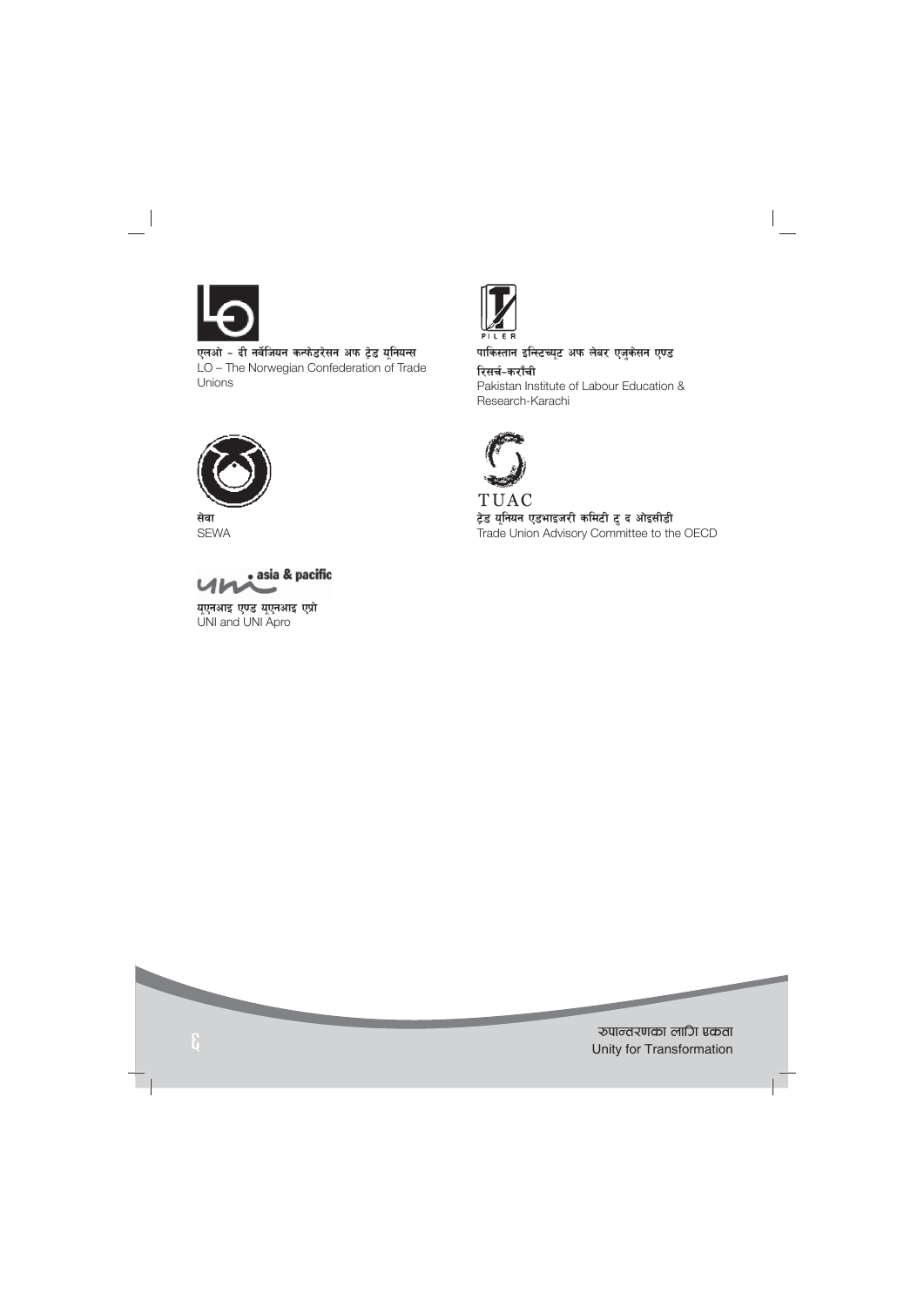

एलओ - दी नर्वेजियन कन्फेडरेसन अफ ट्रेड यूनियन्स LO – The Norwegian Confederation of Trade Unions



**सेवा** SEWA



**यूएनआइ एण्ड यूएनआइ एप्रो**<br>UNI and UNI Apro



पाकिस्तान इन्स्टिच्यूट अफ लेबर एजुकेसन ए<mark>ण्ड</mark> रिसर्च-कराँची Pakistan Institute of Labour Education & Research-Karachi



TUAC ट्रेड यूनियन एडभाइजरी कमिटी टु द ओइसीडी Trade Union Advisory Committee to the OECD

रुपान्तरणका लागि एकता<br>Unity for Transformation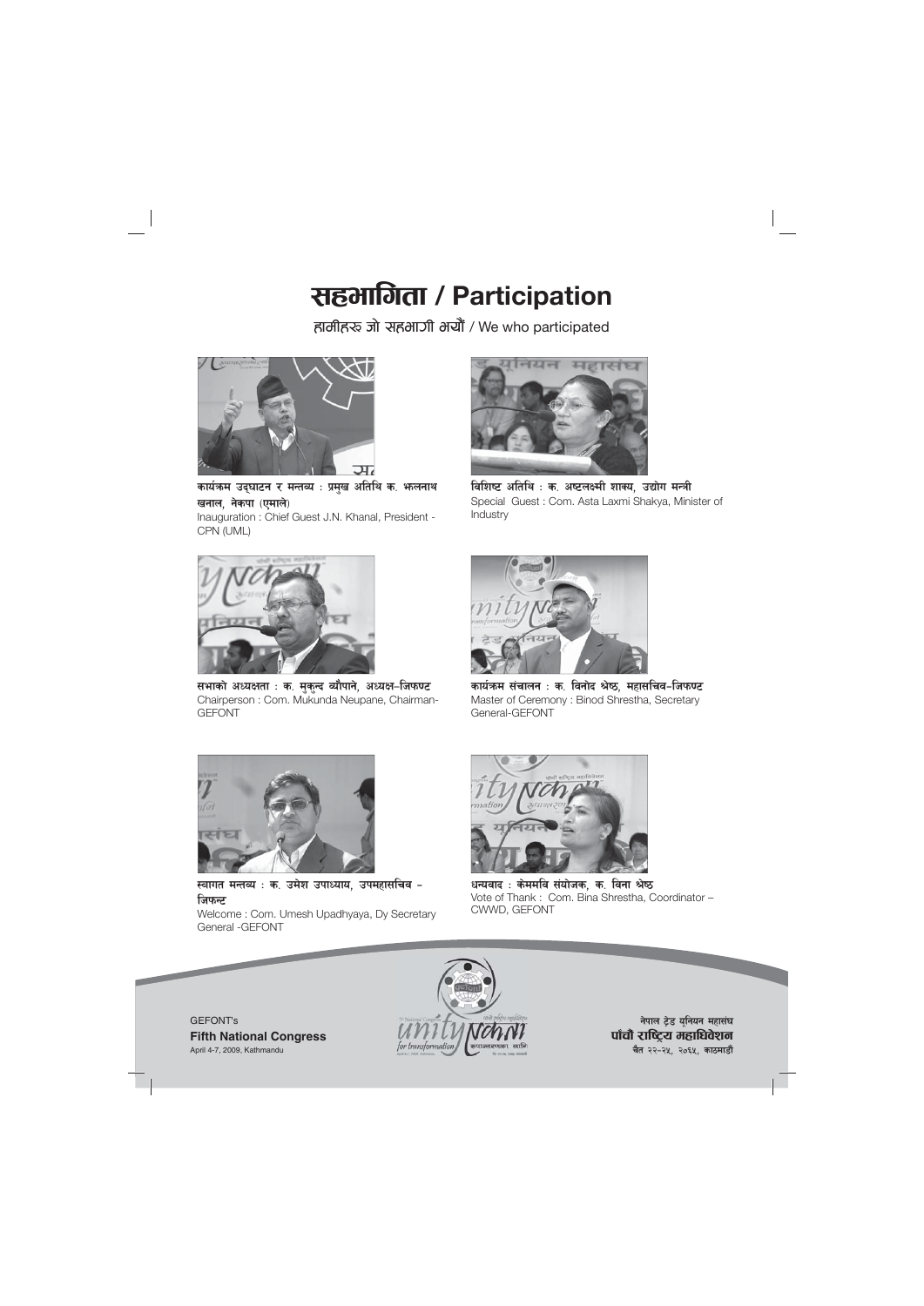# राहभागिता / Participation

हालीहरू जो सहभागी भयौं / We who participated



कार्यक्रम उद्**घाटन र मन्तव्य** : प्रमुख अतिथि क. भ<sub>े</sub>लनाथ **खनाल, नेकपा (एमाले)** Inauguration : Chief Guest J.N. Khanal, President - CPN (UML)



सभाको अध्यक्षता : क. मुकुन्द व्यौपाने, अध्यक्ष–जिफण्ट Chairperson : Com. Mukunda Neupane, Chairman-GEFONT



विशिष्ट अतिथि : क. अष्टलक्ष्मी शाक्य. उद्योग मन्त्री Special Guest : Com. Asta Laxmi Shakya, Minister of Industry



कार्यकम संचालन : क. विनोद श्रेष्ठ, महासचिव-जिफ**ण्ट** Master of Ceremony : Binod Shrestha, Secretary General-GEFONT



स्वागत मन्तव्य : क. उमेश उपाध्याय, उपमहासचिव **– जिफन्ट** Welcome : Com. Umesh Upadhyaya, Dy Secretary General -GEFONT



धन्यवाद : केममवि संयोजक, क, विना श्रेष्ठ Vote of Thank : Com. Bina Shrestha, Coordinator -CWWD, GEFONT





**नेपाल ट्रेड यनियन महासंघ** पाँचौ राष्ट्रिय महाधिवेशन **चैत २२-२५, २०६५, काठमाडौं**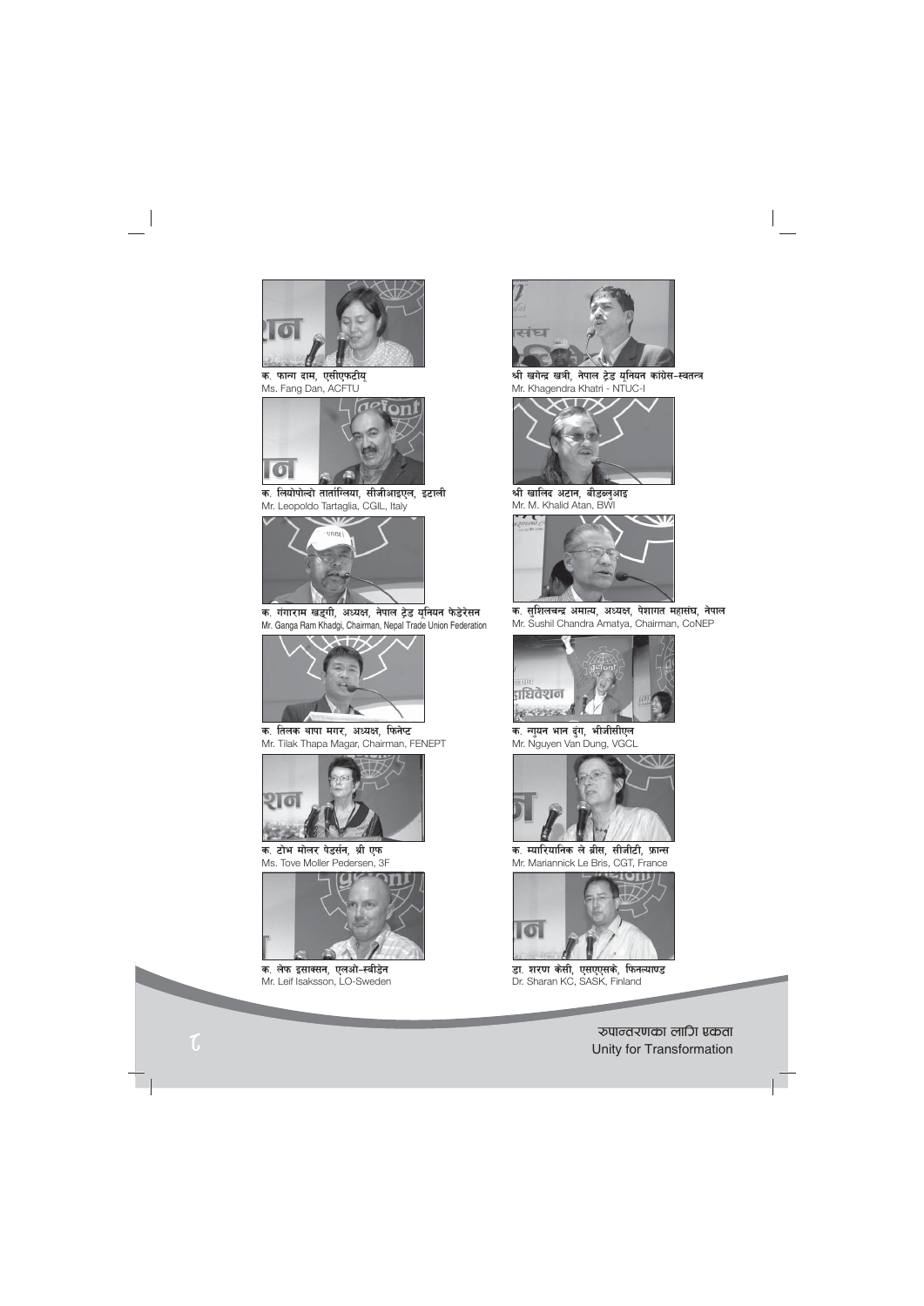

**क. फाना दाम, एसीएफटीयू<br>Ms. Fang Dan, ACFTU** 



क, लियोपोल्दो तार्ताग्लिया, सीजीआइएल, इटाली Mr. Leopoldo Tartaglia, CGIL, Italy



क. गंगाराम खड्गी, अध्यक्ष, नेपाल ट्रेड यूनियन फेडेरेसन Mr. Ganga Ram Khadgi, Chairman, Nepal Trade Union Federation



क. तिलक थापा मगर, अध्यक्ष, फिनेप्ट Mr. Tilak Thapa Magar, Chairman, FENEPT



क. टोभ मोलर पेडर्सन, श्री एफ Ms. Tove Moller Pedersen, 3F



क. लेफ इसाक्सन, एलओ-स्वीडेन Mr. Leif Isaksson, LO-Sweden



श्री खगेन्द्र खत्री, नेपाल ट्रेड यूनियन कांग्रेस-स्वतन्त्र Mr. Khagendra Khatri - NTUC-I



श्री खालिद अटान, बीडब्लुआइ Mr. M. Khalid Atan, BWI



क. सुशिलचन्द्र अमात्य, अध्यक्ष, पेशागत महासंघ, नेपाल Mr. Sushil Chandra Amatya, Chairman, CoNEP



क. नायन भान दुंग, भीजीसीएल Mr. Nguyen Van Dung, VGCL



क. म्यारियानिक ले ब्रीस, सीजीटी, फ्रान्स Mr. Mariannick Le Bris, CGT, France



डा. शरण केसी, एसएएसके, फिनल्या**ण्ड** Dr. Sharan KC, SASK, Finland

 $\mathcal{L}$ ि स्थान का सामान्य स्थान करने के सामान्य स्थान करने के सामान्य स्थान करने के सामान्य स्थान करने के सामान्य स्थान करने के सामान्य स्थान करने के सामान्य स्थान करने के सामान्य स्थान करने के सामान्य स्थान करने के साम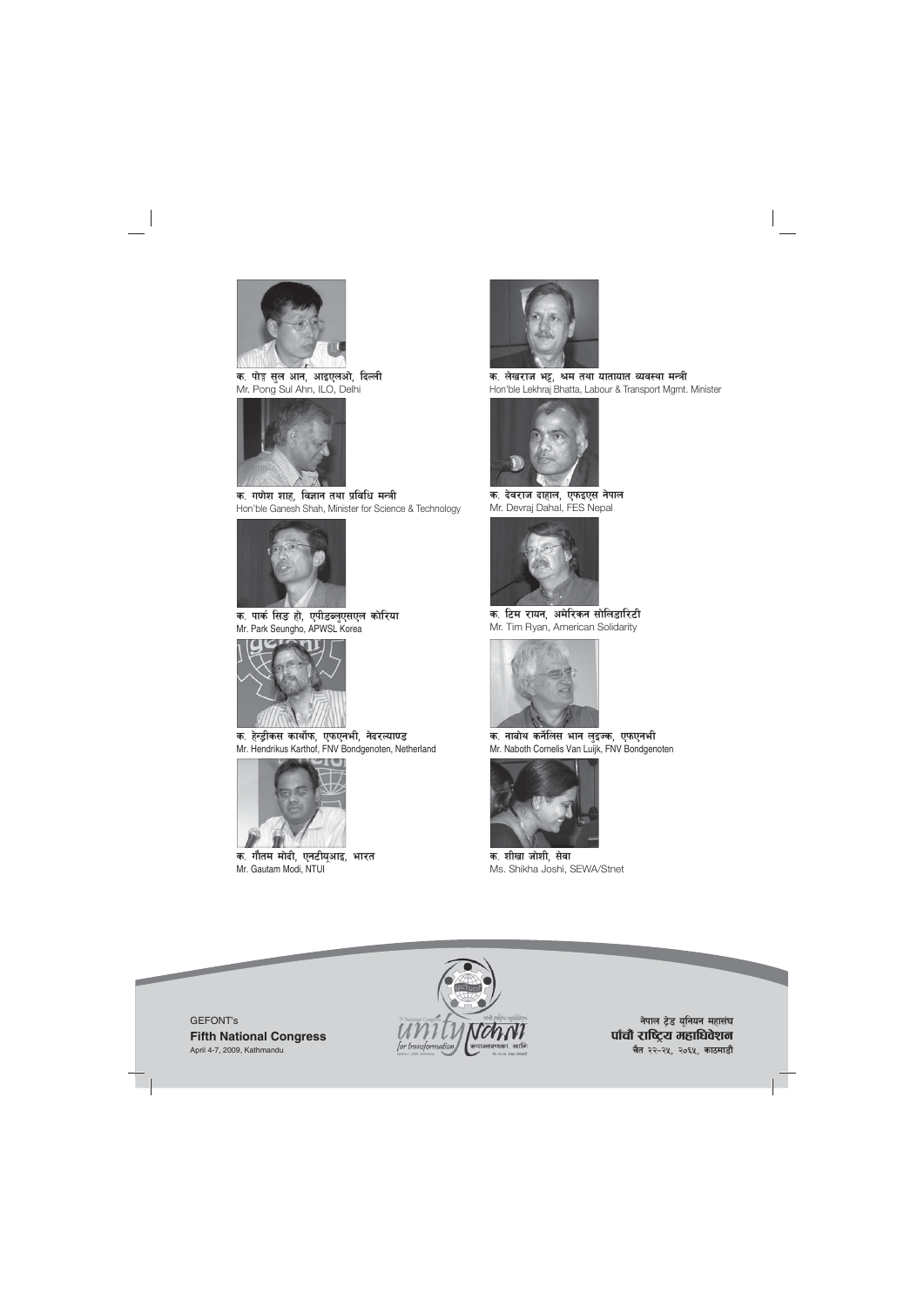

क. पोङ्ग सल आन, आइएलओ, **दिल्ली** Mr. Pong Sul Ahn, ILO, Delhi



क. गणेश शाह, विज्ञान तथा प्रविधि मन्त्री Hon'ble Ganesh Shah, Minister for Science & Technology



क. पार्क सिड हो, एपीडब्लुएसएल कोरिया Mr. Park Seungho, APWSL Korea



क. हेन्ड्रीकस कार्थोफ, एफएनभी, नेदरल्या**ण्ड** Mr. Hendrikus Karthof, FNV Bondgenoten, Netherland



क. गौतम मोदी, एनटीयूआइ, भारत Mr. Gautam Modi, NTUI



क. लेखराज भट्ट, श्रम तथा यातायात व्यवस्था मन्त्री Hon'ble Lekhraj Bhatta, Labour & Transport Mgmt. Minister



क. देवराज दाहाल, एफइएस नेपाल Mr. Devraj Dahal, FES Nepal



क. टिम रायन, अमेरिकन सोलि**डारि**टी Mr. Tim Ryan, American Solidarity



क. नाबोथ कर्नेलिस भान लुइज्क, एफएनभी Mr. Naboth Cornelis Van Luijk, FNV Bondgenoten



क. शीखा जोशी, सेवा Ms. Shikha Joshi, SEWA/Stnet





**नेपाल ट्रेड यूनियन महासंघ** पाँचौ राष्ट्रिय महाधिवेशन **चैत २२-२५, २०६५, काठमाडौं**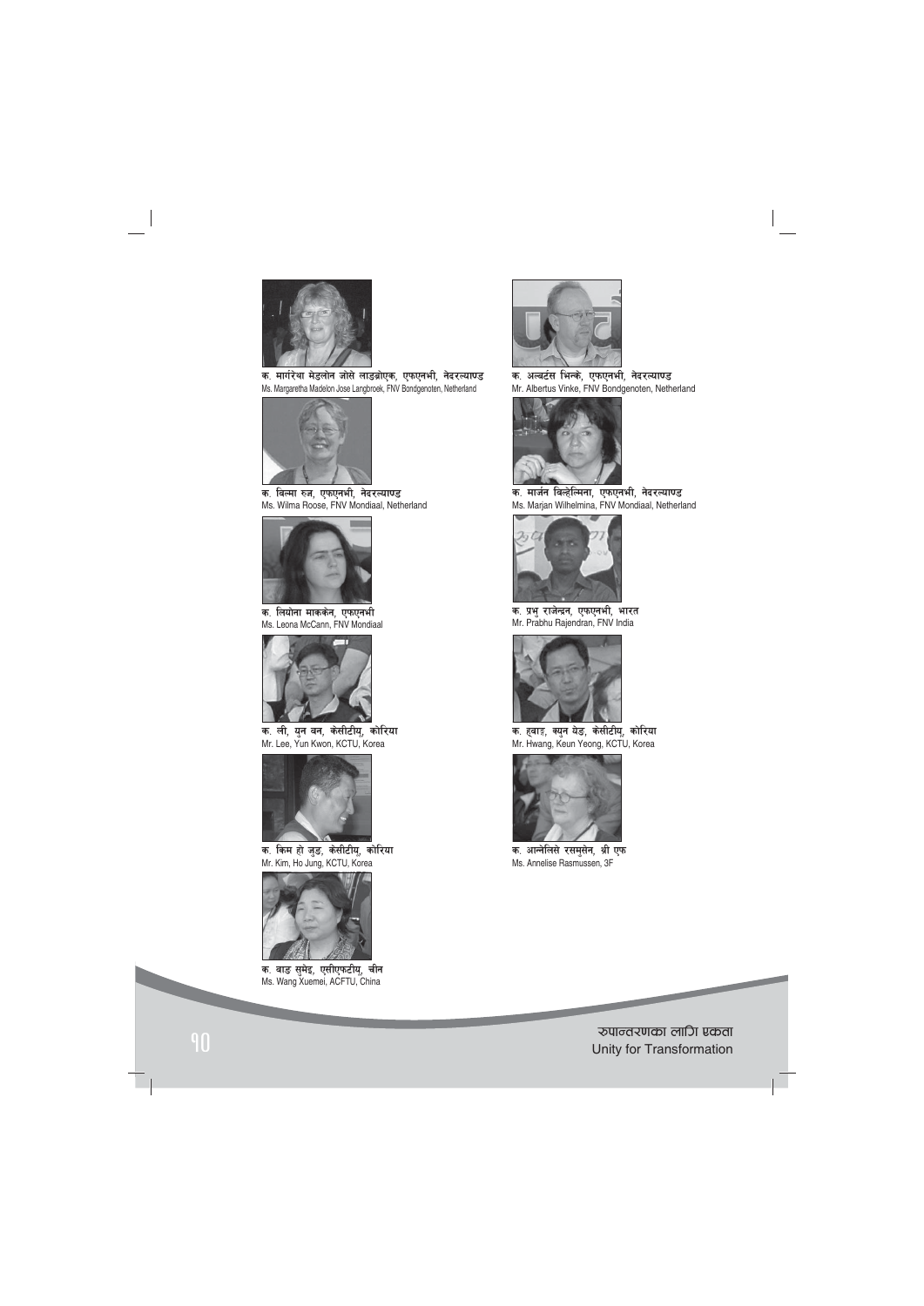

क. मार्गरेथा मेडलोन जोसे लाडब्रोएक, एफएनभी, नेदरल्या<mark>ण्</mark>ड Ms. Margaretha Madelon Jose Langbroek, FNV Bondgenoten, Netherland



क. विल्मा रुज, एफएनभी, ने**दरल्या**ण्ड Ms. Wilma Roose, FNV Mondiaal, Netherland



क. लियोना माककेन, एफएन**भी** Ms. Leona McCann, FNV Mondiaal



क. ली, युन वन, केसीटीयू, कोरिया Mr. Lee, Yun Kwon, KCTU, Korea



क. किम हो जु<del>ड</del>, केसीटीयू, कोरिया Mr. Kim, Ho Jung, KCTU, Korea



क. वा**ड सुमेइ, एसीएफटीयू,** चीन Ms. Wang Xuemei, ACFTU, China



क. अल्बर्टस भिन्के, एफएनभी, नेदरल्याण्ड Mr. Albertus Vinke, FNV Bondgenoten, Netherland



—<br>क. मार्जन विल्हेल्मिना, एफएनभी, नेदरल्याण्ड Ms. Marjan Wilhelmina, FNV Mondiaal, Netherland



क. प्रभु राजेन्द्रन, एफएनभी, भारत Mr. Prabhu Rajendran, FNV India



क. हवाङ़, क्युन येङ, केसीटीयू, कोरिया Mr. Hwang, Keun Yeong, KCTU, Korea



क. आन्नेलिसे रसमुसेन, श्री एफ Ms. Annelise Rasmussen, 3F

?kfGt/0fsf nflu Pstf <sup>10</sup> Unity for Transformation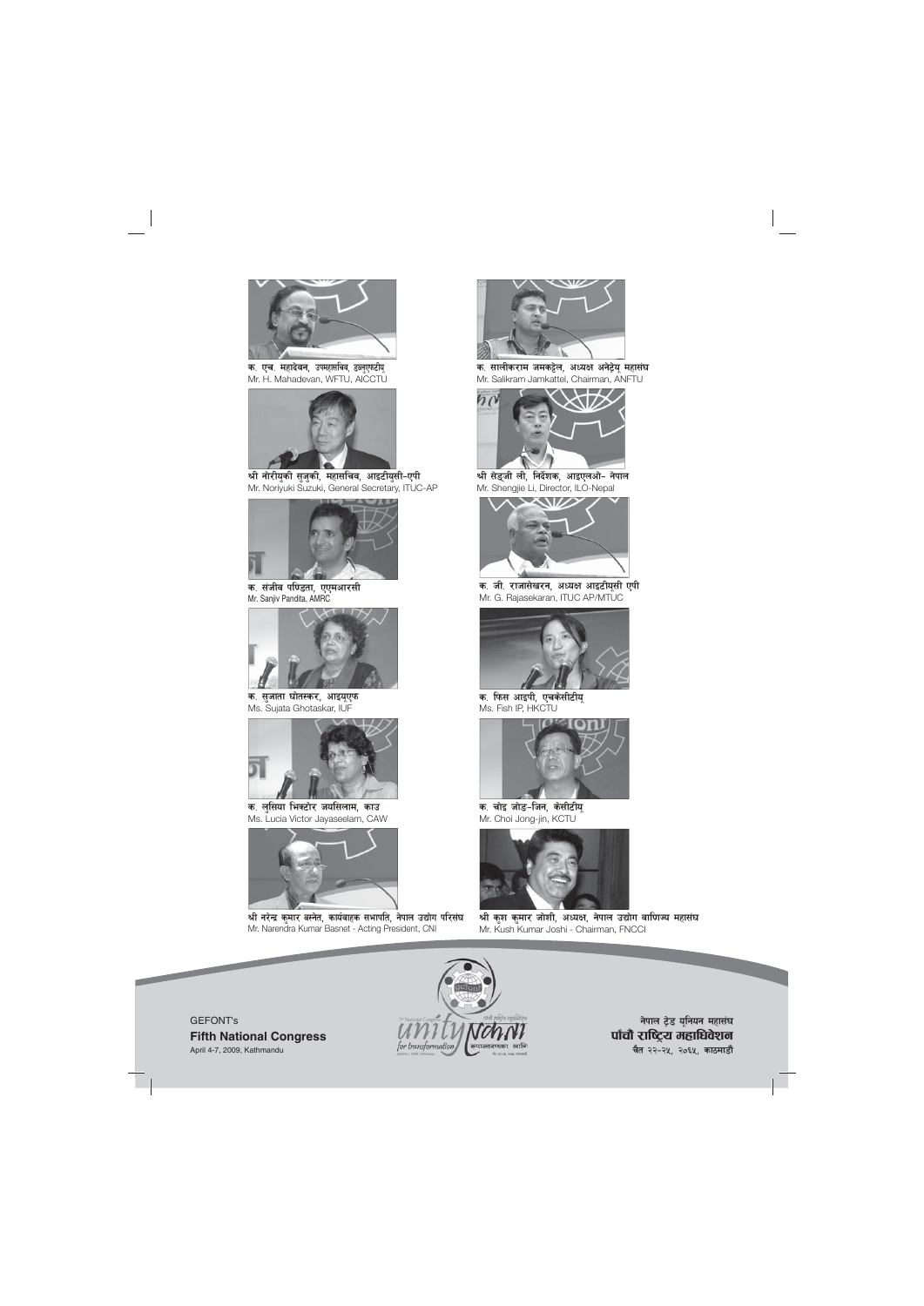

**क. एच. महादेवन, उपमहासचिव, डब्लुएफटीय्**<br>Mr. H. Mahadevan, WFTU, AICCTU



श्री नोरीयुकी सुजुकी, महासचिव, आइटीयुसी-एपी Mr. Noriyuki Suzuki, General Secretary, ITUC-AP



क, संजीव पण्डिता, एएमआरसी Mr. Sanjiv Pandita, AMRC



क. सुजाता घोतस्कर, आइय**ए**फ Ms. Sujata Ghotaskar, IUF



क. लुसिया भिक्टोर जयसिलाम, काउ Ms. Lucia Victor Jayaseelam, CAW



श्री नरेन्द्र कुमार बस्नेत, कार्यवाहक सभापति, नेपाल उद्योग परिसंघ Mr. Narendra Kumar Basnet - Acting President, CNI



क. सालीकराम जमकट्टेल, अध्यक्ष अनेट्रेय महासंघ Mr. Salikram Jamkattel, Chairman, ANFTU



श्री सेङ्जी ली, निर्देशक, आइएलओ- नेपाल Mr. Shengjie Li, Director, ILO-Nepal



क. जी. राजासेखरन, अध्यक्ष आइटीयूसी एपी Mr. G. Rajasekaran, ITUC AP/MTUC



**क. फिस आइपी, एचकेसीटीयू<br>Ms. Fish IP, HKCTU** 



**क. चोइ जोड-जिन, केसीटीयू<br>Mr. Choi Jong-jin, KCTU** 



श्री कश कमार जोशी, अध्यक्ष, नेपाल उद्योग वाणिज्य महासंघ Mr. Kush Kumar Joshi - Chairman, FNCCI



**नेपाल ट्रेड यूनियन महासंघ** पाँचौ राष्ट्रिय महाधिवेशन **चैत २२-२५, २०६५, काठमाडौं** 

GEFONT's **Fifth National Congress** April 4-7, 2009, Kathmandu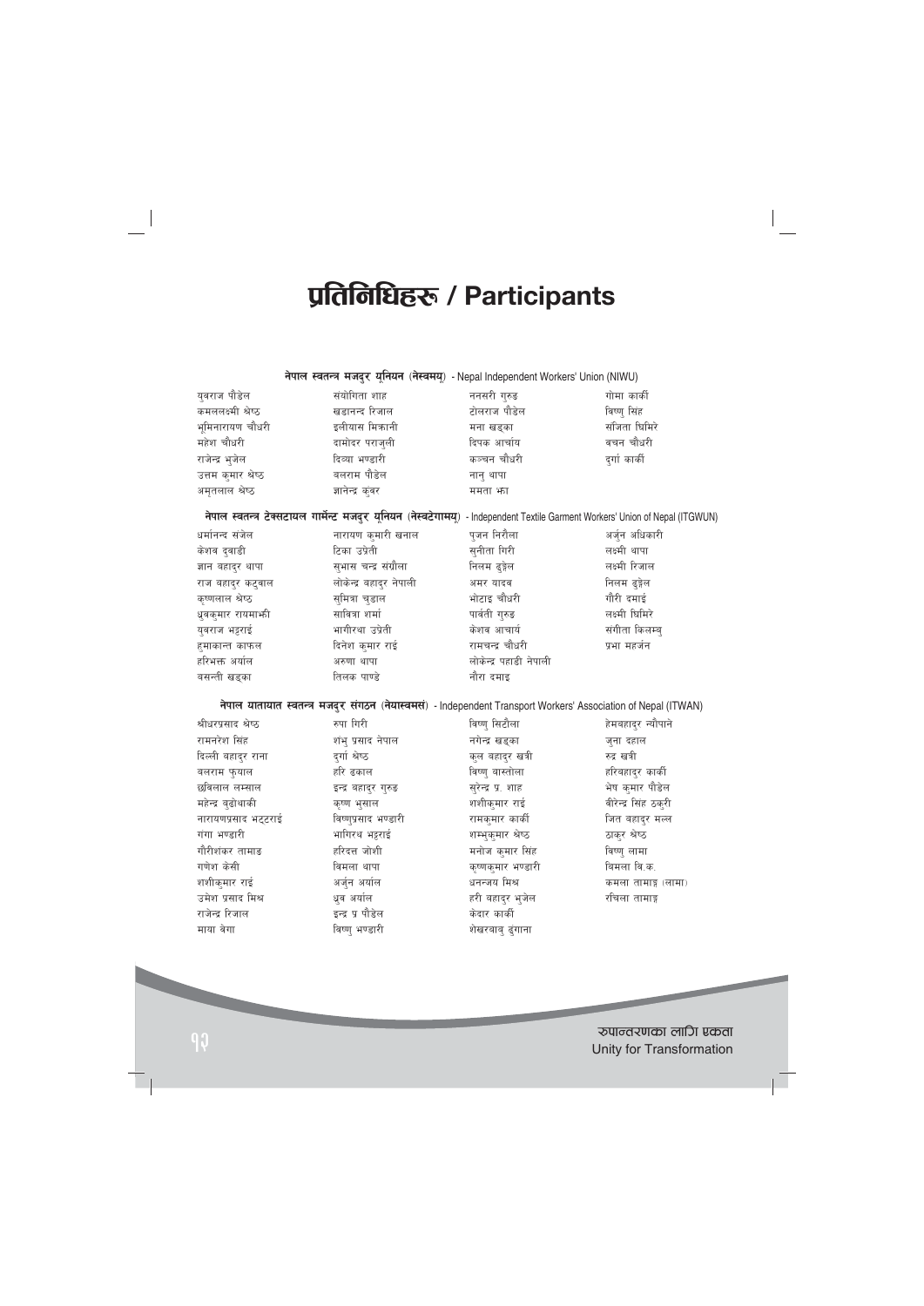# प्रतिनिधिहरू / Participants

|                     | नेपाल स्वतन्त्र मजदुर यूनियन (नेस्वमयू) - Nepal Independent Workers' Union (NIWU) |              |               |  |
|---------------------|-----------------------------------------------------------------------------------|--------------|---------------|--|
| यवराज पौडेल         | संयोगिता शाह                                                                      | ननसरी गुरुङ  | गोमा कार्की   |  |
| कमललक्ष्मी श्रेष्ठ  | खडानन्द रिजाल                                                                     | टोलराज पौडेल | विष्ण् सिंह   |  |
| भूमिनारायण चौधरी    | इलीयास मिकानी                                                                     | मना खडका     | संजिता घिमिरे |  |
| महेश चौधरी          | दामोदर पराजुली                                                                    | दिपक आर्चाय  | वचन चौधरी     |  |
| राजेन्द्र भुजेल     | दिव्या भण्डारी                                                                    | कञ्चन चौधरी  | दर्गा कार्की  |  |
| उत्तम कुमार श्रेष्ठ | बलराम पौडेल                                                                       | नान थापा     |               |  |
| अमृतलाल श्रेष्ठ     | ज्ञानेन्द्र कुंवर                                                                 | ममता भा      |               |  |
|                     |                                                                                   |              |               |  |

नेपाल स्वतन्त्र टेक्सटायल गार्मेन्ट मजदुर यूनियन (नेस्वटेगामयू) - Independent Textile Garment Workers' Union of Nepal (ITGWUN)

| धर्मानन्द संजेल    | नारायण कुमारी खनाल      | पुजन निरौला            | अर्जुन अधिकारी |
|--------------------|-------------------------|------------------------|----------------|
| केशव दुवाडी        | टिका उप्रेती            | सुनीता गिरी            | लक्ष्मी थापा   |
| ज्ञान बहादुर थापा  | सुभास चन्द्र संग्रौला   | निलम ढ्ङ्गेल           | लक्ष्मी रिजाल  |
| राज बहादुर कटुवाल  | लोकेन्द्र बहादुर नेपाली | अमर यादव               | निलम ढ्ङ्गेल   |
| कृष्णलाल श्रेष्ठ   | सुमित्रा चुडाल          | भोटाइ चौधरी            | गौरी दमाई      |
| धूवकुमार रायमार्भा | सावित्रा शर्मा          | पार्वती गुरुङ          | लक्ष्मी घिमिरे |
| युवराज भट्टराई     | भागीरथा उप्रेती         | केशव आचार्य            | संगीता किलम्ब् |
| हुमाकान्त काफल     | दिनेश कुमार राई         | रामचन्द्र चौधरी        | प्रभा महर्जन   |
| हरिभक्त अर्याल     | अरुणा थापा              | लोकेन्द्र पहाडी नेपाली |                |
| बसन्ती खड्का       | तिलक पाण्डे             | नौरा दमाइ              |                |

नेपाल यातायात स्वतन्त्र मजदुर संगठन (नेयास्वमसं) - Independent Transport Workers' Association of Nepal (ITWAN)

| श्रीधरप्रसाद श्रेष्ठ | रुपा गिरी            | विष्णु सिटौला      | हेमबहादुर न्यौपाने   |
|----------------------|----------------------|--------------------|----------------------|
| रामनरेश सिंह         | शंभु प्रसाद नेपाल    | नगेन्द्र खड्का     | जुना दहाल            |
| दिल्ली बहाद्र राना   | दर्गा श्रेष्ठ        | कुल बहादुर खत्री   | रुद्र खत्री          |
| बलराम फुयाल          | हरि ढकाल             | विष्णु बास्तोला    | हरिबहाद्र कार्की     |
| छविलाल लम्साल        | इन्द्र बहादुर गुरुङ  | सुरेन्द्र प्र. शाह | भेष कुमार पौडेल      |
| महेन्द्र बुढोथाकी    | कृष्ण भुसाल          | शशीक्मार राई       | वीरेन्द्र सिंह ठकुरी |
| नारायणप्रसाद भट्टराई | विष्णुप्रसाद भण्डारी | रामक्मार कार्की    | जित बहादुर मल्ल      |
| गंगा भण्डारी         | भागिरथ भट्टराई       | शम्भकुमार श्रेष्ठ  | ठाकुर श्रेष्ठ        |
| गौरीशंकर तामाङ       | हरिदत्त जोशी         | मनोज कुमार सिंह    | विष्णु लामा          |
| गणेश केसी            | विमला थापा           | कृष्णकुमार भण्डारी | बिमला वि.क.          |
| शशीकुमार राई         | अर्जुन अर्याल        | धनन्जय मिश्र       | कमला तामाङ्ग (लामा)  |
| उमेश प्रसाद मिश्र    | धूव अर्याल           | हरी बहादुर भुजेल   | रचिला तामाङ्ग        |
| राजेन्द्र रिजाल      | इन्द्र प्र पौडेल     | केदार कार्की       |                      |
| माया वेगा            | विष्ण् भण्डारी       | शेखरबाब् ढुंगाना   |                      |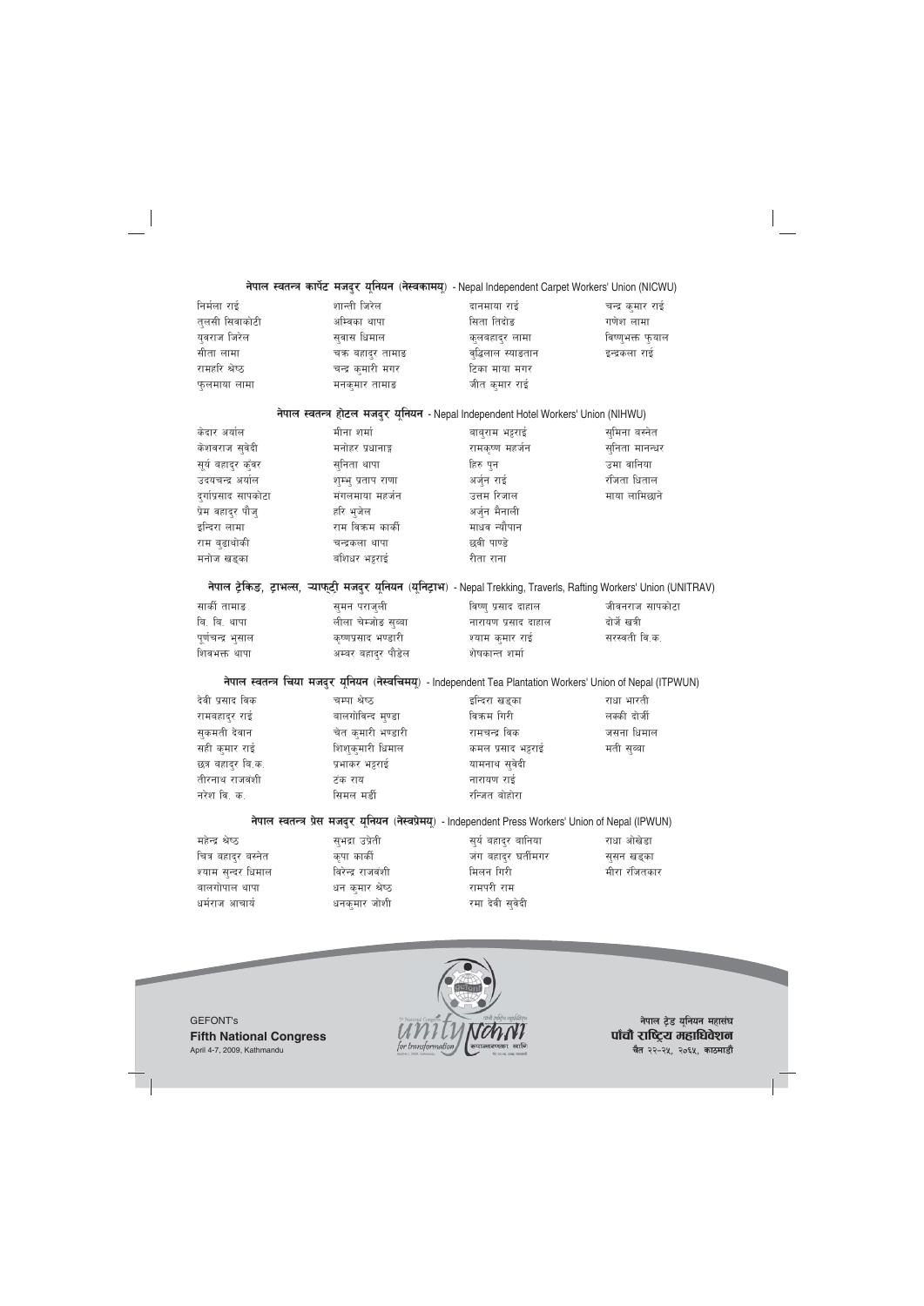## नेपाल स्वतन्त्र कार्पेट मजदुर यूनियन (नेस्वकामयू) - Nepal Independent Carpet Workers' Union (NICWU)

| निर्मला राई    | शान्ती जिरेल      | दानमाया राई        | चन्द्र कुमार राई |
|----------------|-------------------|--------------------|------------------|
| तुलसी सिवाकोटी | अम्बिका थापा      | सिता तिदोङ         | गणेश लामा        |
| युवराज जिरेल   | सुवास धिमाल       | कुलबहादुर लामा     | विष्णुभक्त फुयाल |
| सीता लामा      | चक्र बहादुर तामाङ | वुद्धिलाल स्याङतान | इन्द्रकला राई    |
| रामहरि श्रेष्ठ | चन्द्र कुमारी मगर | टिका माया मगर      |                  |
| फुलमाया लामा   | मनकुमार तामाङ     | जीत कुमार राई      |                  |

#### नेपाल स्वतन्त्र होटल मजदुर यूनियन - Nepal Independent Hotel Workers' Union (NIHWU)

| केदार अर्याल         | मीना शर्मा         | बाबुराम भट्टराई | सुमिना बस्नेत  |
|----------------------|--------------------|-----------------|----------------|
| केशवराज सुवेदी       | मनोहर प्रधानाङ्ग   | रामकृष्ण महर्जन | सुनिता मानन्धर |
| सूर्य बहादुर कुँवर   | सुनिता थापा        | हिरु पुन        | उमा वानिया     |
| उदयचन्द्र अर्याल     | शुम्भु प्रताप राणा | अर्जुन राई      | रंजिता धिताल   |
| दुर्गाप्रसाद सापकोटा | मंगलमाया महर्जन    | उत्तम रिजाल     | माया लामिछाने  |
| प्रेम वहादुर पौजु    | हरि भुजेल          | अर्जुन मैनाली   |                |
| इन्दिरा लामा         | राम विक्रम कार्की  | माधव न्यौपान    |                |
| राम बुढाथोकी         | चन्द्रकला थापा     | छवी पाण्डे      |                |
| मनोज खड्का           | बंशिधर भट्टराई     | रीता राना       |                |

# नेपाल ट्रेकिङ, ट्राभल्स, न्याफ्ट्री मजदुर यूनियन (यूनिट्राभ) - Nepal Trekking, Traverls, Rafting Workers' Union (UNITRAV)

| सार्की तामाङ      | सुमन पराजुली        | विष्णु प्रसाद दाहाल | जीवनराज सापकोटा |
|-------------------|---------------------|---------------------|-----------------|
| बि. बि. थापा      | लीला चेम्जोङ सुब्बा | नारायण प्रसाद दाहाल | दोर्जे खत्री    |
| पूर्णचन्द्र भुसाल | कृष्णप्रसाद भण्डारी | श्याम कुमार राई     | सरस्वती वि.क.   |
| शिवभक्त थापा      | अम्बर बहादुर पौडेल  | शेषकान्त शर्मा      |                 |

# नेपाल स्वतन्त्र चिया मजदुर युनियन (नेस्वचिमय्) - Independent Tea Plantation Workers' Union of Nepal (ITPWUN)

| देवी प्रसाद विक   | चम्पा श्रेष्ठ      | इन्दिरा खड्का      | राधा भारती   |
|-------------------|--------------------|--------------------|--------------|
| रामबहादुर राई     | बालगोविन्द मुण्डा  | विक्रम गिरी        | लक्की दोर्जी |
| सुकमती देवान      | चेत कुमारी भण्डारी | रामचन्द्र विक      | जसना धिमाल   |
| सही कुमार राई     | शिशुकुमारी धिमाल   | कमल प्रसाद भट्टराई | मती सुब्बा   |
| छत्र बहादुर बि.क. | प्रभाकर भट्टराई    | यामनाथ सुवेदी      |              |
| तीरनाथ राजवंशी    | टंक राय            | नारायण राई         |              |
| नरेश वि. क.       | सिमल मर्डी         | रन्जित बोहोरा      |              |

## नेपाल स्वतन्त्र प्रेस मजदुर यूनियन (नेस्वप्रेमयू) - Independent Press Workers' Union of Nepal (IPWUN)

महेन्द्र श्रेष्ठ चित्र बहादुर बस्नेत श्याम सन्दर धिमाल बालगोपाल थापा धर्मराज आचार्य

सुभद्रा उप्रेती विरेन्द्र राजवंशी धन कुमार श्रेष्ठ धनकमार जोशी

कृपा कार्की

सुर्य बहादुर बानिया जंग बहादुर घर्तीमगर मिलन गिरी रामपरी राम रमा देवी सुवेदी

राधा ओखेडा सुसन खड्का मीरा रंजितकार

GEFONT's **Fifth National Congress** April 4-7, 2009, Kathmandu



**नेपाल ट्रेड यूनियन महासंघ** पाँचौ राष्ट्रिय महाधिवेशन **चैत २२-२५, २०६५, काठमाडौं**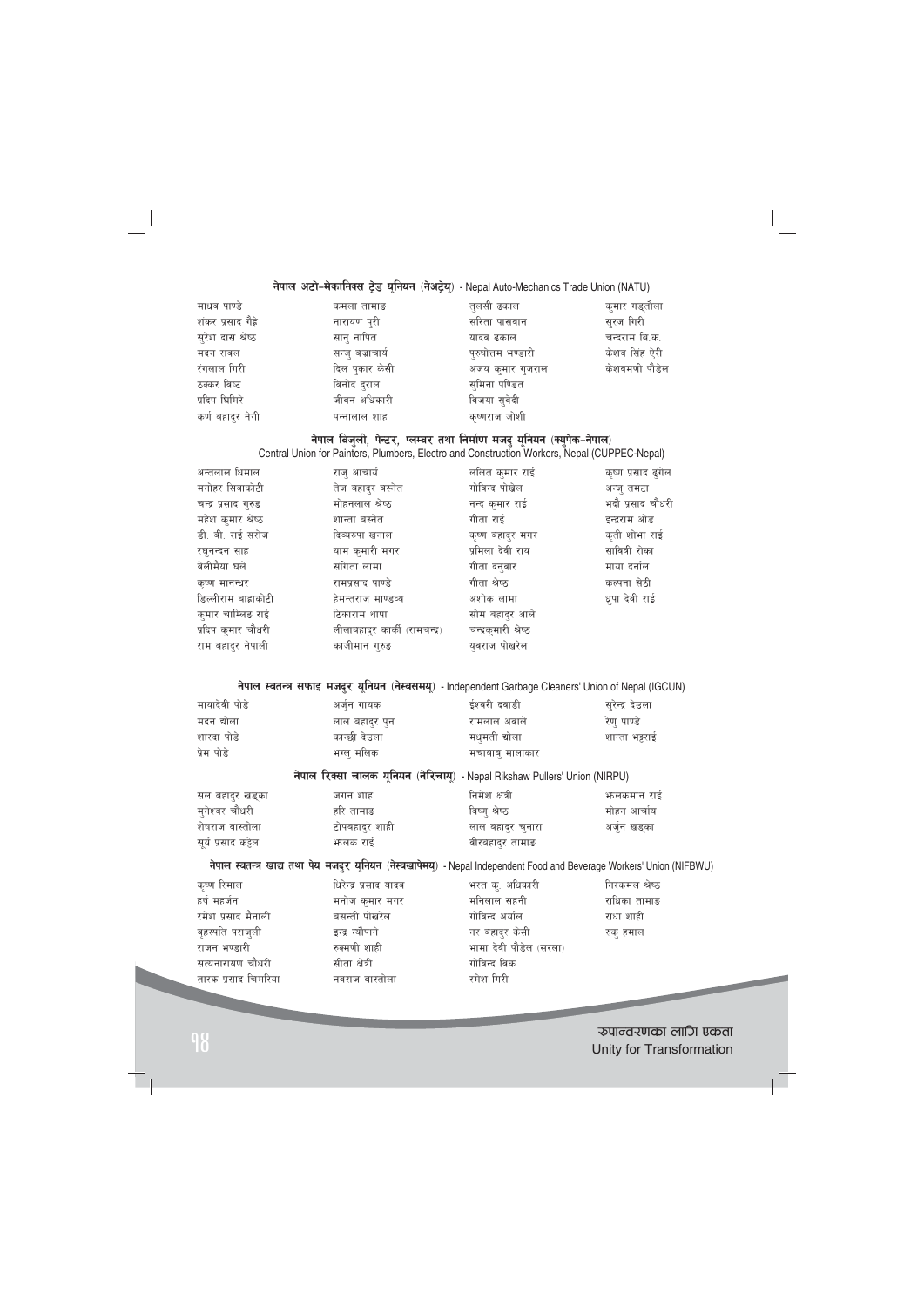# नेपाल अटो-मेकानिक्स ट्रेड यूनियन (नेअट्रेयू) - Nepal Auto-Mechanics Trade Union (NATU)

| माधव पाण्डे        | कमला तामाङ       | तुलसी ढकाल         | कुमार गड्तौला |
|--------------------|------------------|--------------------|---------------|
| शंकर प्रसाद गैह्रे | नारायण पुरी      | सरिता पासवान       | सुरज गिरी     |
| सुरेश दास श्रेष्ठ  | सान् नापित       | यादव ढकाल          | चन्दराम बि.क. |
| मदन रावल           | सन्ज् बज्राचार्य | पुरुषोत्तम भण्डारी | केशव सिंह ऐरी |
| रंगलाल गिरी        | दिल पुकार केसी   | अजय कुमार गुजराल   | केशवमणी पौडेल |
| ठक्कर विष्ट        | विनोद दुराल      | सुमिना पण्डित      |               |
| प्रदिप घिमिरे      | जीवन अधिकारी     | विजया सुवेदी       |               |
| कर्ण बहादुर नेगी   | पन्नालाल शाह     | कृष्णराज जोशी      |               |

# नेपाल बिजुली, पेन्टर, प्लम्बर तथा निर्माण मजदु यूनियन (क्युपेक-नेपाल)

Central Union for Painters, Plumbers, Electro and Construction Workers, Nepal (CUPPEC-Nepal)

| अन्तलाल धिमाल        | राजु आचार्य                   | ललित कुमार राई       | कृष्ण प्रसाद ढुंगेल |
|----------------------|-------------------------------|----------------------|---------------------|
| मनोहर सिवाकोटी       | तेज बहाद्र बस्नेत             | गोविन्द पोखेल        | अन्ज् तमटा          |
| चन्द्र प्रसाद गुरुङ  | मोहनलाल श्रेष्ठ               | नन्द कुमार राई       | भदौ प्रसाद चौधरी    |
| महेश कुमार श्रेष्ठ   | शान्ता बस्नेत                 | गीता राई             | इन्द्रराम ओड        |
| डी. बी. राई सरोज     | दिव्यरुपा खनाल                | कृष्ण बहाद्र मगर     | कृती शोभा राई       |
| रघुनन्दन साह         | याम कुमारी मगर                | प्रमिला देवी राय     | सावित्री रोका       |
| वेलीमैया घले         | संगिता लामा                   | गीता दन्वार          | माया दर्नाल         |
| कृष्ण मानन्धर        | रामप्रसाद पाण्डे              | गीता श्रेष्ठ         | कल्पना सेठी         |
| डिल्लीराम बाह्राकोटी | हेमन्तराज माण्डव्य            | अशोक लामा            | धुपा देवी राई       |
| कुमार चाम्लिङ राई    | टिकाराम थापा                  | सोम बहादर आले        |                     |
| प्रदिप क्मार चौधरी   | लीलाबहाद्र कार्की (रामचन्द्र) | चन्द्रकुमारी श्रेष्ठ |                     |
| राम बहाद्र नेपाली    | काजीमान गुरुङ                 | यवराज पोखरेल         |                     |

नेपाल स्वतन्त्र सफाइ मजदुर यूनियन (नेस्वसमयू) - Independent Garbage Cleaners' Union of Nepal (IGCUN)

| मायादेवी पोडे                             | अर्जुन गायक                                                                | ईश्वरी दवाडी    | सुरेन्द्र देउला |
|-------------------------------------------|----------------------------------------------------------------------------|-----------------|-----------------|
| मदन द्योला                                | लाल बहादुर पुन                                                             | रामलाल अवाले    | रेण पाण्डे      |
| शारदा पोडे                                | कान्छी देउला                                                               | मधुमती द्योला   | शान्ता भट्टराई  |
| प्रेम पोडे                                | भग्ल् मलिक                                                                 | मचाबाबु मालाकार |                 |
|                                           | नेपाल रिक्सा चालक यूनियन (नेरिचायू) - Nepal Rikshaw Pullers' Union (NIRPU) |                 |                 |
| सल बहादुर खड्का                           | जगन शाह                                                                    | निमेश क्षत्री   | भन्लकमान राई    |
| $\rightarrow$ $\rightarrow$ $\rightarrow$ | $\overline{\phantom{a}}$                                                   | $\sim$ $\sim$   |                 |

| मुनेश्वर चौधरी      | र्हारे तामाङ   | विष्ण श्रेष्ठ     | मोहन आचोय  |
|---------------------|----------------|-------------------|------------|
| शेषराज वास्तोला     | टोपबहादुर शाही | लाल बहाद्र चुनारा | अजुन खड्का |
| सूर्य प्रसाद कट्टेल | भालक राइ       | वीरबहादुर तामाङ   |            |

## नेपाल स्वतन्त्र खाद्य तथा पेय मजदुर यूनियन (नेस्वखापेमय्) - Nepal Independent Food and Beverage Workers' Union (NIFBWU)

| कृष्ण रिमाल         | धिरेन्द्र प्रसाद यादव | भरत कु. अधिकारी        | निरकमल श्रेष्ठ |
|---------------------|-----------------------|------------------------|----------------|
| हर्ष महर्जन         | मनोज कुमार मगर        | मनिलाल सहनी            | राधिका तामाङ   |
| रमेश प्रसाद मैनाली  | बसन्ती पोखरेल         | गोविन्द अर्याल         | राधा शाही      |
| वृहस्पति पराजुली    | इन्द्र न्यौपाने       | नर बहादुर केसी         | रुक् हमाल      |
| राजन भण्डारी        | रुक्मणी शाही          | भामा देवी पौडेल (सरला) |                |
| सत्यनारायण चौधरी    | सीता क्षेत्री         | गोविन्द विक            |                |
| तारक प्रसाद चिमरिया | नवराज बास्तोला        | रमेश गिरी              |                |

?kfGt/0fsf nflu Pstf <sup>14</sup> Unity for Transformation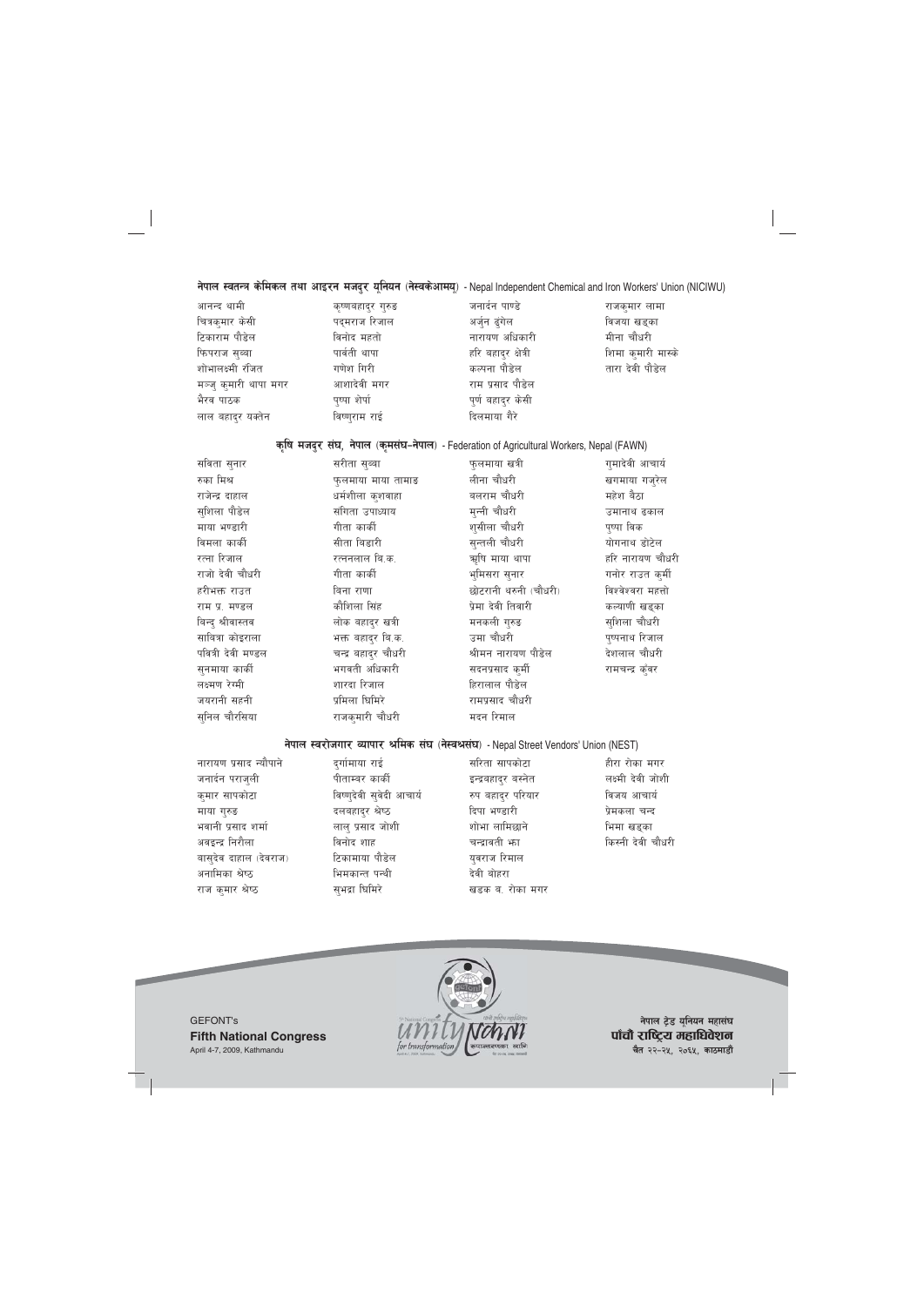## नेपाल स्वतन्त्र केमिकल तथा आइरन मजदुर यूनियन (नेस्वकेआमय्) - Nepal Independent Chemical and Iron Workers' Union (NICIWU)

| आनन्द थामी            | कृष्णबहादुर गुरुङ | जनार्दन पाण्डे      | राजकुमार लामा      |
|-----------------------|-------------------|---------------------|--------------------|
| चित्रकुमार केसी       | पद्मराज रिजाल     | अर्जुन ढुंगेल       | विजया खड्का        |
| टिकाराम पौडेल         | विनोद महतो        | नारायण अधिकारी      | मीना चौधरी         |
| फिपराज सुब्बा         | पार्वती थापा      | हरि बहादुर क्षेत्री | शिमा कुमारी मास्के |
| शोभालक्ष्मी रंजित     | गणेश गिरी         | कल्पना पौडेल        | तारा देवी पौडेल    |
| मञ्जु कुमारी थापा मगर | आशादेवी मगर       | राम प्रसाद पौडेल    |                    |
| भैरव पाठक             | पृष्पा शेर्पा     | पूर्ण बहादुर केसी   |                    |
| लाल बहादुर यक्तेन     | विष्णुराम राई     | दिलमाया गैरे        |                    |

#### कृषि मजदर संघ, नेपाल (कमसंघ-नेपाल) - Federation of Agricultural Workers, Nepal (FAWN)

सविता सनार रुका मिश्र राजेन्द्र दाहाल सशिला पौडेल माया भण्डारी विमला कार्की रत्ना रिजाल राजो देवी चौधरी हरीभक्त राउत राम प्र. मण्डल बिन्द श्रीवास्तव साबित्रा कोइराला पवित्री देवी मण्डल सुनमाया कार्की लक्ष्मण रेग्मी जयरानी सहनी सुनिल चौरसिया

सरीता सब्बा फलमाया माया तामाङ धर्मशीला क्शवाहा संगिता उपाध्याय गीता कार्की सीता बिडारी रत्ननलाल बि.क. गीता कार्की बिना राणा कौशिला सिंह लोक बहादुर खत्री भक्त बहादुर बि.क. चन्द्र बहाद्र चौधरी भगवती अधिकारी शारदा रिजाल प्रमिला घिमिरे राजकुमारी चौधरी

फलमाया खत्री लीना चौधरी बलराम चौधरी मन्नी चौधरी शसीला चौधरी सन्तली चौधरी ऋषि माया थापा भूमिसरा सुनार छोटरानी थरुनी (चौधरी) प्रेमा देवी तिवारी मनकली गरुड उमा चौधरी श्रीमन नारायण पौडेल सदनप्रसाद कुर्मी हिरालाल पौडेल रामपसाद चौधरी मदन रिमाल

गमादेवी आचार्य खगमाया गजरेल महेश बैठा उमानाथ ढकाल पुष्पा विक योगनाथ डोटेल हरि नारायण चौधरी गनोर राउत कर्मी विश्वेश्वरा महत्तो कल्याणी खडका सशिला चौधरी पष्पनाथ रिजाल देशलाल चौधरी रामचन्द्र कँवर

#### नेपाल स्वरोजगार व्यापार श्रमिक संघ (नेस्वश्रसंघ) - Nepal Street Vendors' Union (NEST)

नारायण प्रसाद न्यौपाने दर्गामाया राई सरिता सापकोटा हीरा रोका मगर जनार्दन पराजुली पीताम्बर कार्की इन्द्रबहाद्र बस्नेत लक्ष्मी देवी जोशी विष्णुदेवी सुवेदी आचार्य कुमार सापकोटा रुप बहादुर परियार विजय आचार्य प्रेमकला चन्द माया गुरुङ दलबहादुर श्रेष्ठ दिपा भण्डारी भवानी प्रसाद शर्मा लालु प्रसाद जोशी शोभा लामिछाने भिमा खडका अवइन्द्र निरौला चन्द्रावती भा किस्नी देवी चौधरी विनोद शाह बास्देव दाहाल (देवराज) टिकामाया पौडेल यवराज रिमाल अनामिका श्रेष्ठ भिमकान्त पन्थी देवी बोहरा राज कुमार श्रेष्ठ सभद्रा घिमिरे खडक ब. रोका मगर



नेपाल ट्रेड युनियन महासंघ पाँचौ राष्ट्रिय महाधिवेशन चैत २२-२५, २०६५, काठमाडौं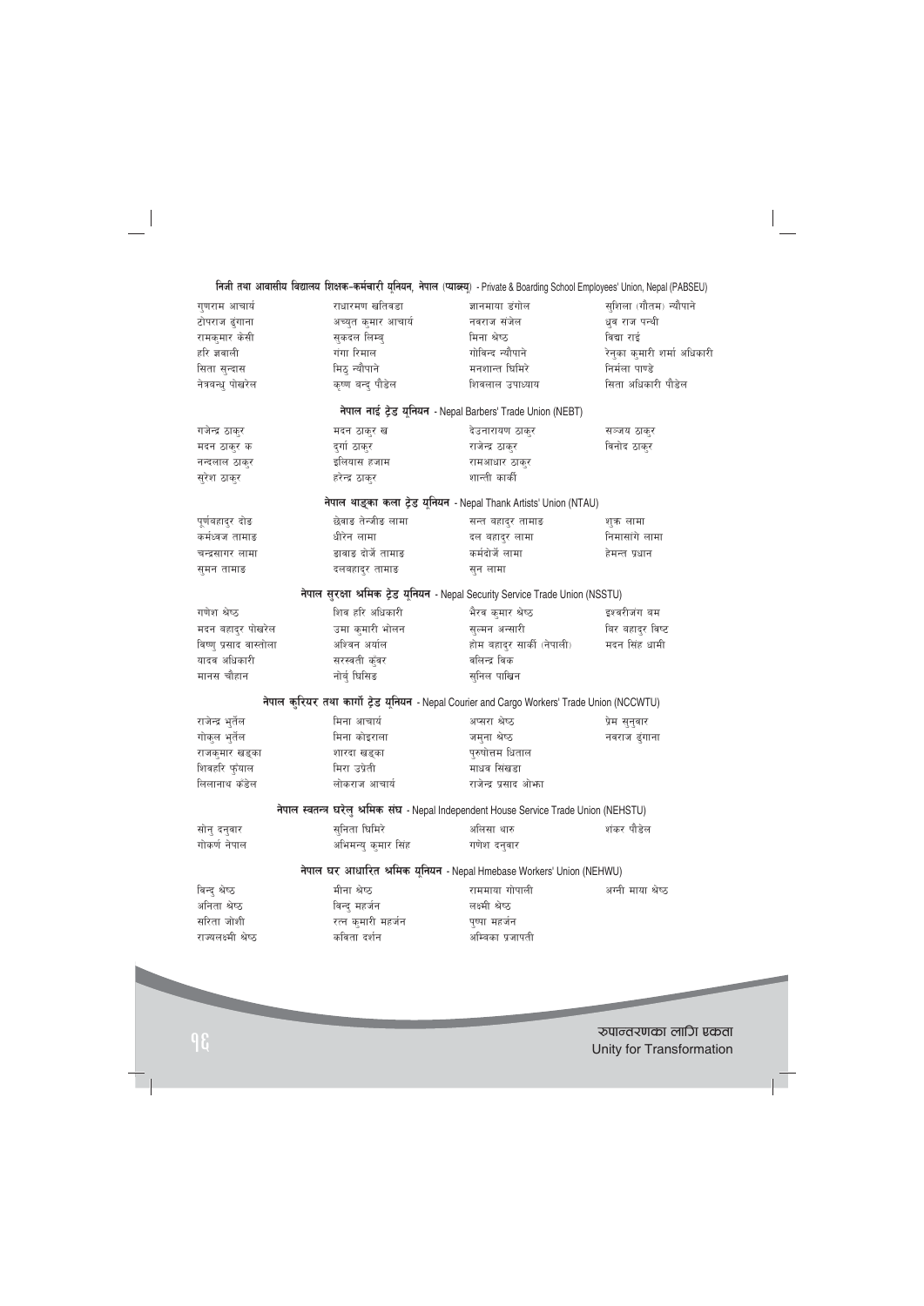**lghL tyf cfjf;Lo ljBfno lzIfs–sd{rf/L o"lgog, g]kfn -KofA:o"\_** - Private & Boarding School Employees' Union, Nepal (PABSEU)

| गुणराम आचार्य          | राधारमण खतिवडा      | ज्ञानमाया डंगोल                                                                              | सुशिला (गौतम) न्यौपाने      |
|------------------------|---------------------|----------------------------------------------------------------------------------------------|-----------------------------|
| टोपराज ढुंगाना         | अच्युत कुमार आचार्य | नवराज संजेल                                                                                  | धव राज पन्थी                |
| रामकुमार केसी          | सुकदल लिम्बु        | मिना श्रेष्ठ                                                                                 | विद्या राई                  |
| हरि ज्ञवाली            | गंगा रिमाल          | गोविन्द न्यौपाने                                                                             | रेनुका कुमारी शर्मा अधिकारी |
| सिता सुन्दास           | मिठ् न्यौपाने       | मनशान्त धिमिरे                                                                               | निर्मला पाण्डे              |
| नेत्रबन्धु पोखरेल      | कृष्ण बन्द पौडेल    | शिवलाल उपाध्याय                                                                              | सिता अधिकारी पौडेल          |
|                        |                     | नेपाल नाई ट्रेड यूनियन - Nepal Barbers' Trade Union (NEBT)                                   |                             |
| गजेन्द्र ठाकुर         | मदन ठाकुर ख         | देउनारायण ठाकुर                                                                              | सञ्जय ठाकुर                 |
| मदन ठाकुर क            | दुर्गा ठाकुर        | राजेन्द्र ठाकुर                                                                              | विनोद ठाकुर                 |
| नन्दलाल ठाकुर          | इलियास हजाम         | रामआधार ठाकुर                                                                                |                             |
| सुरेश ठाकुर            | हरेन्द्र ठाकुर      | शान्ती कार्की                                                                                |                             |
|                        |                     | नेपाल थाइका कला ट्रेड यूनियन - Nepal Thank Artists' Union (NTAU)                             |                             |
| पूर्णबहादुर दोङ        | छेवाङ तेन्जीङ लामा  | सन्त बहादुर तामाङ                                                                            | शक लामा                     |
| कर्मध्वज तामाङ         | धीरेन लामा          | दल बहादुर लामा                                                                               | निमासांगे लामा              |
| चन्द्रसागर लामा        | झवाङ दोर्जे तामाङ   | कर्मदोर्जे लामा                                                                              | हेमन्त प्रधान               |
| सुमन तामाङ             | दलबहादुर तामाङ      | सुन लामा                                                                                     |                             |
|                        |                     | नेपाल सुरक्षा श्रमिक ट्रेड यूनियन - Nepal Security Service Trade Union (NSSTU)               |                             |
| गणेश श्रेष्ठ           | शिव हरि अधिकारी     | भैरव कुमार श्रेष्ठ                                                                           | इश्वरीजंग बम                |
| मदन बहादुर पोखरेल      | उमा कुमारी भोलन     | सुल्मन अन्सारी                                                                               | बिर बहादुर विष्ट            |
| विष्णु प्रसाद वास्तोला | अश्विन अर्याल       | होम बहादुर सार्की (नेपाली)                                                                   | मदन सिंह धामी               |
| यादव अधिकारी           | सरस्वती कुँवर       | वलिन्द्र विक                                                                                 |                             |
| मानस चौहान             | नोर्ब् घिसिङ        | सुनिल पाखिन                                                                                  |                             |
|                        |                     | नेपाल कुरियर तथा कार्गो ट्रेड यूनियन - Nepal Courier and Cargo Workers' Trade Union (NCCWTU) |                             |
| राजेन्द्र भुर्तेल      | मिना आचार्य         | अप्सरा श्रेष्ठ                                                                               | प्रेम सुनुवार               |
| गोकुल भुर्तेल          | मिना कोइराला        | जमुना श्रेष्ठ                                                                                | नवराज ढुंगाना               |
| राजकुमार खड्का         | शारदा खड्का         | पुरुषोत्तम धिताल                                                                             |                             |
| शिवहरि फुँयाल          | मिरा उप्रेती        | माधव सिंखडा                                                                                  |                             |
| लिलानाथ कँडेल          | लोकराज आचार्य       | राजेन्द्र प्रसाद ओफा                                                                         |                             |
|                        |                     | नेपाल स्वतन्त्र घरेलु श्रमिक संघ - Nepal Independent House Service Trade Union (NEHSTU)      |                             |
| सोनु दनुवार            | सुनिता घिमिरे       | अलिसा थारु                                                                                   | शंकर पौडेल                  |
| गोकर्ण नेपाल           | अभिमन्यु कुमार सिंह | गणेश दनुवार                                                                                  |                             |
|                        |                     | नेपाल घर आधारित श्रमिक यूनियन - Nepal Hmebase Workers' Union (NEHWU)                         |                             |
| विन्दु श्रेष्ठ         | मीना श्रेष्ठ        | राममाया गोपाली                                                                               | अग्नी माया श्रेष्ठ          |
| अनिता श्रेष्ठ          | विन्द् महर्जन       | लक्ष्मी श्रेष्ठ                                                                              |                             |
| सरिता जोशी             | रत्न कुमारी महर्जन  | पुष्पा महर्जन                                                                                |                             |
| राज्यलक्ष्मी श्रेष्ठ   | कविता दर्शन         | अम्बिका प्रजापती                                                                             |                             |
|                        |                     |                                                                                              |                             |

?kfGt/0fsf nflu Pstf <sup>16</sup> Unity for Transformation

**Contract Contract** 

 $\overline{\phantom{0}}$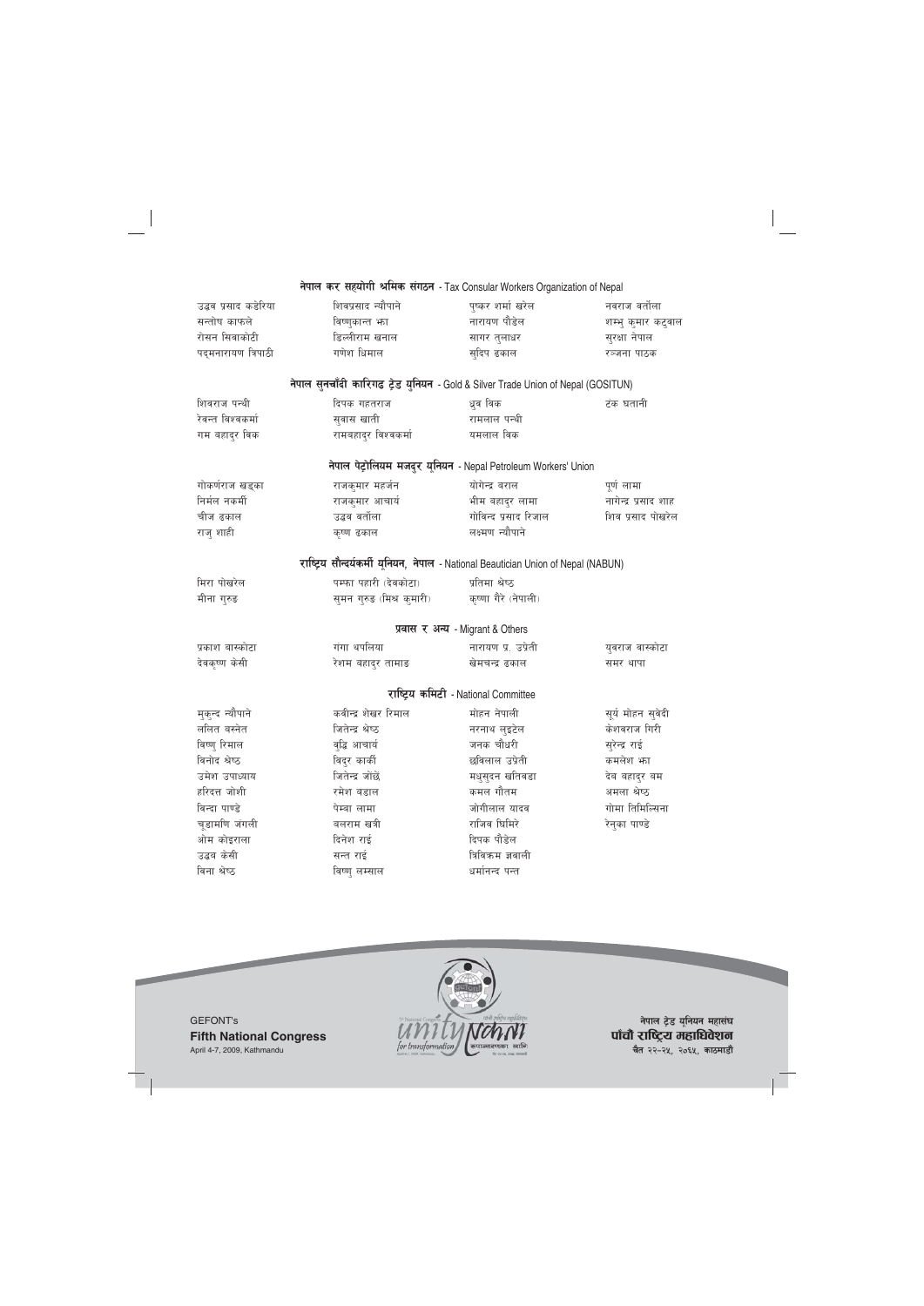|                      | नेपाल कर सहयोगी श्रमिक संगठन - Tax Consular Workers Organization of Nepal          |                                                                |                      |
|----------------------|------------------------------------------------------------------------------------|----------------------------------------------------------------|----------------------|
| उद्धव प्रसाद कडेरिया | शिवप्रसाद न्यौपाने                                                                 | पुष्कर शर्मा खरेल                                              | नवराज वर्तोला        |
| सन्तोष काफले         | विष्णुकान्त भग                                                                     | नारायण पौडेल                                                   | शम्भु कुमार कटुवाल   |
| रोसन सिवाकोटी        | डिल्लीराम खनाल                                                                     | सागर तुलाधर                                                    | सुरक्षा नेपाल        |
| पद्मनारायण त्रिपाठी  | गणेश धिमाल                                                                         | स्दिप ढकाल                                                     | रञ्जना पाठक          |
|                      | नेपाल सुनचाँदी कारिगढ ट्रेड युनियन - Gold & Silver Trade Union of Nepal (GOSITUN)  |                                                                |                      |
| शिवराज पन्थी         | दिपक गहतराज                                                                        | धूव विक                                                        | टंक घतानी            |
| रेवन्त विश्वकर्मा    | सुवास खाती                                                                         | रामलाल पन्थी                                                   |                      |
| गम बहादुर विक        | रामबहादुर विश्वकर्मा                                                               | यमलाल विक                                                      |                      |
|                      |                                                                                    | नेपाल पेट्रोलियम मजदुर यूनियन - Nepal Petroleum Workers' Union |                      |
| गोकर्णराज खड्का      | राजकुमार महर्जन                                                                    | योगेन्द्र बराल                                                 | पूर्ण लामा           |
| निर्मल नकर्मी        | राजकुमार आचार्य                                                                    | भीम बहादुर लामा                                                | नागेन्द्र प्रसाद शाह |
| चीज ढकाल             | उद्धव वर्तोला                                                                      | गोविन्द प्रसाद रिजाल                                           | शिव प्रसाद पोखरेल    |
| राजु शाही            | कृष्ण ढकाल                                                                         | लक्ष्मण न्यौपाने                                               |                      |
|                      | राष्ट्रिय सौन्दर्यकर्मी यूनियन, नेपाल - National Beautician Union of Nepal (NABUN) |                                                                |                      |
| मिरा पोखरेल          | पम्फा पहारी (देवकोटा)                                                              | प्रतिमा श्रेष्ठ                                                |                      |
| मीना गुरुङ           | समन गुरुङ (मिश्र कुमारी)                                                           | कृष्णा गैरे (नेपाली)                                           |                      |
|                      |                                                                                    | प्रवास र अन्य - Migrant & Others                               |                      |
| प्रकाश बास्कोटा      | गंगा थपलिया                                                                        | नारायण प्र. उप्रेती                                            | युवराज वास्कोटा      |
| देवकृष्ण केसी        | रेशम बहाद्र तामाङ                                                                  | खेमचन्द्र ढकाल                                                 | समर थापा             |
|                      |                                                                                    | राष्ट्रिय कमिटी - National Committee                           |                      |
| मुकन्द न्यौपाने      | कवीन्द्र शेखर रिमाल                                                                | मोहन नेपाली                                                    | सूर्य मोहन सुवेदी    |
| ललित बस्नेत          | जितेन्द्र श्रेष्ठ                                                                  | नरनाथ लुइटेल                                                   | केशवराज गिरी         |
| विष्ण् रिमाल         | व्द्धि आचार्य                                                                      | जनक चौधरी                                                      | सुरेन्द्र राई        |
| विनोद श्रेष्ठ        | विदुर कार्की                                                                       | छविलाल उप्रेती                                                 | कमलेश भग             |
| उमेश उपाध्याय        | जितेन्द्र जोंछें                                                                   | मधुसुदन खतिवडा                                                 | देव बहादुर बम        |
| हरिदत्त जोशी         | रमेश बडाल                                                                          | कमल गौतम                                                       | अमला श्रेष्ठ         |
| विन्दा पाण्डे        | पेम्बा लामा                                                                        | जोगीलाल यादव                                                   | गोमा तिमिल्सिना      |
| चूडामणि जंगली        | बलराम खत्री                                                                        | राजिव घिमिरे                                                   | रेनुका पाण्डे        |
| ओम कोइराला           | दिनेश राई                                                                          | दिपक पौडेल                                                     |                      |
| उद्धब केसी           | सन्त राई                                                                           | त्रिविकम ज्ञवाली                                               |                      |
| विना श्रेष्ठ         | विष्णु लम्साल                                                                      | धर्मानन्द पन्त                                                 |                      |



नेपाल ट्रेड यूनियन महासंघ पाँचौ राष्ट्रिय महाधिवेशन **चैत** २२-२५, २०६५, काठमाडौं

GEFONT's **Fifth National Congress** April 4-7, 2009, Kathmandu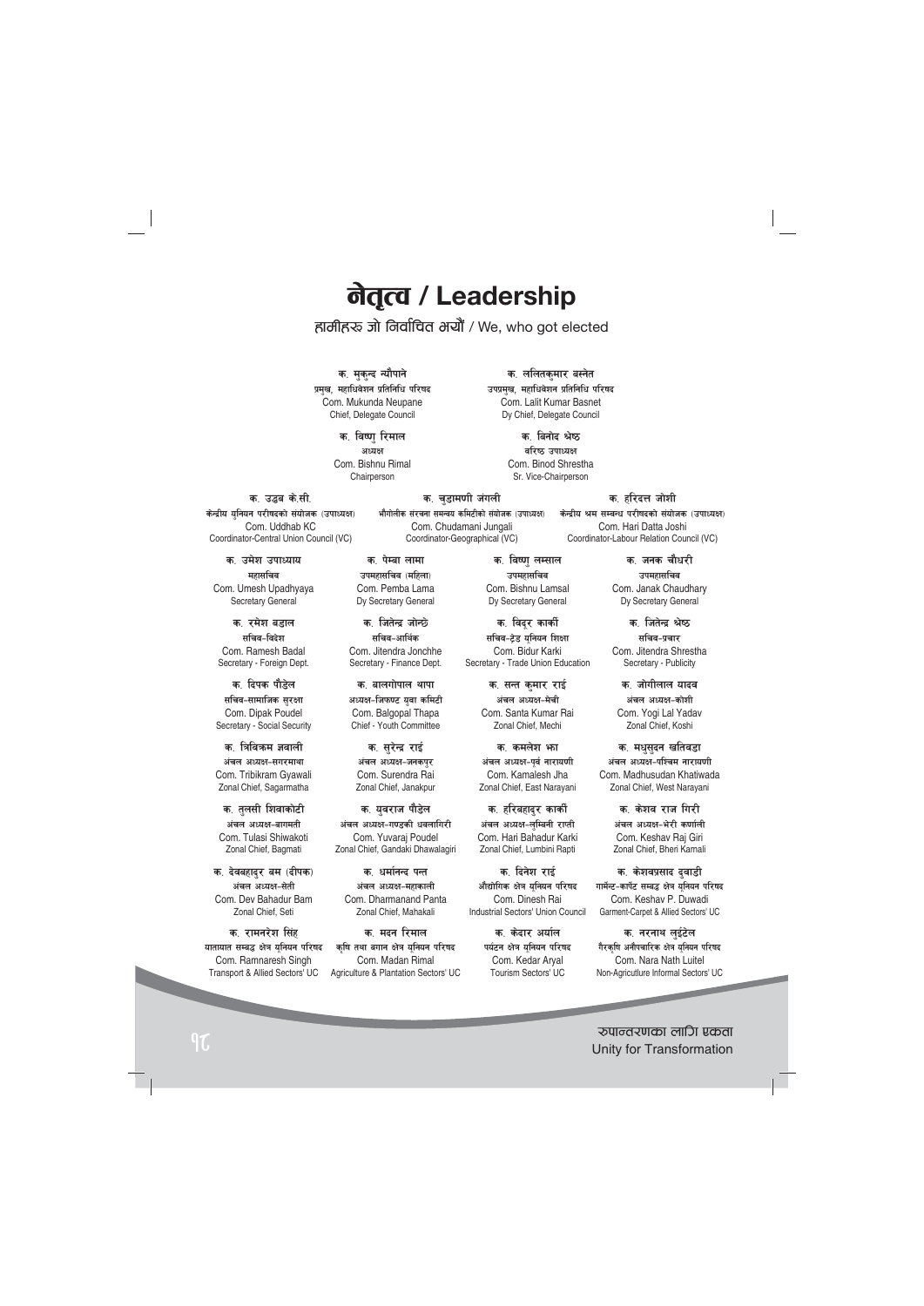# **लेतृत्व / Leadership** |<br>|<br>|

# हामीहरू जो निर्वाचित भयौं / We, who got elected

क<sub>.</sub> चडामणी जंगली भौगोलीक संरचना समन्वय कमिटीको संयोजक (उपाध्यक्ष) Com. Chudamani Jungali Coordinator-Geographical (VC)

क. मकन्द न्यौपाने प्रमख, महाधिवेशन प्रतिनिधि परिष**द** Com. Mukunda Neupane Chief, Delegate Council

> क. विष्णु रिमाल **cWoIf** Com. Bishnu Rimal Chairperson

क. ललितकमार बस्नेत उपप्रमख, महाधिवेशन प्रतिनिधि परिषद Com. Lalit Kumar Basnet Dy Chief, Delegate Council

> क. बिनोद श्रेष्ठ **बरिष्ठ उपाध्यक्ष** Com. Binod Shrestha Sr. Vice-Chairperson

#### क, उद्धब के.सी.

**केन्द्रीय यनियन परीषदको संयोजक (उपाध्यक्ष)** Com. Uddhab KC Coordinator-Central Union Council (VC)

क. उमेश उपाध्याय **महासचिव** Com. Umesh Upadhyaya Secretary General

क. रमेश बडाल सचिव-विदेश Com. Ramesh Badal Secretary - Foreign Dept.

क. दिपक पौडेल सचिव-सामाजिक **सर**क्षा Com. Dipak Poudel Secretary - Social Security

क**. त्रिविकम ज्ञवाली** अंचल अध्यक्ष-सगरमाथा Com. Tribikram Gyawali Zonal Chief, Sagarmatha

क. तलसी शिवाकोटी अंचल अध्यक्ष-बागमती Com. Tulasi Shiwakoti Zonal Chief, Bagmati

क. देवबहादर बम (दीपक) अंचल अध्यक्ष-सेती Com. Dev Bahadur Bam Zonal Chief, Seti

क, रामनरेश सिं**ह** यातायात सम्बद्ध क्षेत्र युनियन परिषद Com. Ramnaresh Singh Transport & Allied Sectors' UC

क. पेम्बा लामा **उपमहासचिव** (महिला) Com. Pemba Lama Dy Secretary General

क. जितेन्द्र जोन्छे सचिव-आर्थि**क** Com. Jitendra Jonchhe Secretary - Finance Dept.

क. बालगोपाल थापा अध्यक्ष-जिफण्ट यवा **कमिटी** Com. Balgopal Thapa Chief - Youth Committee

क. सरेन्द्र **रा**ई अंचल अध्यक्ष-जनकपर Com. Surendra Rai Zonal Chief, Janakpur

क. यवराज पौडेल अंचल अध्यक्ष-गण्डकी धवलागिरी Com. Yuvaraj Poudel Zonal Chief, Gandaki Dhawalagiri

क. धर्मानन्द **प**न्त अंचल अध्यक्ष-महाकाली Com. Dharmanand Panta Zonal Chief, Mahakali

क**सदन** रिमाल कषि तथा बगान क्षेत्र यनियन परिषद Com. Madan Rimal Agriculture & Plantation Sectors' UC

क. विष्णु लम्साल उपमहासचि**व** Com. Bishnu Lamsal Dy Secretary General

क. विद्**र कार्की** सचिव-ट्रेड यनियन शिक्षा Com. Bidur Karki Secretary - Trade Union Education

> क. सन्त कमार रा**ई** अंचल अध्यक्ष-मेची Com. Santa Kumar Rai Zonal Chief, Mechi

क**. कमलेश भ**ा अंचल अध्यक्ष-पर्व नारायणी Com. Kamalesh Jha Zonal Chief, East Narayani

क. हरिबहादुर कार्की अंचल अध्यक्ष-लम्बिनी रा**प्ती** Com. Hari Bahadur Karki Zonal Chief, Lumbini Rapti

क. दिनेश रा**ई** औद्योगिक क्षेत्र यनियन परिषद Com. Dinesh Rai Industrial Sectors' Union Council

> क **केटार अर्या**ल पर्यटन क्षेत्र यनियन परिषद Com. Kedar Aryal Tourism Sectors' UC

# क. हरिदत्त **जोशी**

केन्द्रीय श्रम सम्बन्ध परीषदको संयोजक (उपाध्यक्ष) Com. Hari Datta Joshi Coordinator-Labour Relation Council (VC)

> क. जनक चौधरी उपमहासचि**व** Com. Janak Chaudhary Dy Secretary General

> क. जितेन्द्र श्रेष्ठ सचिव-प्रचा**र** Com. Jitendra Shrestha Secretary - Publicity

क. जोगीलाल यादव अंचल अध्यक्ष-कोशी Com. Yogi Lal Yadav Zonal Chief, Koshi

क<sub>.</sub> मधुसुदन खतिवडा अंचल अध्यक्ष-पश्चिम नारायणी Com. Madhusudan Khatiwada Zonal Chief, West Narayani

> क**्केशव राज गिरी** अंचल अध्यक्ष-भेरी कर्णाली Com. Keshav Raj Giri Zonal Chief, Bheri Karnali

क. केशवप्रसाद **द्**वाडी गार्मेन्ट-कार्पेट सम्बद्ध क्षेत्र यनियन परिषद Com. Keshav P. Duwadi Garment-Carpet & Allied Sectors' UC

क. नरनाथ लईटेल गैरकषि अनौपचारिक क्षेत्र यनियन परिष<mark>द</mark> Com. Nara Nath Luitel Non-Agricutlure Informal Sectors' UC

?kfGt/0fsf nflu Pstf <sup>18</sup> Unity for Transformation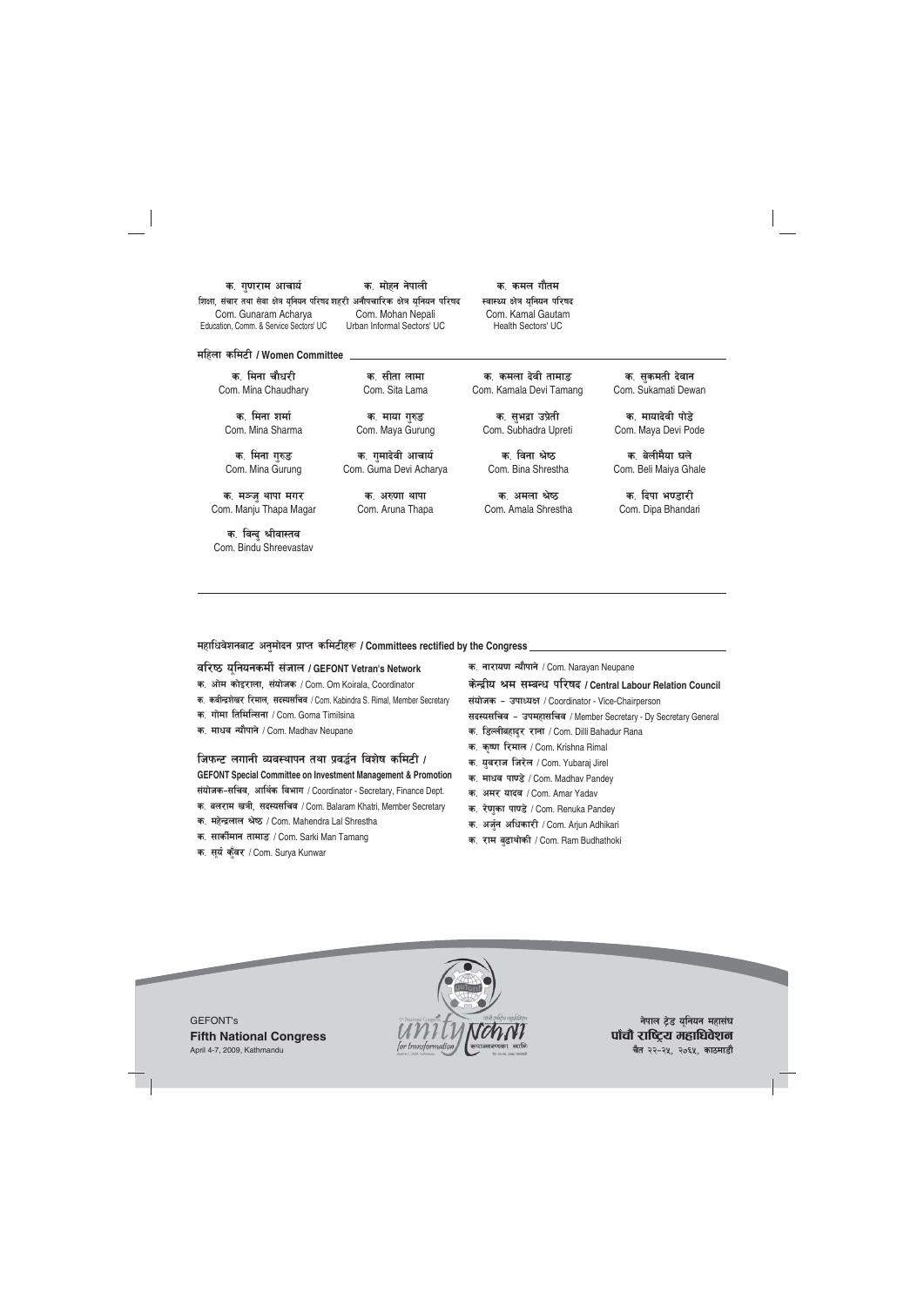#### क. गुणराम आचार्य

शिक्षा, संचार तथा सेवा क्षेत्र यूनियन परिषद शहरी अनौपचारिक क्षेत्र यूनियन परिष<mark>द</mark> Com. Gunaram Acharya Education, Comm. & Service Sectors' UC

क. मोहन नेपाली Com. Mohan Nepali Urban Informal Sectors' UC

क. कमल गौतम स्वास्थ्य क्षेत्र युनियन परिषद Com. Kamal Gautam Health Sectors' UC

**dlxnf sld6L / Women Committee**

क**्मिना** चौधरी Com. Mina Chaudhary

क**्मिना** शर्मा Com. Mina Sharma

**क. मिना गरु**ङ Com. Mina Gurung

क. **मञ्ज थापा मगर** Com. Manju Thapa Magar

क. विन्दु श्रीवास्तव Com. Bindu Shreevastav

क, सीता लामा Com. Sita Lama

**क. माया गरु**ङ Com. Maya Gurung

क, गमादेवी आचार्य Com. Guma Devi Acharya

> क. अरुणा थापा Com. Aruna Thapa

क. कमला देवी तामा**ङ** Com. Kamala Devi Tamang

क. सभद्रा उप्रेती Com. Subhadra Upreti

क**्विना** श्रेष्ठ Com. Bina Shrestha

क, अमला श्रेष्ठ Com. Amala Shrestha

क. सुकमती **देवान** Com. Sukamati Dewan

क, **मायादेवी** पोड़े Com. Maya Devi Pode

क, बेलीमैया **घले** Com. Beli Maiya Ghale

क. दिपा भ**ण्डारी** Com. Dipa Bhandari

महाधिवेशनबाट अनुमोदन प्राप्त कमिटीहरू / Committees rectified by the Congress

#### **jl/i7 o"lgogsdL{ ;+hfn / GEFONT Vetran's Network**

**s= cf]d sf]O/fnf, ;+of]hs** / Com. Om Koirala, Coordinator

- क. कवीन्द्रशेखर रिमाल, सदस्यसचिव / Com. Kabindra S. Rimal, Member Secretary
- क. गोमा तिमिल्सिना / Com. Goma Timilsina
- **क. माधव न्यौपाने / Com. Madhav Neupane**

**lhkmG6 nufgL Joj:yfkg tyf k|j4{g ljz]if sld6L /** 

**GEFONT Special Committee on Investment Management & Promotion** संयोजक-सचिव, आर्थिक विभाग / Coordinator - Secretary, Finance Dept.

- क. बलराम खत्री, सदस्यसचिव / Com. Balaram Khatri, Member Secretary
- **s= dx]Gb|nfn >]i7** / Com. Mahendra Lal Shrestha
- **s= ;fsL{dfg tfdfª** / Com. Sarki Man Tamang
- **s= ;"o{ s'"j/** / Com. Surya Kunwar

क. नारायण न्यौपाने / Com. Narayan Neupane

**s]Gb|Lo >d ;DaGw kl/ifb / Central Labour Relation Council**

संयोजक – उपाध्यक्ष / Coordinator - Vice-Chairperson

सदस्यसचिव - उपमहासचिव / Member Secretary - Dy Secretary General

- **s= l8NnLaxfb'/ /fgf** / Com. Dilli Bahadur Rana
- **s= s[i0f l/dfn** / Com. Krishna Rimal
- **s= o'j/fh lh/]n** / Com. Yubaraj Jirel
- क. माधव पाण्डे / Com. Madhav Pandey
- **s= cd/ ofbj** / Com. Amar Yadav
- **s= /]0f'sf kf08]**/ Com. Renuka Pandey
- **s= ch'{g clwsf/L** / Com. Arjun Adhikari
- **s= /fd a'9fyf]sL** / Com. Ram Budhathoki



**नेपाल ट्रेड युनियन महासंघ** पाँचौ राष्ट्रिय महाधिवेशन **चैत २२-२५, २०६५, काठमाडौं**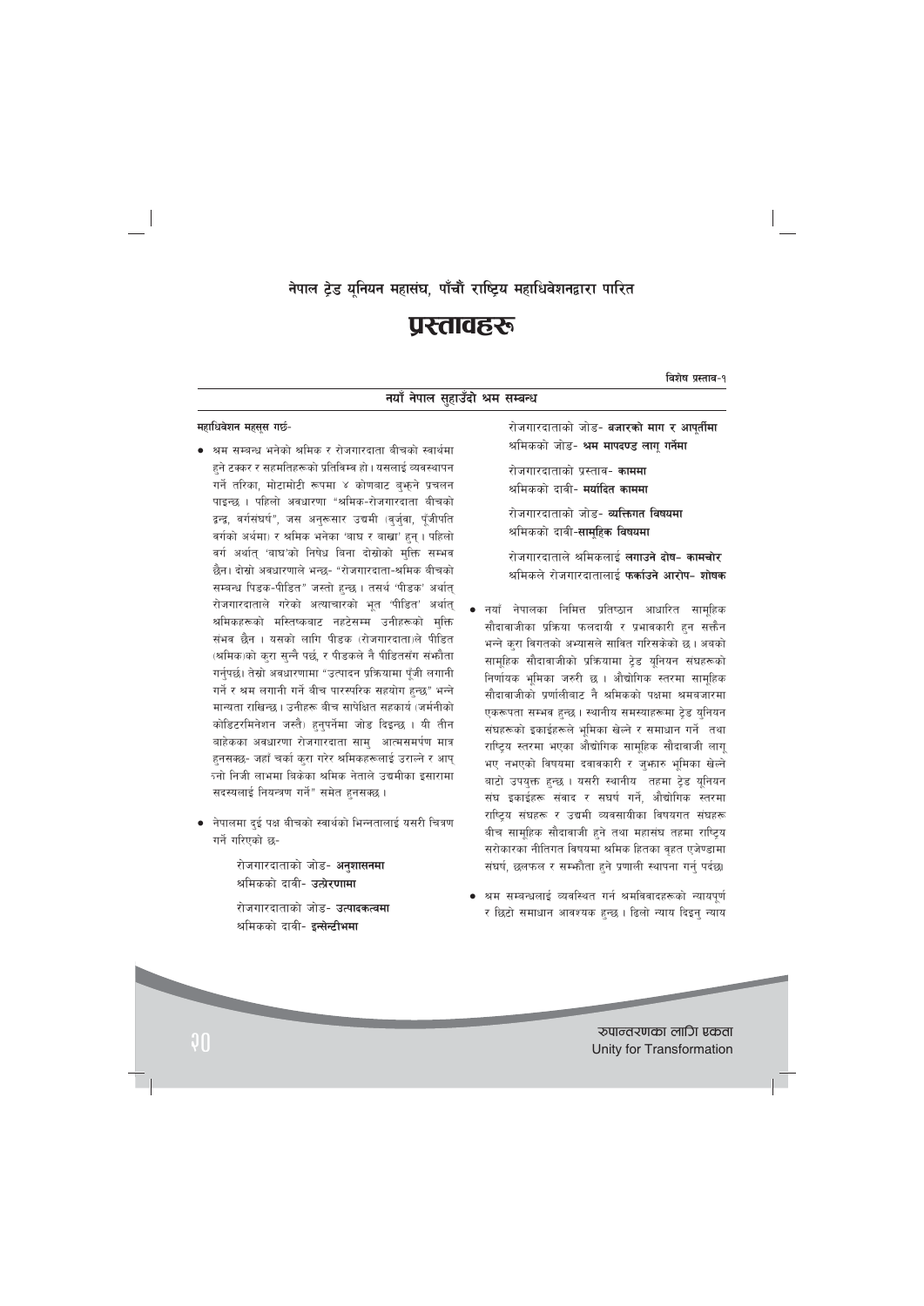# नेपाल ट्रेड यनियन महासंघ, पाँचौं राष्ट्रिय महाधिवेशनद्वारा पारित

# प्रस्तावहरू

विशेष प्रस्ताव-१

# नयाँ नेपाल सुहाउँदो श्रम सम्बन्ध

#### महाधिवेशन महसूस गर्छ-

- श्रम सम्बन्ध भनेको श्रमिक र रोजगारदाता बीचको स्वार्थमा हने टक्कर र सहमतिहरूको प्रतिविम्व हो। यसलाई व्यवस्थापन गर्ने तरिका, मोटामोटी रूपमा ४ कोणबाट बुफ़ने प्रचलन पाइन्छ । पहिलो अवधारणा "श्रमिक-रोजगारदाता बीचको द्वन्द्व, वर्गसंघर्ष", जस अनुरूसार उद्यमी (वर्जुवा, पूँजीपति वर्गको अर्थमा) र श्रमिक भनेका 'बाघ र बाखा' हन । पहिलो वर्ग अर्थात 'बाघ'को निषेध बिना दोस्रोको मुक्ति सम्भव छैन। दोस्रो अवधारणाले भन्छ- "रोजगारदाता-श्रमिक बीचको सम्बन्ध पिडक-पीडित" जस्तो हुन्छ । तसर्थ 'पीडक' अर्थात् रोजगारदाताले गरेको अत्याचारको भूत 'पीडित' अर्थात् श्रमिकहरूको मस्तिष्कबाट नहटेसम्म उनीहरूको मक्ति संभव छैन । यसको लागि पीड़क (रोजगारदाता)ले पीड़ित (श्रमिक)को करा सन्नै पर्छ, र पीडकले नै पीडितसँग संभौता गर्नुपर्छ। तेस्रो अवधारणामा "उत्पादन प्रक्रियामा पूँजी लगानी गर्ने र श्रम लगानी गर्ने बीच पारस्परिक सहयोग हन्छ" भन्ने मान्यता राखिन्छ। उनीहरू बीच सापेक्षित सहकार्य (जर्मनीको कोडिटरमिनेशन जस्तै) हनुपर्नेमा जोड दिइन्छ । यी तीन बाहेकका अवधारणा रोजगारदाता साम् आत्मसमर्पण मात्र हनसक्छ- जहाँ चर्का करा गरेर श्रमिकहरूलाई उराल्ने र आप् <u>रनो निजी लाभमा बिकेका श्रमिक नेताले उद्यमीका इसारामा</u> सदस्यलाई नियन्त्रण गर्ने" समेत हनसक्छ।
- नेपालमा दुई पक्ष बीचको स्वार्थको भिन्नतालाई यसरी चित्रण गर्ने गरिएको छ-

रोजगारदाताको जोड- **अनुशासनमा** श्रमिकको दावी- उत्प्रेरणामा रोजगारदाताको जोड- **उत्पादकत्वमा** श्रमिकको दावी- इ**न्सेन्टीभमा** 

रोजगारदाताको जोड- **बजारको माग र आपुर्तीमा** श्रमिकको जोड- श्रम मापदण्ड लागु गर्नेमा

रोजगारदाताको प्रस्ताव- **काममा** श्रमिकको दावी- **मर्यादित काममा** 

रोजगारदाताको जोड- **व्यक्तिगत विषयमा** श्रमिकको दावी-**सामहिक विषयमा** 

रोजगारदाताले श्रमिकलाई **लगाउने दोष- कामचोर** श्रमिकले रोजगारदातालाई **फर्काउने आरोप- शोषक** 

- नयाँ नेपालका निमित्त प्रतिष्ठान आधारित सामहिक सौदावाजीका प्रक्रिया फलदायी र प्रभावकारी हुन सक्तैन भन्ने करा विगतको अभ्यासले सावित गरिसकेको छ। अबको सामहिक सौदावाजीको प्रक्रियामा टेड यनियन संघहरूको निर्णायक भूमिका जरुरी छ । औद्योगिक स्तरमा सामुहिक सौदावाजीको प्रर्णालीबाट नै श्रमिकको पक्षमा श्रमबजारमा एकरूपता सम्भव हुन्छ । स्थानीय समस्याहरूमा टेड युनियन संघहरूको इकाईहरूले भूमिका खेल्ने र समाधान गर्ने तथा राष्ट्रिय स्तरमा भएका औद्योगिक सामूहिक सौदावाजी लागू भए नभएको विषयमा दवावकारी र जुभ्कारु भूमिका खेल्ने बाटो उपयुक्त हुन्छ । यसरी स्थानीय तहमा ट्रेड यूनियन संघ इकाईहरू संवाद र सघर्ष गर्ने, औद्योगिक स्तरमा राष्ट्रिय संघहरू र उद्यमी व्यवसायीका विषयगत संघहरू बीच सामूहिक सौदावाजी हुने तथा महासंघ तहमा राष्ट्रिय सरोकारका नीतिगत विषयमा श्रमिक हितका वहत एजेण्डामा संघर्ष, छलफल र सम्भनैता हुने प्रणाली स्थापना गर्नु पर्दछ।
- श्रम सम्बन्धलाई व्यवस्थित गर्न श्रमविवादहरूको न्यायपूर्ण र छिटो समाधान आवश्यक हुन्छ । ढिलो न्याय दिइन् न्याय

रुपान्तरणका लागि एकता Unity for Transformation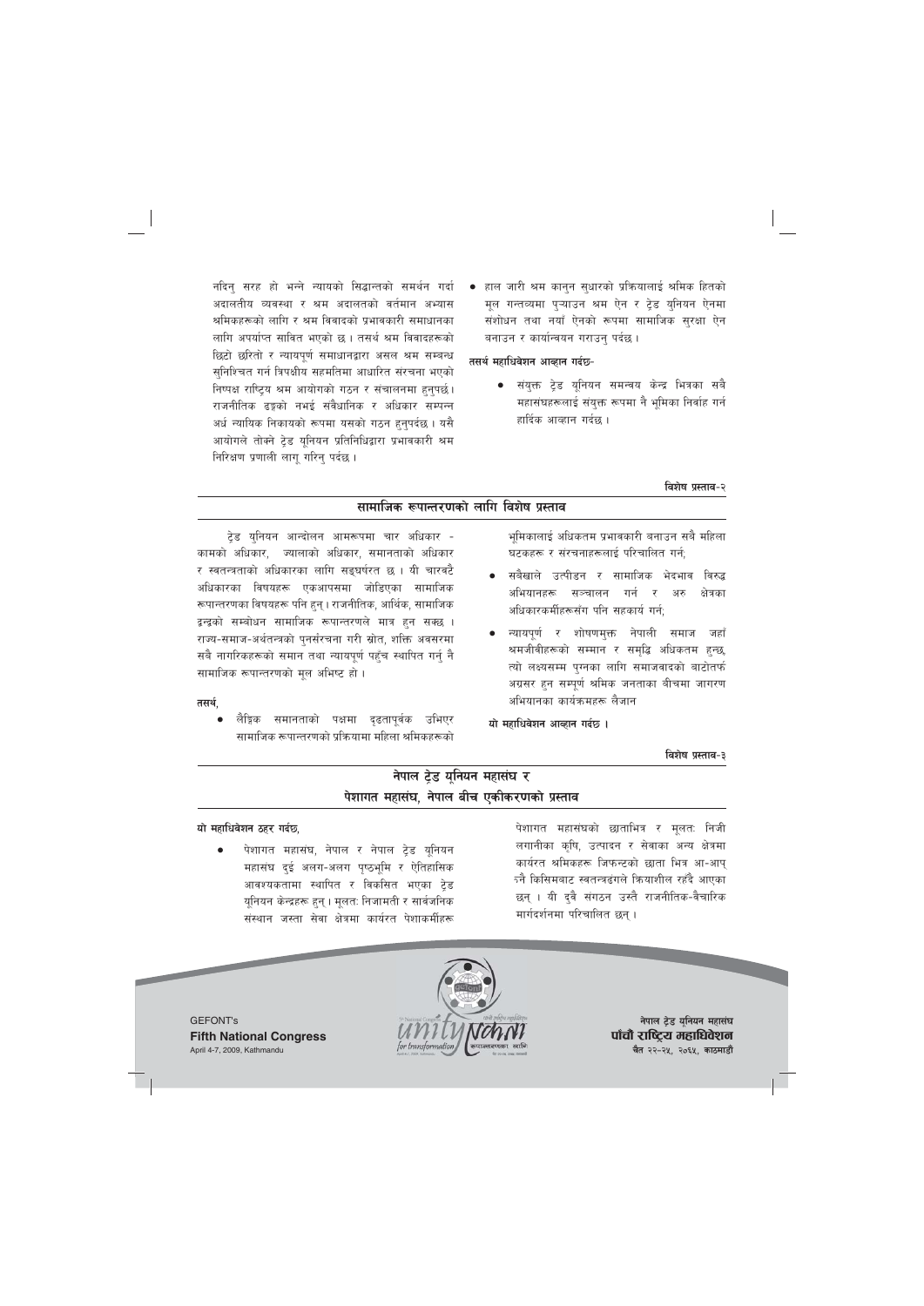नदिनु सरह हो भन्ने न्यायको सिद्धान्तको समर्थन गर्दा अदालतीय व्यवस्था र श्रम अदालतको वर्तमान अभ्यास श्रमिकहरूको लागि र श्रम विवादको प्रभावकारी समाधानका लागि अपर्याप्त सावित भएको छ। तसर्थ श्रम विवादहरूको छिटो छरितो र न्यायपूर्ण समाधानद्वारा असल श्रम सम्बन्ध सुनिश्चित गर्न त्रिपक्षीय सहमतिमा आधारित संरचना भएको निष्पक्ष राष्ट्रिय श्रम आयोगको गठन र संचालनमा हुनुपर्छ। राजनीतिक ढङ्गको नभई संवैधानिक र अधिकार सम्पन्न अर्ध न्यायिक निकायको रूपमा यसको गठन हुनुपर्दछ । यसै आयोगले तोक्ने ट्रेड यूनियन प्रतिनिधिद्वारा प्रभावकारी श्रम निरिक्षण प्रणाली लागू गरिनु पर्दछ ।

हाल जारी श्रम कानुन सुधारको प्रक्रियालाई श्रमिक हितको मूल गन्तव्यमा पुऱ्याउन श्रम ऐन र ट्रेड युनियन ऐनमा संशोधन तथा नयाँ ऐनको रूपमा सामाजिक सुरक्षा ऐन बनाउन र कार्यान्वयन गराउनु पर्दछ ।

#### तसर्थ महाधिवेशन आव्हान गर्दछ-

संयुक्त टेड युनियन समन्वय केन्द्र भित्रका सबै महासंघहरूलाई संयुक्त रूपमा नै भूमिका निर्वाह गर्न हार्दिक आव्हान गर्दछ ।

## विशेष प्रस्ताव-२

# सामाजिक रूपान्तरणको लागि विशेष प्रस्ताव

टेड युनियन आन्दोलन आमरूपमा चार अधिकार -कामको अधिकार, ज्यालाको अधिकार, समानताको अधिकार र स्वतन्त्रताको अधिकारका लागि सङ्घर्षरत छ । यी चारवटै अधिकारका विषयहरू एकआपसमा जोडिएका सामाजिक रूपान्तरणका विषयहरू पनि हुन् । राजनीतिक, आर्थिक, सामाजिक द्वन्द्वको सम्बोधन सामाजिक रूपान्तरणले मात्र हुन सक्छ । राज्य-समाज-अर्थतन्त्रको पुनर्संरचना गरी स्रोत, शक्ति अवसरमा सबै नागरिकहरूको समान तथा न्यायपूर्ण पहुँच स्थापित गर्नु नै सामाजिक रूपान्तरणको मूल अभिष्ट हो।

#### तसर्थ,

लैङ्गिक समानताको पक्षमा दृढतापूर्वक उभिएर सामाजिक रूपान्तरणको प्रक्रियामा महिला श्रमिकहरूको भमिकालाई अधिकतम प्रभावकारी बनाउन सबै महिला घटकहरू र संरचनाहरूलाई परिचालित गर्न:

- सबैखाले उत्पीडन र सामाजिक भेदभाव विरुद्ध अभियानहरू सञ्चालन गर्न र अरु क्षेत्रका अधिकारकर्मीहरूसँग पनि सहकार्य गर्न:
- न्यायपूर्ण र शोषणमुक्त नेपाली समाज जहाँ श्रमजीवीहरूको सम्मान र समृद्धि अधिकतम हुन्छ, त्यो लक्ष्यसम्म पुग्नका लागि समाजवादको बाटोतर्फ अग्रसर हन सम्पर्ण श्रमिक जनताका बीचमा जागरण अभियानका कार्यक्रमहरू लैजान

यो महाधिवेशन आव्हान गर्दछ ।

#### विशेष प्रस्ताव-३

# नेपाल टेड युनियन महासंघ र पेशागत महासंघ, नेपाल बीच एकीकरणको प्रस्ताव

### यो महाधिवेशन ठहर गर्दछ,

पेशागत महासंघ, नेपाल र नेपाल ट्रेड यूनियन महासंघ दई अलग-अलग पृष्ठभूमि र ऐतिहासिक आवश्यकतामा स्थापित र विकसित भएका ट्रेड यूनियन केन्द्रहरू हुन् । मूलतः निजामती र सार्वजनिक संस्थान जस्ता सेवा क्षेत्रमा कार्यरत पेशाकर्मीहरू

पेशागत महासंघको छाताभित्र र मूलत: निजी लगानीका कृषि, उत्पादन र सेवाका अन्य क्षेत्रमा कार्यरत श्रमिकहरू जिफन्टको छाता भित्र आ-आप् <u>र्न्नै किसिमबाट स्वतन्त्रढंगले कियाशील रहँदै आएका</u> छन् । यी दुवै संगठन उस्तै राजनीतिक-वैचारिक मार्गदर्शनमा परिचालित छन्।



नेपाल ट्रेड यूनियन महासंघ पाँचौ राष्ट्रिय महाधिवेशन चैत २२-२५, २०६५, काठमाडौं

**GEFONT's Fifth National Congress** April 4-7, 2009, Kathmandu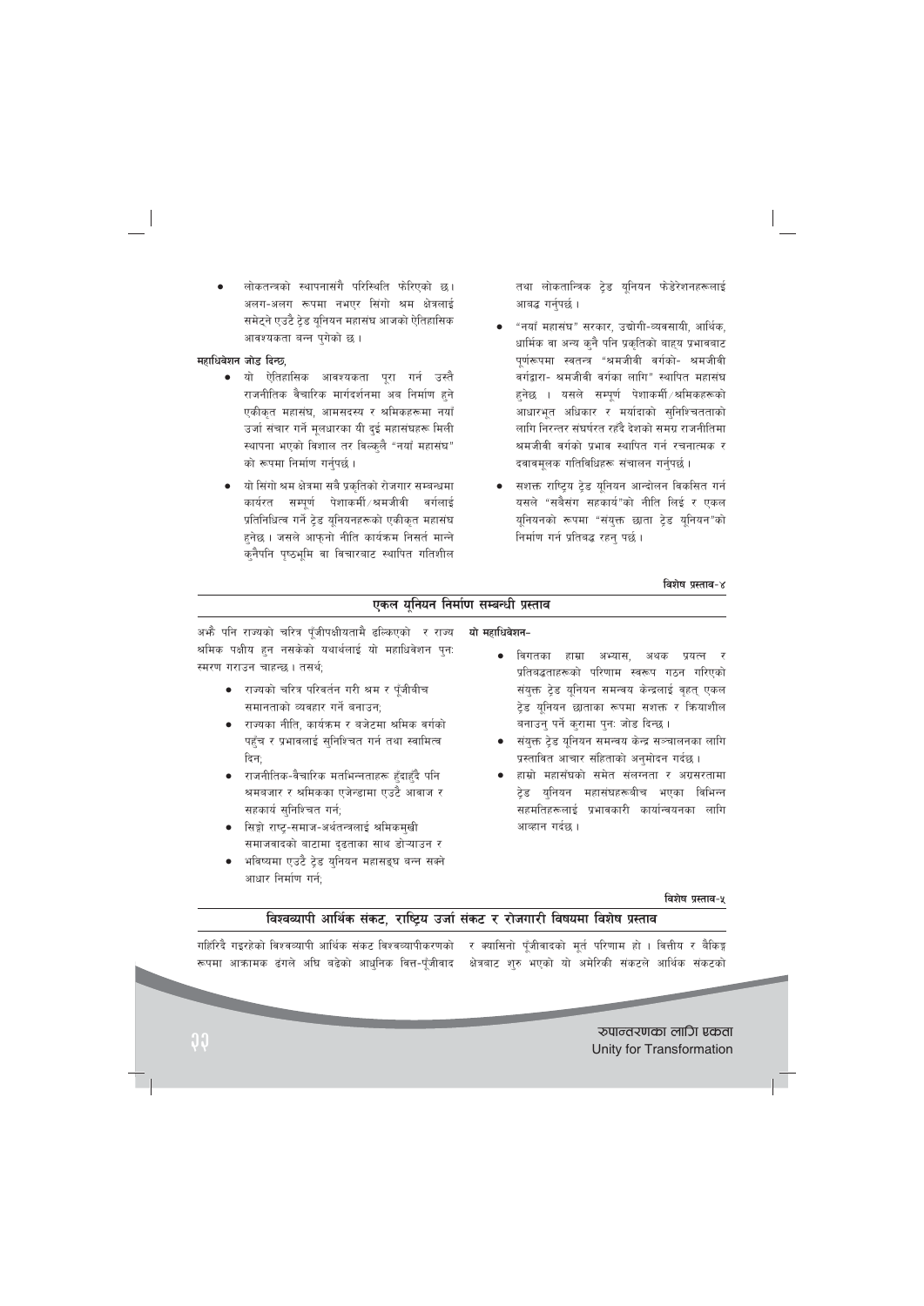लोकतन्त्रको स्थापनासंगै परिस्थिति फोरिएको छ। अलग-अलग रूपमा नभएर सिंगो श्रम क्षेत्रलाई समेटने एउटै टेड यनियन महासंघ आजको ऐतिहासिक आवश्यकता बन्न पुगेको छ।

## महाधिवेशन जोड दिन्छ,

- यो ऐतिहासिक आवश्यकता पूरा गर्न उस्तै राजनीतिक वैचारिक मार्गदर्शनमा अब निर्माण हुने एकीकृत महासंघ, आमसदस्य र श्रमिकहरूमा नयाँ उर्जा संचार गर्ने मूलधारका यी दुई महासंघहरू मिली स्थापना भएको विशाल तर विल्कुलै "नयाँ महासंघ" को रूपमा निर्माण गर्नुपर्छ।
- यो सिंगो श्रम क्षेत्रमा सबै प्रकृतिको रोजगार सम्बन्धमा सम्पूर्ण पेशाकर्मी श्रमजीवी वर्गलाई कार्यरत प्रतिनिधित्व गर्ने ट्रेड यूनियनहरूको एकीकृत महासंघ हनेछ। जसले आफुनो नीति कार्यक्रम निसर्त मान्ने कुनैपनि पृष्ठभूमि वा विचारबाट स्थापित गतिशील

तथा लोकतान्त्रिक ट्रेड यूनियन फेडेरेशनहरूलाई आबद्ध गर्नुपर्छ ।

- "नयाँ महासंघ" सरकार, उद्योगी-व्यवसायी, आर्थिक, धार्मिक वा अन्य कुनै पनि प्रकृतिको बाहुय प्रभावबाट पूर्णरूपमा स्वतन्त्र "श्रमजीवी वर्गको- श्रमजीवी वर्गद्वारा- श्रमजीवी वर्गका लागि" स्थापित महासंघ हनेछ । यसले सम्पूर्ण पेशाकर्मी/श्रमिकहरूको आधारभूत अधिकार र मर्यादाको सुनिश्चितताको लागि निरन्तर संघर्षरत रहँदै देशको समग्र राजनीतिमा श्रमजीवी वर्गको प्रभाव स्थापित गर्न रचनात्मक र दवावमूलक गतिविधिहरू संचालन गर्नुपर्छ।
- सशक्त राष्ट्रिय ट्रेड यूनियन आन्दोलन विकसित गर्न यसले "सबैसंग सहकार्य"को नीति लिई र एकल यूनियनको रूपमा "संयुक्त छाता ट्रेड यूनियन"को निर्माण गर्न प्रतिबद्ध रहन पर्छ।

#### विशेष प्रस्ताव-४

| एकल युनियन निर्माण सम्बन्धी प्रस्ताव                                                                                                             |                                                                                                                                        |  |
|--------------------------------------------------------------------------------------------------------------------------------------------------|----------------------------------------------------------------------------------------------------------------------------------------|--|
| अभ्तै पनि राज्यको चरित्र पूँजीपक्षीयतामै ढल्किएको  र राज्य<br>श्रमिक पक्षीय हुन नसकेको यथार्थलाई यो महाधिवेशन पुन:<br>स्मरण गराउन चाहन्छ। तसर्थ; | यो महाधिवेशन-<br>विगतका हाम्रा अभ्यास,<br>अथक प्रयत्न र<br>प्रतिबद्धताहरूको परिणाम स्वरूप गठन गरिएको                                   |  |
| ● राज्यको चरित्र परिवर्तन गरी श्रम र पूँजीबीच<br>समानताको व्यवहार गर्ने बनाउन;                                                                   | संयुक्त ट्रेड यूनियन समन्वय केन्द्रलाई वृहत् एकल<br>ट्रेड यूनियन छाताका रूपमा सशक्त र क्रियाशील                                        |  |
| • राज्यका नीति, कार्यक्रम र बजेटमा श्रमिक वर्गको<br>पहुँच र प्रभावलाई सुनिश्चित गर्न तथा स्वामित्व<br>दिन;                                       | बनाउनु पर्ने करामा पुनः जोड दिन्छ ।<br>● संयुक्त ट्रेड यूनियन समन्वय केन्द्र सञ्चालनका लागि<br>प्रस्तावित आचार संहिताको अनुमोदन गर्दछ। |  |
| ● राजनीतिक-वैचारिक मतभिन्नताहरू हुँदाहुँदै पनि<br>श्रमबजार र श्रमिकका एजेन्डामा एउटै आवाज र<br>सहकार्य सुनिश्चित गर्न;                           | • हाम्रो महासँघको समेत संलग्नता र अग्रसरतामा<br>टेड युनियन महासंघहरूबीच भएका<br>विभिन्न<br>सहमतिहरूलाई प्रभावकारी कार्यान्वयनका लागि   |  |

- सिङ्गो राष्ट्-समाज-अर्थतन्त्रलाई श्रमिकमुखी समाजवादको बाटामा दृढताका साथ डोऱ्याउन र
- भविष्यमा एउटै टेड युनियन महासङ्घ बन्न सक्ने आधार निर्माण गर्न:

विशेष प्रस्ताव-५

# विश्वव्यापी आर्थिक संकट, राष्ट्रिय उर्जा संकट र रोजगारी विषयमा विशेष प्रस्ताव

र क्यासिनो पूँजीवादको मूर्त परिणाम हो । वित्तीय र बैकिङ्ग गहिंरिदै गइरहेको विश्वव्यापी आर्थिक संकट विश्वव्यापीकरणको रूपमा आक्रामक ढंगले अघि बढेको आधुनिक वित्त-पूँजीवाद क्षेत्रबाट शुरु भएको यो अमेरिकी संकटले आर्थिक संकटको

आव्हान गर्दछ ।

रुपान्तरणका लागि एकता Unity for Transformation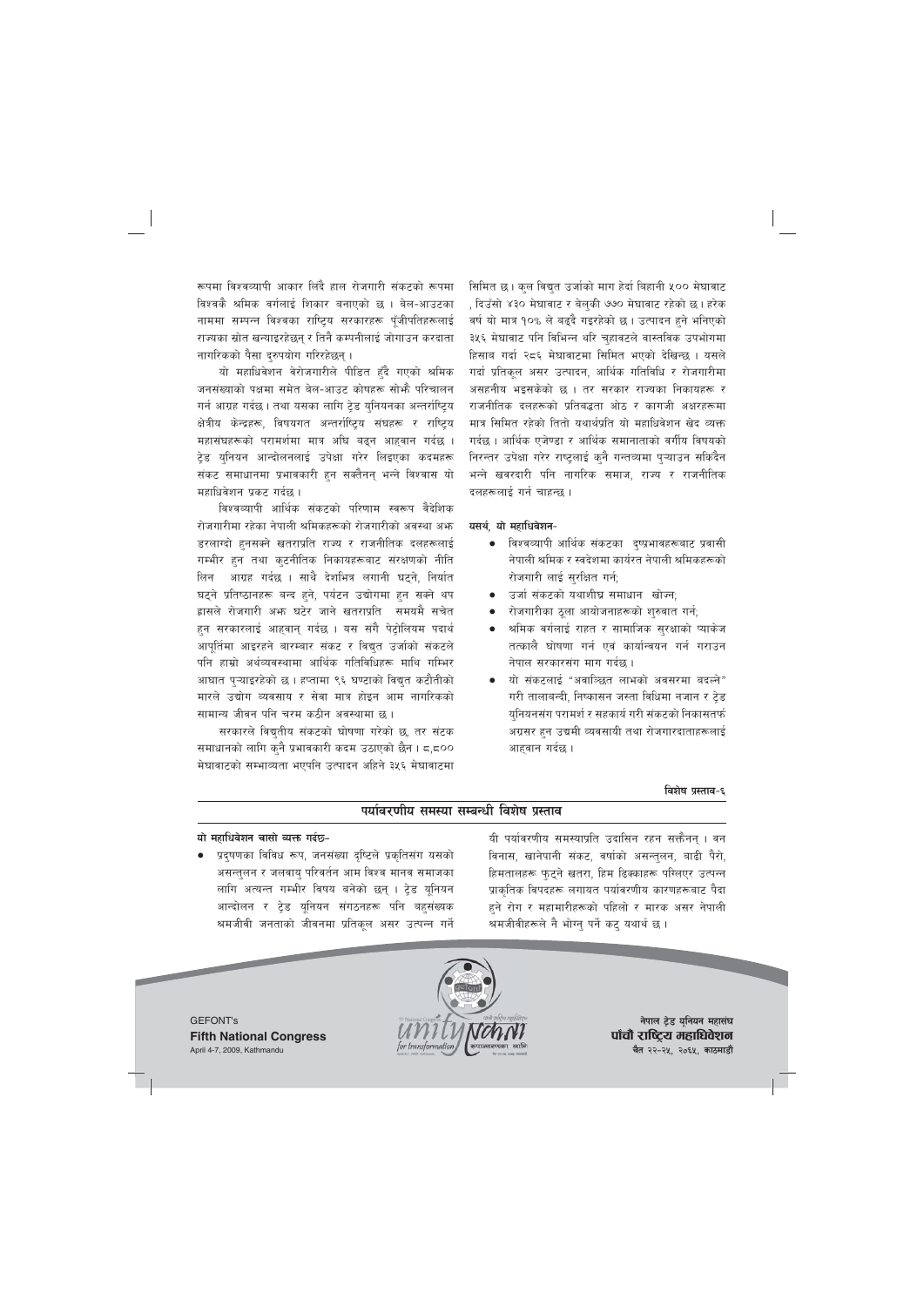रूपमा विश्वव्यापी आकार लिंदै हाल रोजगारी संकटको रूपमा विश्वकै श्रमिक वर्गलाई शिकार बनाएको छ । बेल-आउटका नाममा सम्पन्न विश्वका राष्टिय सरकारहरू पँजीपतिहरूलाई राज्यका स्रोत खन्याइरहेछन् र तिनै कम्पनीलाई जोगाउन करदाता नागरिकको पैसा दुरुपयोग गरिरहेछन् ।

यो महाधिवेशन वेरोजगारीले पीडित हुँदै गएको श्रमिक जनसंख्याको पक्षमा समेत बेल-आउट कोषहरू सोभ्है परिचालन गर्न आग्रह गर्दछ । तथा यसका लागि टेड यनियनका अन्तर्राष्टिय क्षेत्रीय केन्द्रहरू, विषयगत अन्तर्राष्ट्रिय संघहरू र राष्ट्रिय महासंघहरूको परामर्शमा मात्र अघि बढ्न आहवान गर्दछ । टेड युनियन आन्दोलनलाई उपेक्षा गरेर लिइएका कदमहरू संकट समाधानमा प्रभावकारी हुन सक्तैनन् भन्ने विश्वास यो महाधिवेशन प्रकट गर्दछ ।

विश्वव्यापी आर्थिक संकटको परिणाम स्वरूप वैदेशिक रोजगारीमा रहेका नेपाली श्रमिकहरूको रोजगारीको अवस्था अभ डरलाग्दो हुनसक्ने खतराप्रति राज्य र राजनीतिक दलहरूलाई गम्भीर हुन तथा कुटनीतिक निकायहरूबाट संरक्षणको नीति आग्रह गर्दछ । साथै देशभित्र लगानी घटने, निर्यात लिन घट्ने प्रतिष्ठानहरू बन्द हुने, पर्यटन उद्योगमा हुन सक्ने थप ह्रासले रोजगारी अफ्न घटेर जाने खतराप्रति समयमै सचेत हन सरकारलाई आहवान गर्दछ । यस संगै पेटोलियम पदार्थ आपूर्तिमा आइरहने बारम्बार संकट र विद्युत उर्जाको संकटले पनि हाम्रो अर्थव्यवस्थामा आर्थिक गतिविधिहरू माथि गम्भिर आघात प्ऱ्याइरहेको छ। हप्तामा ९६ घण्टाको विद्युत कटौतीको मारले उद्योग व्यवसाय र सेवा मात्र होइन आम नागरिकको सामान्य जीवन पनि चरम कठीन अवस्थामा छ ।

सरकारले विद्युतीय संकटको घोषणा गरेको छ, तर संटक समाधानको लागि कुनै प्रभावकारी कदम उठाएको छैन । ८,८०० मेघावाटको सम्भाव्यता भएपनि उत्पादन अहिने ३५६ मेघावाटमा सिमित छ। कुल विद्युत उर्जाको माग हेर्दा बिहानी ५०० मेघावाट , दिउँसो ४३० मेघावाट र बेलुकी ७७० मेघावाट रहेको छ। हरेक वर्ष यो मात्र १०% ले बढदै गइरहेको छ । उत्पादन हने भनिएको ३५६ मेघावाट पनि विभिन्न थरि चुहावटले वास्तविक उपभोगमा हिसाब गर्दा २८६ मेघावाटमा सिमित भएको देखिन्छ । यसले गर्दा प्रतिकुल असर उत्पादन, आर्थिक गतिविधि र रोजगारीमा असहनीय भइसकेको छ । तर सरकार राज्यका निकायहरू र राजनीतिक दलहरूको प्रतिबद्धता ओठ र कागजी अक्षरहरूमा मात्र सिमित रहेको तितो यथार्थप्रति यो महाधिवेशन खेद व्यक्त गर्दछ । आर्थिक एजेण्डा र आर्थिक समानाताको वर्गीय विषयको निरन्तर उपेक्षा गरेर राष्ट्रलाई कनै गन्तव्यमा प्ऱ्याउन सकिंदैन भन्ने खवरदारी पनि नागरिक समाज, राज्य र राजनीतिक दलहरूलाई गर्न चाहन्छ ।

## यसर्थ, यो महाधिवेशन-

- विश्वव्यापी आर्थिक संकटका दुष्प्रभावहरूबाट प्रवासी नेपाली श्रमिक र स्वदेशमा कार्यरत नेपाली श्रमिकहरूको रोजगारी लाई सरक्षित गर्न:
- उर्जा संकटको यथाशीघ्र समाधान खोज्न:
- रोजगारीका ठूला आयोजनाहरूको शुरुवात गर्न;
- श्रमिक वर्गलाई राहत र सामाजिक सुरक्षाको प्याकेज तत्कालै घोषणा गर्न एवं कार्यान्वयन गर्न गराउन नेपाल सरकारसंग माग गर्दछ ।
- यो संकटलाई "अवाञ्छित लाभको अवसरमा बदल्ने" गरी तालाबन्दी, निष्कासन जस्ता विधिमा नजान र टेड युनियनसंग परामर्श र सहकार्य गरी संकटको निकासतर्फ अग्रसर हुन उद्यमी व्यवसायी तथा रोजगारदाताहरूलाई आहवान गर्दछ ।

## विशेष प्रस्ताव-६

# पर्यावरणीय समस्या सम्बन्धी विशेष प्रस्ताव

#### यो महाधिवेशन चासो व्यक्त गर्दछ-

प्रदूषणका विविध रूप, जनसंख्या दृष्टिले प्रकृतिसंग यसको असन्तलन र जलवाय परिवर्तन आम विश्व मानव समाजका लागि अत्यन्त गम्भीर विषय बनेको छन् । ट्रेड यूनियन आन्दोलन र ट्रेड यूनियन संगठनहरू पनि बहुसंख्यक श्रमजीवी जनताको जीवनमा प्रतिकूल असर उत्पन्न गर्ने यी पर्यावरणीय समस्याप्रति उदासिन रहन सक्तैनन् । वन विनास, खानेपानी संकट, वर्षाको असन्तुलन, बाढी पैरो, हिमतालहरू फुट्ने खतरा, हिम ढिक्काहरू परिलएर उत्पन्न प्राकृतिक विपदहरू लगायत पर्यावरणीय कारणहरूबाट पैदा हने रोग र महामारीहरूको पहिलो र मारक असर नेपाली श्रमजीवीहरूले नै भोग्न् पर्ने कट् यथार्थ छ ।





नेपाल ट्रेड युनियन महासंघ पाँचौ राष्ट्रिय महाधिवेशन चैत २२-२५, २०६५, काठमाडौं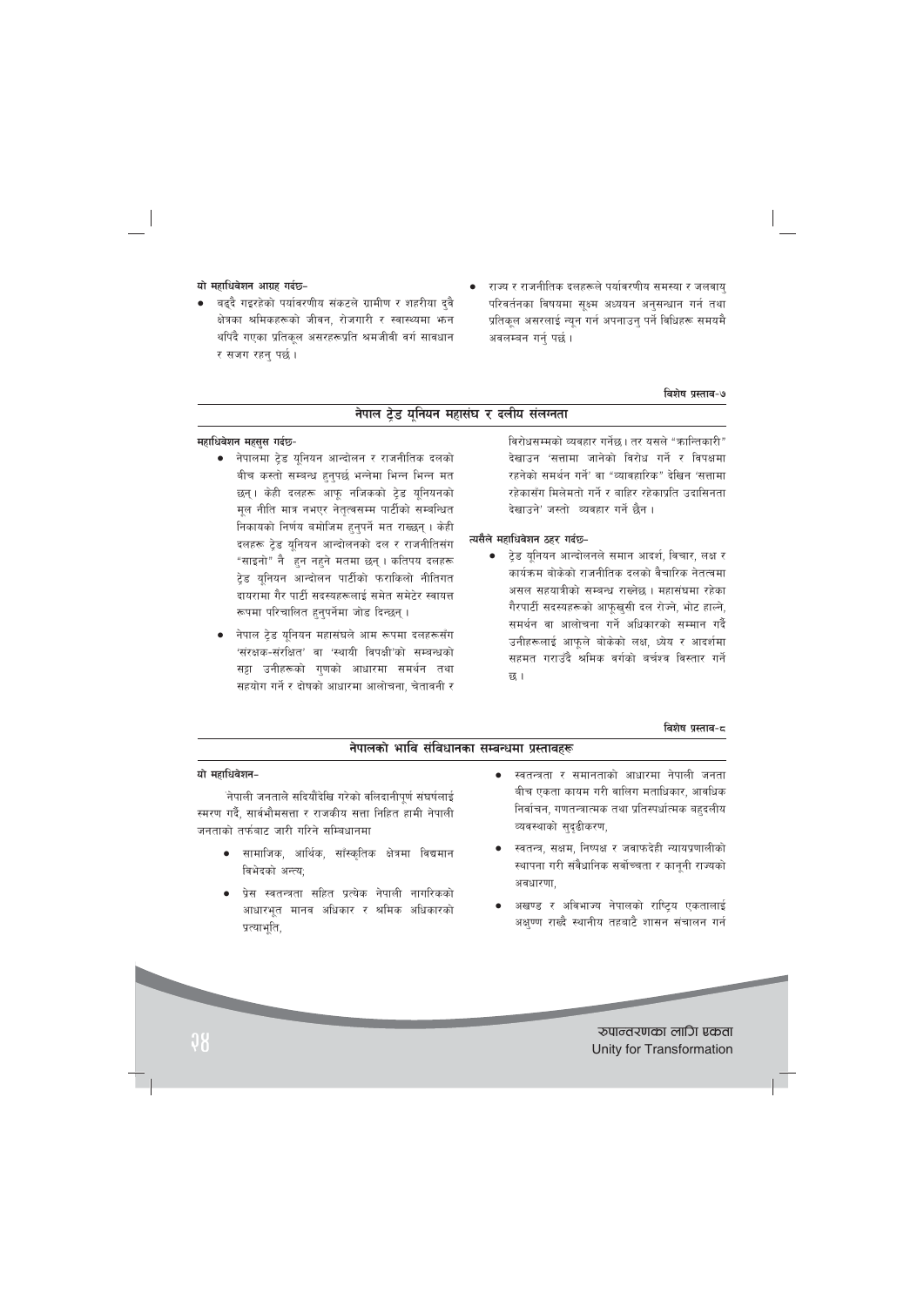## यो महाधिवेशन आग्रह गर्दछ-

- बढ्दै गइरहेको पर्यावरणीय संकटले ग्रामीण र शहरीया दुवै क्षेत्रका श्रमिकहरूको जीवन, रोजगारी र स्वास्थ्यमा भन्न थपिंदै गएका प्रतिकल असरहरूप्रति श्रमजीवी वर्ग सावधान र सजग रहन पर्छ।
- राज्य र राजनीतिक दलहरूले पर्यावरणीय समस्या र जलवायु परिवर्तनका विषयमा सूक्ष्म अध्ययन अनुसन्धान गर्न तथा प्रतिकृल असरलाई न्यून गर्न अपनाउन् पर्ने विधिहरू समयमै अवलम्बन गर्नु पर्छ ।

#### विशेष प्रस्ताव-७

# नेपाल ट्रेड यूनियन महासंघ र दलीय संलग्नता

#### महाधिवेशन महसूस गर्दछ-

- नेपालमा ट्रेड यूनियन आन्दोलन र राजनीतिक दलको बीच कस्तो सम्बन्ध हुनुपर्छ भन्नेमा भिन्न भिन्न मत छन्। केही दलहरू आफू नजिकको टेड यूनियनको मूल नीति मात्र नभएर नेतृत्वसम्म पार्टीको सम्बन्धित निकायको निर्णय बमोजिम हुनुपर्ने मत राख्छन् । केही दलहरू टेड युनियन आन्दोलनको दल र राजनीतिसंग "साइनो" नै हुन नहुने मतमा छन् । कतिपय दलहरू टेड यनियन आन्दोलन पार्टीको फराकिलो नीतिगत दायरामा गैर पार्टी सदस्यहरूलाई समेत समेटेर स्वायत्त रूपमा परिचालित हुनुपर्नेमा जोड दिन्छन्।
- नेपाल ट्रेड यूनियन महासंघले आम रूपमा दलहरूसँग 'संरक्षक-संरक्षित' वा 'स्थायी विपक्षी'को सम्बन्धको सट्टा उनीहरूको गणको आधारमा समर्थन तथा सहयोग गर्ने र दोषको आधारमा आलोचना, चेतावनी र

विरोधसम्मको व्यवहार गर्नेछ। तर यसले "कान्तिकारी" देखाउन 'सत्तामा जानेको विरोध गर्ने र विपक्षमा रहनेको समर्थन गर्ने' वा "व्यावहारिक" देखिन 'सत्तामा रहेकासँग मिलेमतो गर्ने र बाहिर रहेकाप्रति उदासिनता देखाउने' जस्तो व्यवहार गर्ने छैन ।

## त्यसैले महाधिवेशन ठहर गर्दछ-

ट्रेड यूनियन आन्दोलनले समान आदर्श, विचार, लक्ष र कार्यक्रम बोकेको राजनीतिक दलको वैचारिक नेतत्वमा असल सहयात्रीको सम्बन्ध राख्नेछ । महासंघमा रहेका गैरपार्टी सदस्यहरूको आफुखुसी दल रोज्ने, भोट हाल्ने, समर्थन वा आलोचना गर्ने अधिकारको सम्मान गर्दै उनीहरूलाई आफूले बोकेको लक्ष, ध्येय र आदर्शमा सहमत गराउँदै श्रमिक वर्गको बर्चश्व विस्तार गर्ने छ।

#### विशेष प्रस्ताव-८

| नेपालको भावि संविधानका सम्बन्धमा प्रस्तावहरू                |                                                      |  |
|-------------------------------------------------------------|------------------------------------------------------|--|
| यो महाधिवेशन-                                               | स्वतन्त्रता र समानताको आधारमा नेपाली जनता            |  |
| नेपाली जनताले सदियौंदेखि गरेको वलिदानीपूर्ण संघर्षलाई       | बीच एकता कायम गरी वालिग मताधिकार, आवधिक              |  |
| स्मरण गर्दै, सार्वभौमसत्ता र राजकीय सत्ता निहित हामी नेपाली | निर्वाचन, गणतन्त्रात्मक तथा प्रतिस्पर्धात्मक बहदलीय  |  |
| जनताको तर्फबाट जारी गरिने सम्बिधानमा                        | व्यवस्थाको सुदृढीकरण,                                |  |
| • सामाजिक, आर्थिक, साँस्कृतिक क्षेत्रमा विद्यमान            | स्वतन्त्र, सक्षम, निष्पक्ष र जवाफदेही न्यायप्रणालीको |  |
| विभेदको अन्त्य;                                             | स्थापना गरी संवैधानिक सर्वोच्चता र कानूनी राज्यको    |  |
| ● प्रेस स्वतन्त्रता सहित प्रत्येक नेपाली नागरिकको           | अवधारणा,                                             |  |
| आधारभूत मानव अधिकार र श्रमिक अधिकारको                       | अखण्ड र अविभाज्य नेपालको राष्ट्रिय एकतालाई           |  |

# रुपान्तरणका लागि एकता Unity for Transformation

अक्ष्ण्ण राख्दै स्थानीय तहबाटै शासन संचालन गर्न

प्रत्याभूति,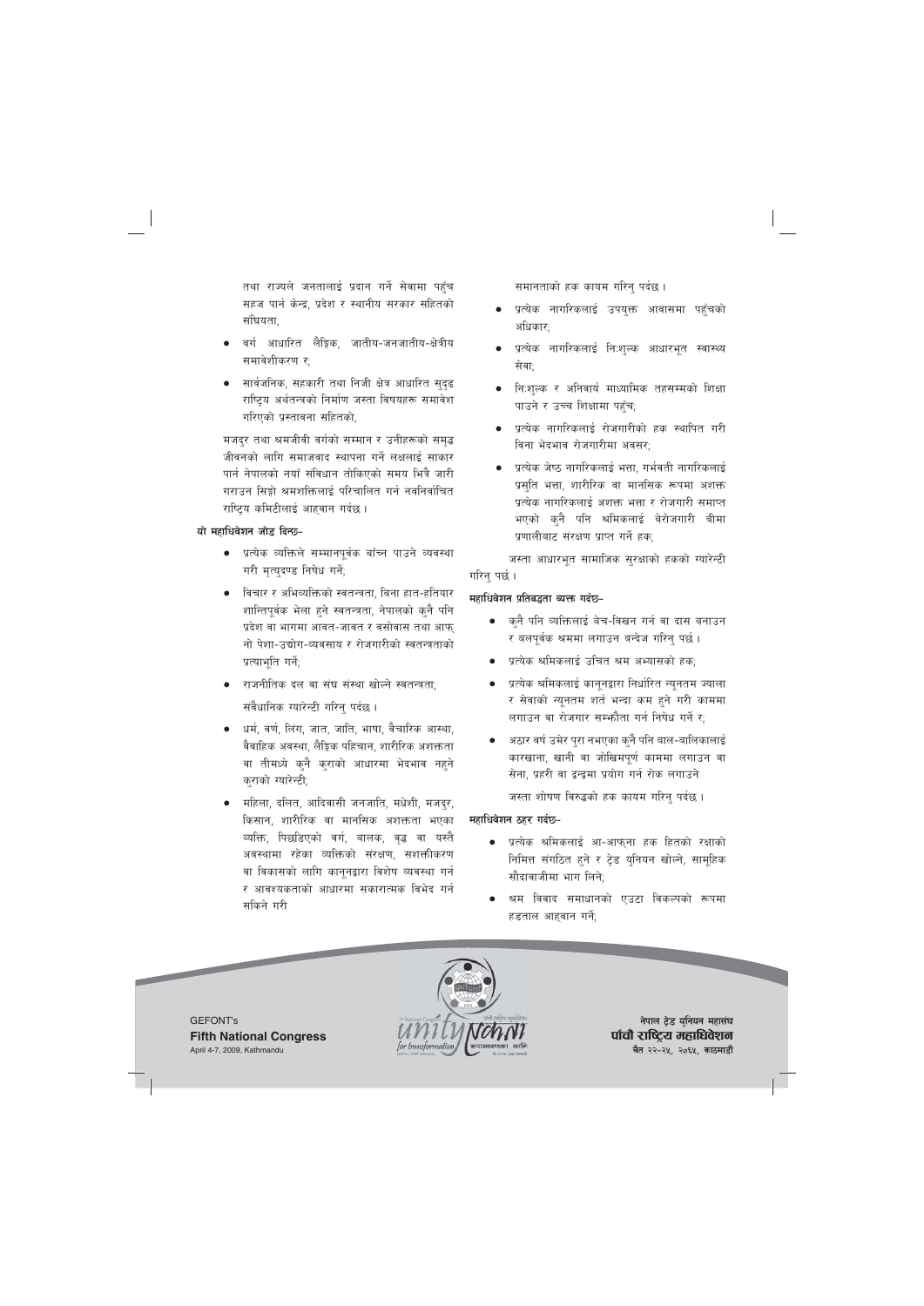तथा राज्यले जनतालाई प्रदान गर्ने सेवामा पहुँच सहज पार्न केन्द्र, प्रदेश र स्थानीय सरकार सहितको संघियता.

- वर्ग आधारित लैङ्गिक, जातीय-जनजातीय-क्षेत्रीय समावेशीकरण र;
- सार्वजनिक, सहकारी तथा निजी क्षेत्र आधारित सुदुढ राष्टिय अर्थतन्त्रको निर्माण जस्ता विषयहरू समावेश गरिएको प्रस्तावना सहितको,

मजदुर तथा श्रमजीवी वर्गको सम्मान र उनीहरूको समुद्ध जीवनको लागि समाजवाद स्थापना गर्ने लक्षलाई साकार पार्न नेपालको नयाँ संविधान तोकिएको समय भित्रै जारी गराउन सिङ्गो श्रमशक्तिलाई परिचालित गर्न नवनिर्वाचित राष्टिय कमिटीलाई आहवान गर्दछ ।

## **यो महाधिवेशन जोड़ दिन्छ-**

- प्रत्येक व्यक्तिले सम्मानपर्वक बाँच्न पाउने व्यवस्था गरी मृत्युदण्ड निषेध गर्ने;
- <u>।</u> विचार र अभिव्यक्तिको स्वतन्त्रता, बिना हात-हतियार शान्तिपर्वक भेला हने स्वतन्त्रता, नेपालको कनै पनि प्रदेश वा भागमा आवत-जावत र वसोवास तथा आफ नो पेशा-उद्योग-व्यवसाय र रोजगारीको स्वतन्त्रताको प्रत्याभूति गर्ने;
- राजनीतिक दल वा संघ संस्था खोल्ने स्वतन्त्रता<u>;</u> संवैधानिक ग्यारेन्टी गरिन् पर्दछ ।
- धर्म, वर्ण, लिंग, जात, जाति, भाषा, वैचारिक आस्था, वैवाहिक अवस्था, लैङ्गिक पहिचान, शारीरिक अशक्तता वा तीमध्ये कनै कराको आधारमा भेदभाव नहने कराको ग्यारेन्टी;
- महिला, दलित, आदिवासी जनजाति, मधेशी, मजदुर, किसान, शारीरिक वा मानसिक अशक्तता भएका व्यक्ति, पिछडिएको वर्ग, बालक, वृद्ध वा यस्तै अवस्थामा रहेका व्यक्तिको संरक्षण, सशक्तीकरण वा विकासको लागि काननद्वारा विशेष व्यवस्था गर्न र आवश्यकताको आधारमा सकारात्मक विभेद गर्न सकिने गरी

समानताको हक कायम गरिनु पर्दछ ।

- प्रत्येक नागरिकलाई उपयुक्त आवासमा पहँचको अधिकार:
- प्रत्येक नागरिकलाई निःशुल्क आधारभुत स्वास्थ्य सेवा:
- नि:शुल्क र अनिवार्य माध्यामिक तहसम्मको शिक्षा पाउने र उच्च शिक्षामा पहुँच;
- प्रत्येक नागरिकलाई रोजगारीको हक स्थापित गरी विना भेदभाव रोजगारीमा अवसर:
- प्रत्येक जेष्ठ नागरिकलाई भत्ता, गर्भवती नागरिकलाई प्रसुति भत्ता, शारीरिक वा मानसिक रूपमा अशक्त प्रत्येक नागरिकलाई अशक्त भत्ता र रोजगारी समाप्त भएको कनै पनि श्रमिकलाई बेरोजगारी बीमा प्रणालीबाट संरक्षण प्राप्त गर्ने हक;

जस्ता आधारभूत सामाजिक सुरक्षाको हकको ग्यारेन्टी गरिनु पर्छ ।

## महाधिवेशन प्रतिबद्धता व्यक्त गर्दछ-

- कुनै पनि व्यक्तिलाई बेच-विखन गर्न वा दास बनाउन र बलपूर्वक श्रममा लगाउन बन्देज गरिनु पर्छ ।
- प्रत्येक श्रमिकलाई उचित श्रम अभ्यासको हक;
- प्रत्येक श्रमिकलाई कानूनद्वारा निर्धारित न्यूनतम ज्याला र सेवाको न्यूनतम शर्त भन्दा कम हुने गरी काममा लगाउन वा रोजगार सम्भौता गर्न निषेध गर्ने र:
- अठार वर्ष उमेर पुरा नभएका कुनै पनि बाल-बालिकालाई कारखाना, खानी वा जोखिमपर्ण काममा लगाउन वा सेना. प्रहरी वा द्रन्द्रमा प्रयोग गर्न रोक लगाउने

जस्ता शोषण विरुद्धको हक कायम गरिन् पर्दछ ।

## **महाधिवेशन ठहर गर्दछ-**

- प्रत्येक श्रमिकलाई आ-आफ्ना हक हितको रक्षाको निमित्त संगठित हुने र ट्रेड युनियन खोल्ने, सामूहिक सौदावाजीमा भाग लिने:
- श्रम विवाद समाधानको एउटा विकल्पको रूपमा हडताल आहवान गर्ने;

GEFONT's **Fifth National Congress** April 4-7, 2009, Kathmandu



**नेपाल ट्रेड युनियन महासंघ** पाँचौ राष्ट्रिय महाधिवेशन **चैत २२-२५, २०६५, काठमाडौं**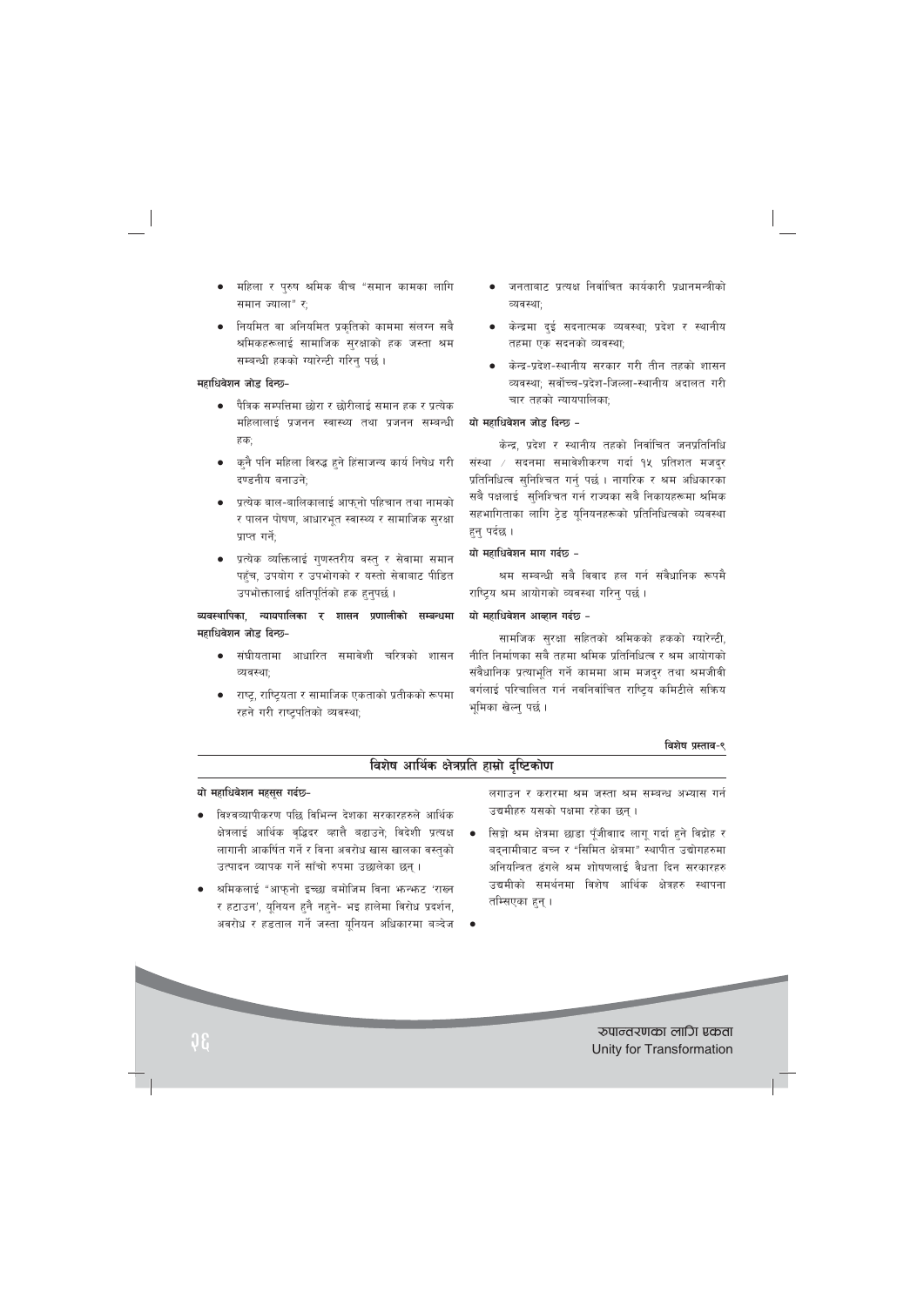- महिला र पुरुष श्रमिक बीच "समान कामका लागि समान ज्याला" र;
- नियमित वा अनियमित प्रकतिको काममा संलग्न सबै श्रमिकहरूलाई सामाजिक सुरक्षाको हक जस्ता श्रम सम्बन्धी हकको ग्यारेन्टी गरिन् पर्छ।

## महाधिवेशन जोड दिन्छ-

- पैत्रिक सम्पत्तिमा छोरा र छोरीलाई समान हक र प्रत्येक महिलालाई प्रजनन स्वास्थ्य तथा प्रजनन सम्बन्धी हक:
- कुनै पनि महिला विरुद्ध हुने हिंसाजन्य कार्य निषेध गरी दण्डनीय बनाउने:
- प्रत्येक बाल-बालिकालाई आफ्नो पहिचान तथा नामको र पालन पोषण, आधारभूत स्वास्थ्य र सामाजिक सुरक्षा प्राप्त गर्ने:
- प्रत्येक व्यक्तिलाई गुणस्तरीय वस्तु र सेवामा समान पहुँच, उपयोग र उपभोगको र यस्तो सेवाबाट पीडित उपभोक्तालाई क्षतिपूर्तिको हक हुनुपर्छ।

व्यवस्थापिका, न्यायपालिका र शासन प्रणालीको सम्बन्धमा महाधिवेशन जोड दिन्छ-

- संघीयतामा आधारित समावेशी चरित्रको शासन व्यवस्थाः
- ाष्ट्र, राष्ट्रियता र सामाजिक एकताको प्रतीकको रूपमा रहने गरी राष्ट्रपतिको व्यवस्था;
- जनताबाट प्रत्यक्ष निर्वाचित कार्यकारी प्रधानमन्त्रीको व्यवस्था;
- केन्द्रमा दुई सदनात्मक व्यवस्था; प्रदेश र स्थानीय तहमा एक सदनको व्यवस्था;
- केन्द्र-प्रदेश-स्थानीय सरकार गरी तीन तहको शासन व्यवस्था: सर्वोच्च-प्रदेश-जिल्ला-स्थानीय अदालत गरी चार तहको न्यायपालिका:

#### यो महाधिवेशन जोड दिन्छ -

केन्द्र, प्रदेश र स्थानीय तहको निर्वाचित जनप्रतिनिधि संस्था / सदनमा समावेशीकरण गर्दा १५ प्रतिशत मजद्र प्रतिनिधित्व सुनिश्चित गर्न् पर्छ । नागरिक र श्रम अधिकारका सबै पक्षलाई सुनिश्चित गर्न राज्यका सबै निकायहरूमा श्रमिक सहभागिताका लागि ट्रेड यूनियनहरूको प्रतिनिधित्वको व्यवस्था हन् पर्दछ ।

#### यो महाधिवेशन माग गर्दछ -

श्रम सम्बन्धी सबै विवाद हल गर्न संवैधानिक रूपमै राष्ट्रिय श्रम आयोगको व्यवस्था गरिन् पर्छ ।

#### यो महाधिवेशन आव्हान गर्दछ -

सामजिक सुरक्षा सहितको श्रमिकको हकको ग्यारेन्टी, नीति निर्माणका सबै तहमा श्रमिक प्रतिनिधित्व र श्रम आयोगको संवैधानिक प्रत्याभति गर्ने काममा आम मजदर तथा श्रमजीवी वर्गलाई परिचालित गर्न नवनिर्वाचित राष्टिय कमिटीले सक्रिय भूमिका खेल्नु पर्छ।

#### विशेष प्रस्ताव-९

# विशेष आर्थिक क्षेत्रप्रति हाम्रो दृष्टिकोण

#### यो महाधिवेशन महसूस गर्दछ-

- विश्वव्यापीकरण पछि विभिन्न देशका सरकारहरुले आर्थिक क्षेत्रलाई आर्थिक वृद्धिदर व्हात्तै बढाउने; विदेशी प्रत्यक्ष लागानी आकर्षित गर्ने र विना अवरोध खास खालका वस्तुको उत्पादन व्यापक गर्ने साँचो रुपमा उछालेका छन्।
- श्रमिकलाई "आफुनो इच्छा बमोजिम विना भन्भनट 'राख्न र हटाउन', यूनियन हुनै नहुने- भइ हालेमा विरोध प्रदर्शन, अवरोध र हडताल गर्ने जस्ता यूनियन अधिकारमा बञ्देज

लगाउन र करारमा श्रम जस्ता श्रम सम्बन्ध अभ्यास गर्न उद्यमीहरु यसको पक्षमा रहेका छन्।

- सिङ्गो श्रम क्षेत्रमा छाडा पूँजीवााद लागू गर्दा हुने विद्रोह र बदनामीबाट बच्न र "सिमित क्षेत्रमा" स्थापीत उद्योगहरुमा अनियन्त्रित ढंगले श्रम शोषणलाई वैधता दिन सरकारहरु उद्यमीको समर्थनमा विशेष आर्थिक क्षेत्रहरु स्थापना तम्सिएका हुन् ।
- 

रुपान्तरणका लागि एकता Unity for Transformation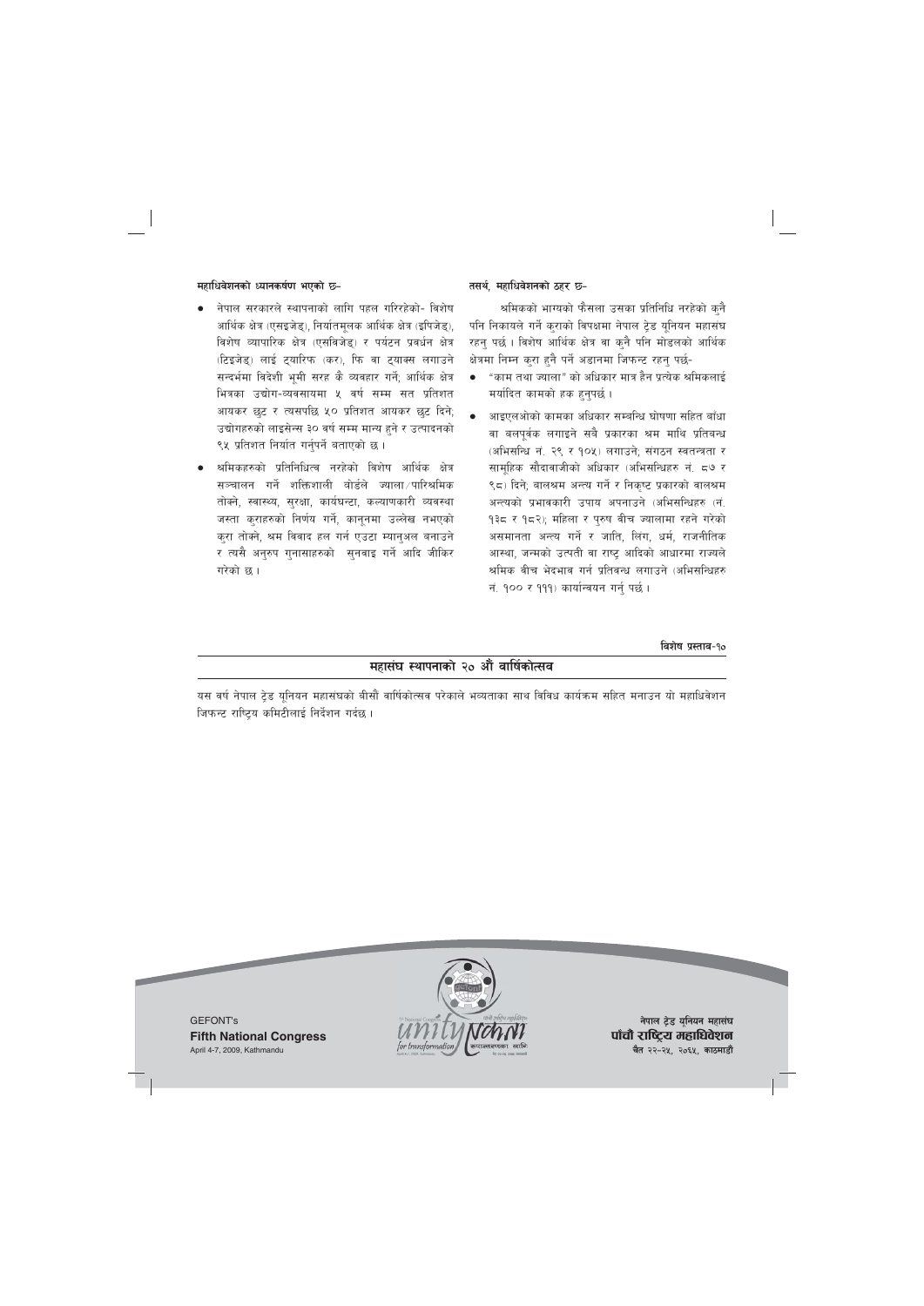### **महाधिवेशनको ध्यानकर्षण भएको छ-**

- नेपाल सरकारले स्थापनाको लागि पहल गरिरहेको- विशेष आर्थिक क्षेत्र (एसइजेड), निर्यातमुलक आर्थिक क्षेत्र (इपिजेड), विशेष व्यापारिक क्षेत्र (एसविजेड) र पर्यटन प्रवर्धन क्षेत्र (टिइजेड्) लाई टुयारिफ (कर), फि वा टुयाक्स लगाउने सन्दर्भमा विदेशी भमी सरह कै व्यवहार गर्ने; आर्थिक क्षेत्र भित्रका उद्योग-व्यवसायमा ५ वर्ष सम्म सत प्रतिशत आयकर छट र त्यसपछि ५० प्रतिशत आयकर छट दिने; उद्योगहरुको लाइसेन्स ३० वर्ष सम्म मान्य हुने र उत्पादनको ९५ प्रतिशत निर्यात गर्नुपर्ने बताएको छ।
- श्रमिकहरुको प्रतिनिधित्व नरहेको विशेष आर्थिक क्षेत्र सञ्चालन गर्ने शक्तिशाली वोर्डले ज्याला $/$ पारिश्रमिक तोक्ने, स्वास्थ्य, सुरक्षा, कार्यघन्टा, कल्याणकारी व्यवस्था जस्ता कुराहरुको निर्णय गर्ने, कानुनमा उल्लेख नभएको करा तोक्ने, श्रम विवाद हल गर्न एउटा म्यानअल बनाउने र त्यसै अनरुप गनासाहरुको सनवाइ गर्ने आदि जीकिर गरेको छ ।

## तसर्थ, महाधिवेशनको ठहर **छ**–

श्रमिकको भाग्यको फैसला उसका प्रतिनिधि नरहेको कनै पनि निकायले गर्ने कुराको विपक्षमा नेपाल ट्रेड युनियन महासंघ रहन् पर्छ। विशेष आर्थिक क्षेत्र वा कुनै पनि मोडलको आर्थिक क्षेत्रमा निम्न करा हनै पर्ने अडानमा जिफन्ट रहन पर्छ-

- "काम तथा ज्याला" को अधिकार मात्र हैन प्रत्येक श्रमिकलाई मर्यादित कामको हक हनुपर्छ।
- आइएलओको कामका अधिकार सम्बन्धि घोषणा सहित बाँधा वा बलपूर्वक लगाइने सबै प्रकारका श्रम माथि प्रतिबन्ध (अभिसन्धि नं. २९ र १०५) लगाउने; संगठन स्वतन्त्रता र सामहिक सौदावाजीको अधिकार (अभिसन्धिहरु नं, ८७ र ९८) दिने; बालश्रम अन्त्य गर्ने र निकुष्ट प्रकारको वालश्रम अन्त्यको प्रभावकारी उपाय अपनाउने (अभिसन्धिहरु (नं. 9३८ र १८२); महिला र पुरुष वीच ज्यालामा रहने गरेको असमानता अन्त्य गर्ने र जाति, लिंग, धर्म, राजनीतिक आस्था, जन्मको उत्पती वा राष्ट आदिको आधारमा राज्यले श्रमिक वीच भेदभाव गर्न प्रतिवन्ध लगाउने (अभिसन्धिहरु नं. १०० र १११) कार्यान्वयन गर्नु पर्छ।

**ljz]if k|:tfj**–**!)**

# **महासंघ स्थापनाको २० औं वार्षिकोत्सव**

यस वर्ष नेपाल ट्रेड यूनियन महासंघको बीसौं वार्षिकोत्सव परेकाले भव्यताका साथ विविध कार्यक्रम सहित मनाउन यो महाधिवेशन जिफन्ट राष्ट्रिय कमिटीलाई निर्देशन गर्दछ।





**नेपाल ट्रेड यूनियन महासंघ** पाँचौ राष्ट्रिय महाधिवेशन **चैत २२-२५, २०६५, काठमाडौं**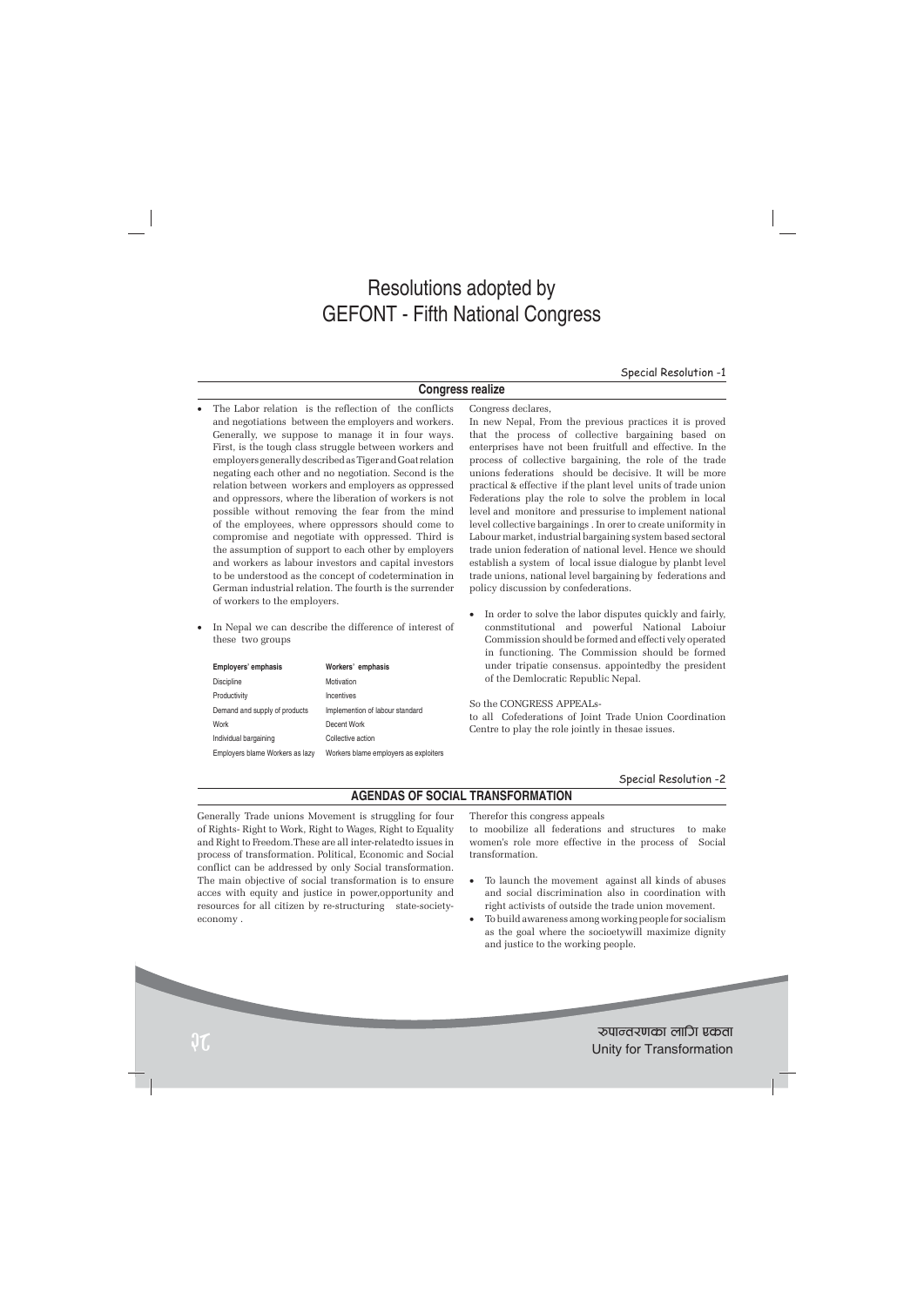# Resolutions adopted by GEFONT - Fifth National Congress

Special Resolution -1

## **Congress realize**

Congress declares,

- The Labor relation is the reflection of the conflicts and negotiations between the employers and workers. Generally, we suppose to manage it in four ways. First, is the tough class struggle between workers and employers generally described as Tiger and Goat relation negating each other and no negotiation. Second is the relation between workers and employers as oppressed and oppressors, where the liberation of workers is not possible without removing the fear from the mind of the employees, where oppressors should come to compromise and negotiate with oppressed. Third is the assumption of support to each other by employers and workers as labour investors and capital investors to be understood as the concept of codetermination in German industrial relation. The fourth is the surrender of workers to the employers.
- In Nepal we can describe the difference of interest of these two groups

| Employers' emphasis             | Workers' emphasis                     |
|---------------------------------|---------------------------------------|
| <b>Discipline</b>               | Motivation                            |
| Productivity                    | Incentives                            |
| Demand and supply of products   | Implemention of labour standard       |
| Work                            | Decent Work                           |
| Individual bargaining           | Collective action                     |
| Employers blame Workers as lazy | Workers blame employers as exploiters |

In new Nepal, From the previous practices it is proved that the process of collective bargaining based on enterprises have not been fruitfull and effective. In the process of collective bargaining, the role of the trade unions federations should be decisive. It will be more practical & effective if the plant level units of trade union Federations play the role to solve the problem in local level and monitore and pressurise to implement national level collective bargainings . In orer to create uniformity in Labour market, industrial bargaining system based sectoral trade union federation of national level. Hence we should establish a system of local issue dialogue by planbt level trade unions, national level bargaining by federations and policy discussion by confederations.

In order to solve the labor disputes quickly and fairly, conmstitutional and powerful National Laboiur Commission should be formed and effecti vely operated in functioning. The Commission should be formed under tripatie consensus. appointedby the president of the Demlocratic Republic Nepal.

So the CONGRESS APPEALs-

to all Cofederations of Joint Trade Union Coordination Centre to play the role jointly in thesae issues.

#### Special Resolution -2

# **AGENDAS OF SOCIAL TRANSFORMATION**

Generally Trade unions Movement is struggling for four of Rights- Right to Work, Right to Wages, Right to Equality and Right to Freedom.These are all inter-relatedto issues in process of transformation. Political, Economic and Social conflict can be addressed by only Social transformation. The main objective of social transformation is to ensure acces with equity and justice in power,opportunity and resources for all citizen by re-structuring state-societyeconomy .

Therefor this congress appeals

to moobilize all federations and structures to make women's role more effective in the process of Social transformation.

- To launch the movement against all kinds of abuses and social discrimination also in coordination with right activists of outside the trade union movement.
- To build awareness among working people for socialism as the goal where the socioetywill maximize dignity and justice to the working people.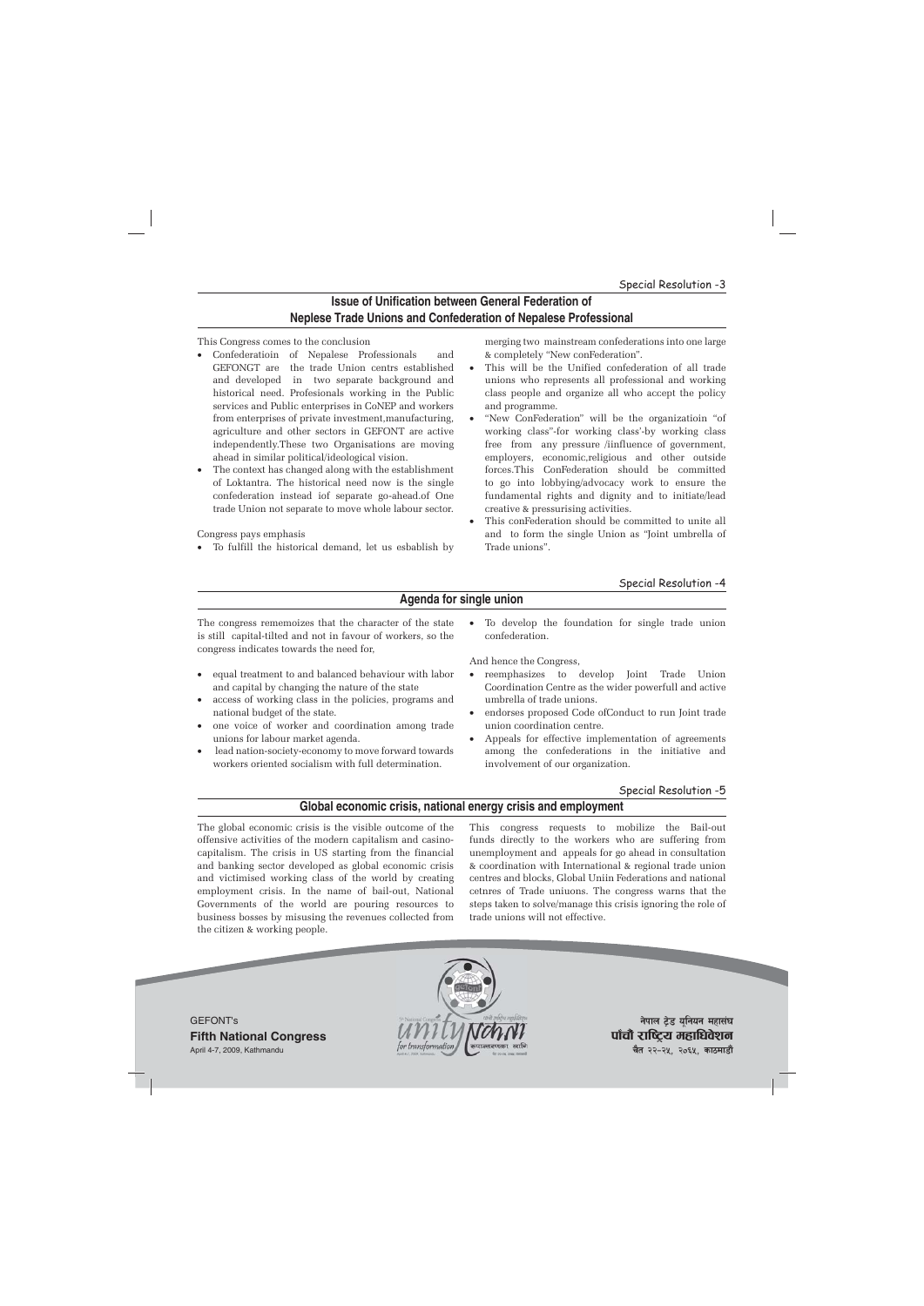# **Issue of Unification between General Federation of Neplese Trade Unions and Confederation of Nepalese Professional**

#### This Congress comes to the conclusion

- Confederatioin of Nepalese Professionals and GEFONGT are the trade Union centrs established and developed in two separate background and historical need. Profesionals working in the Public services and Public enterprises in CoNEP and workers from enterprises of private investment,manufacturing, agriculture and other sectors in GEFONT are active independently.These two Organisations are moving ahead in similar political/ideological vision.
- The context has changed along with the establishment of Loktantra. The historical need now is the single confederation instead iof separate go-ahead.of One trade Union not separate to move whole labour sector.

Congress pays emphasis

To fulfill the historical demand, let us esbablish by

merging two mainstream confederations into one large & completely "New conFederation".

- This will be the Unified confederation of all trade unions who represents all professional and working class people and organize all who accept the policy and programme.
- "New ConFederation" will be the organizatioin "of working class"-for working class'-by working class free from any pressure /iinfluence of government, employers, economic,religious and other outside forces.This ConFederation should be committed to go into lobbying/advocacy work to ensure the fundamental rights and dignity and to initiate/lead creative & pressurising activities.
- This conFederation should be committed to unite all and to form the single Union as "Joint umbrella of Trade unions".

#### Special Resolution -4

# **Agenda for single union**

The congress rememoizes that the character of the state is still capital-tilted and not in favour of workers, so the congress indicates towards the need for,

- equal treatment to and balanced behaviour with labor and capital by changing the nature of the state
- access of working class in the policies, programs and national budget of the state.
- one voice of worker and coordination among trade unions for labour market agenda.
- lead nation-society-economy to move forward towards workers oriented socialism with full determination.

To develop the foundation for single trade union confederation.

And hence the Congress,

- reemphasizes to develop Joint Trade Union Coordination Centre as the wider powerfull and active umbrella of trade unions.
- endorses proposed Code ofConduct to run Joint trade union coordination centre.
- Appeals for effective implementation of agreements among the confederations in the initiative and involvement of our organization.

#### Special Resolution -5

#### **Global economic crisis, national energy crisis and employment**

The global economic crisis is the visible outcome of the offensive activities of the modern capitalism and casinocapitalism. The crisis in US starting from the financial and banking sector developed as global economic crisis and victimised working class of the world by creating employment crisis. In the name of bail-out, National Governments of the world are pouring resources to business bosses by misusing the revenues collected from the citizen & working people.

This congress requests to mobilize the Bail-out funds directly to the workers who are suffering from unemployment and appeals for go ahead in consultation & coordination with International & regional trade union centres and blocks, Global Uniin Federations and national cetnres of Trade uniuons. The congress warns that the steps taken to solve/manage this crisis ignoring the role of trade unions will not effective.

GEFONT's **Fifth National Congress** April 4-7, 2009, Kathmandu



**नेपाल टेड यनियन महासंघ** पाँचौ राष्ट्रिय महाधिवेशन **चैत २२-२५, २०६५, काठमाडौं**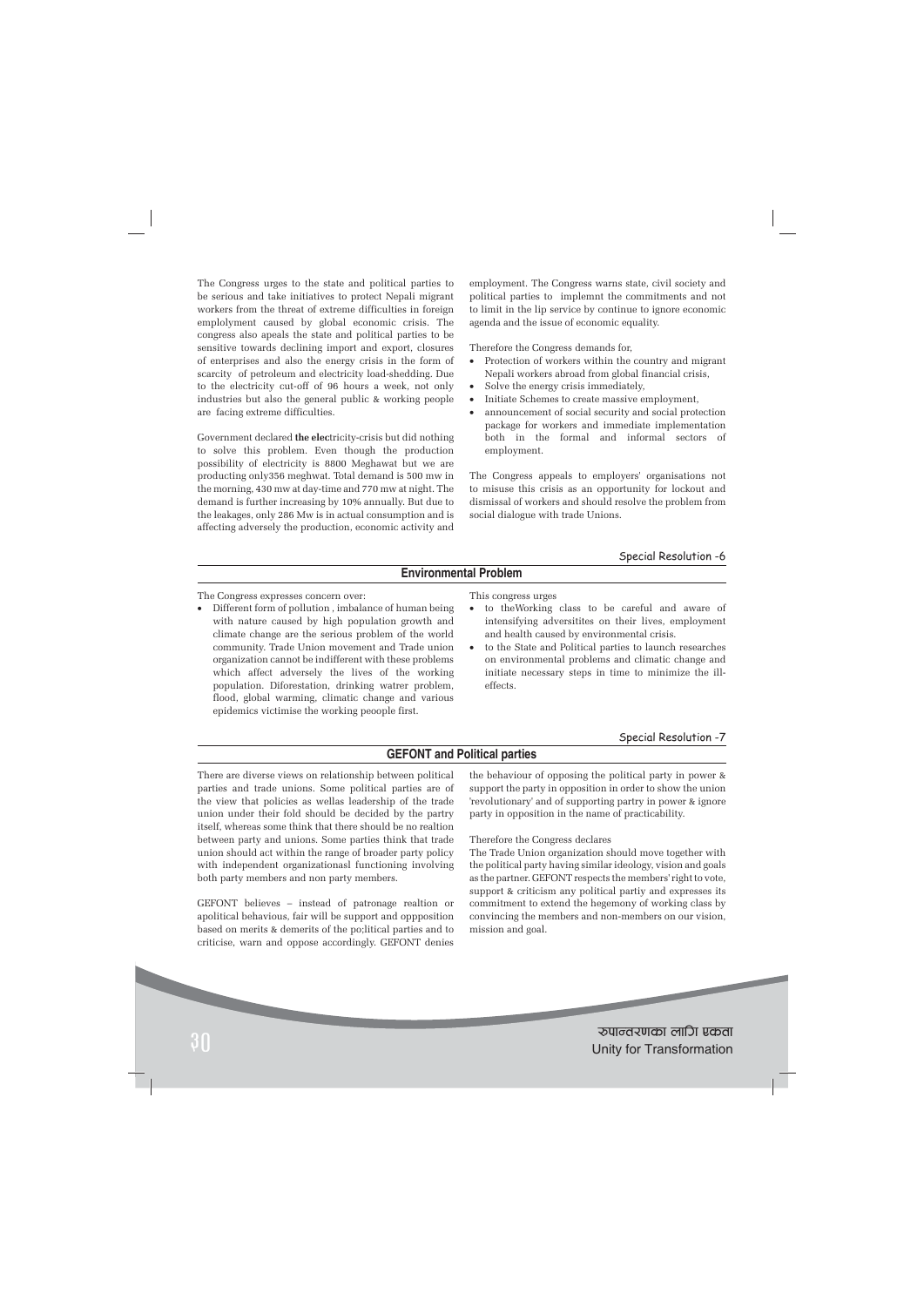The Congress urges to the state and political parties to be serious and take initiatives to protect Nepali migrant workers from the threat of extreme difficulties in foreign emplolyment caused by global economic crisis. The congress also apeals the state and political parties to be sensitive towards declining import and export, closures of enterprises and also the energy crisis in the form of scarcity of petroleum and electricity load-shedding. Due to the electricity cut-off of 96 hours a week, not only industries but also the general public & working people are facing extreme difficulties.

Government declared **the elec**tricity-crisis but did nothing to solve this problem. Even though the production possibility of electricity is 8800 Meghawat but we are producting only356 meghwat. Total demand is 500 mw in the morning, 430 mw at day-time and 770 mw at night. The demand is further increasing by 10% annually. But due to the leakages, only 286 Mw is in actual consumption and is affecting adversely the production, economic activity and employment. The Congress warns state, civil society and political parties to implemnt the commitments and not to limit in the lip service by continue to ignore economic agenda and the issue of economic equality.

Therefore the Congress demands for,

- Protection of workers within the country and migrant Nepali workers abroad from global financial crisis,
- Solve the energy crisis immediately,
- Initiate Schemes to create massive employment,
- announcement of social security and social protection package for workers and immediate implementation both in the formal and informal sectors of employment.

The Congress appeals to employers' organisations not to misuse this crisis as an opportunity for lockout and dismissal of workers and should resolve the problem from social dialogue with trade Unions.

#### Special Resolution -6

#### **Environmental Problem**

The Congress expresses concern over:

• Different form of pollution , imbalance of human being with nature caused by high population growth and climate change are the serious problem of the world community. Trade Union movement and Trade union organization cannot be indifferent with these problems which affect adversely the lives of the working population. Diforestation, drinking watrer problem, flood, global warming, climatic change and various epidemics victimise the working peoople first.

This congress urges

- to theWorking class to be careful and aware of intensifying adversitites on their lives, employment and health caused by environmental crisis.
- to the State and Political parties to launch researches on environmental problems and climatic change and initiate necessary steps in time to minimize the illeffects.

#### Special Resolution -7

#### **GEFONT and Political parties**

There are diverse views on relationship between political parties and trade unions. Some political parties are of the view that policies as wellas leadership of the trade union under their fold should be decided by the partry itself, whereas some think that there should be no realtion between party and unions. Some parties think that trade union should act within the range of broader party policy with independent organizationasl functioning involving both party members and non party members.

GEFONT believes – instead of patronage realtion or apolitical behavious, fair will be support and oppposition based on merits & demerits of the po;litical parties and to criticise, warn and oppose accordingly. GEFONT denies the behaviour of opposing the political party in power & support the party in opposition in order to show the union 'revolutionary' and of supporting partry in power & ignore party in opposition in the name of practicability.

Therefore the Congress declares

The Trade Union organization should move together with the political party having similar ideology, vision and goals as the partner. GEFONT respects the members' right to vote, support & criticism any political partiy and expresses its commitment to extend the hegemony of working class by convincing the members and non-members on our vision, mission and goal.

?kfGt/0fsf nflu Pstf <sup>30</sup> Unity for Transformation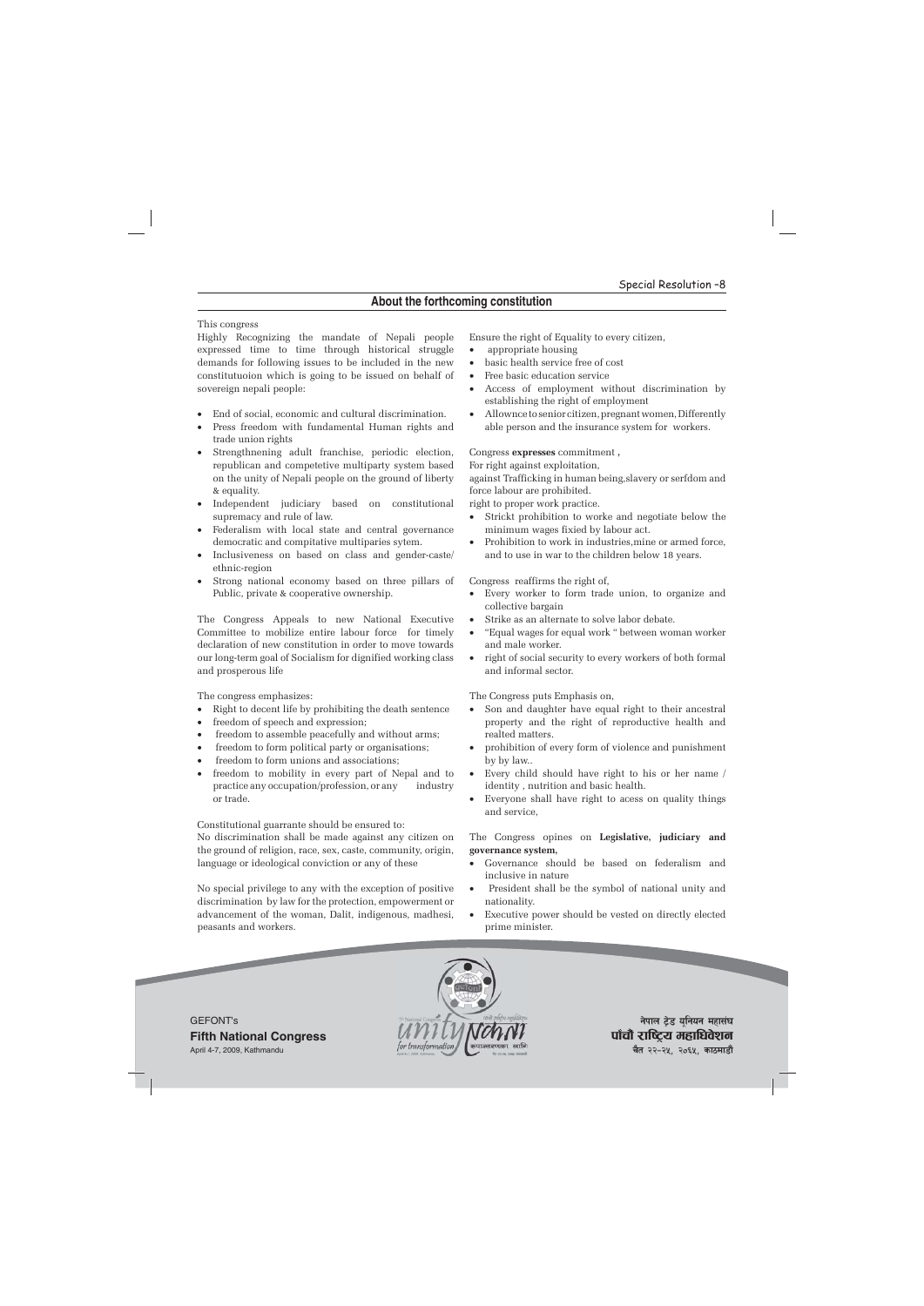#### This congress

Highly Recognizing the mandate of Nepali people expressed time to time through historical struggle demands for following issues to be included in the new constitutuoion which is going to be issued on behalf of sovereign nepali people:

- End of social, economic and cultural discrimination.
- Press freedom with fundamental Human rights and trade union rights
- Strengthnening adult franchise, periodic election, republican and competetive multiparty system based on the unity of Nepali people on the ground of liberty & equality.
- Independent judiciary based on constitutional supremacy and rule of law.
- Federalism with local state and central governance democratic and compitative multiparies sytem.
- Inclusiveness on based on class and gender-caste/ ethnic-region
- Strong national economy based on three pillars of Public, private & cooperative ownership.

The Congress Appeals to new National Executive Committee to mobilize entire labour force for timely declaration of new constitution in order to move towards our long-term goal of Socialism for dignified working class and prosperous life

The congress emphasizes:

- Right to decent life by prohibiting the death sentence
- freedom of speech and expression;
- freedom to assemble peacefully and without arms;
- freedom to form political party or organisations;
- freedom to form unions and associations;
- freedom to mobility in every part of Nepal and to practice any occupation/profession, or any industry or trade.

Constitutional guarrante should be ensured to: No discrimination shall be made against any citizen on the ground of religion, race, sex, caste, community, origin, language or ideological conviction or any of these

No special privilege to any with the exception of positive discrimination by law for the protection, empowerment or advancement of the woman, Dalit, indigenous, madhesi, peasants and workers.

Ensure the right of Equality to every citizen,

- appropriate housing
- basic health service free of cost
- Free basic education service
- Access of employment without discrimination by establishing the right of employment
- Allownce to senior citizen, pregnant women, Differently able person and the insurance system for workers.

#### Congress **expresses** commitment **,**

For right against exploitation,

against Trafficking in human being,slavery or serfdom and force labour are prohibited.

right to proper work practice.

- Strickt prohibition to worke and negotiate below the minimum wages fixied by labour act.
- Prohibition to work in industries,mine or armed force, and to use in war to the children below 18 years.

Congress reaffirms the right of,

- Every worker to form trade union, to organize and collective bargain
- Strike as an alternate to solve labor debate.
- "Equal wages for equal work " between woman worker and male worker.
- right of social security to every workers of both formal and informal sector.

The Congress puts Emphasis on,

- Son and daughter have equal right to their ancestral property and the right of reproductive health and realted matters.
- prohibition of every form of violence and punishment by by law..
- Every child should have right to his or her name / identity , nutrition and basic health.
- Everyone shall have right to acess on quality things and service,

The Congress opines on **Legislative, judiciary and governance system,**

- Governance should be based on federalism and inclusive in nature
- President shall be the symbol of national unity and nationality.
- Executive power should be vested on directly elected prime minister.





**नेपाल टेड यनियन महासंघ** पाँचौ राष्ट्रिय महाधिवेशन **चैत २२-२५, २०६५, काठमाडौं**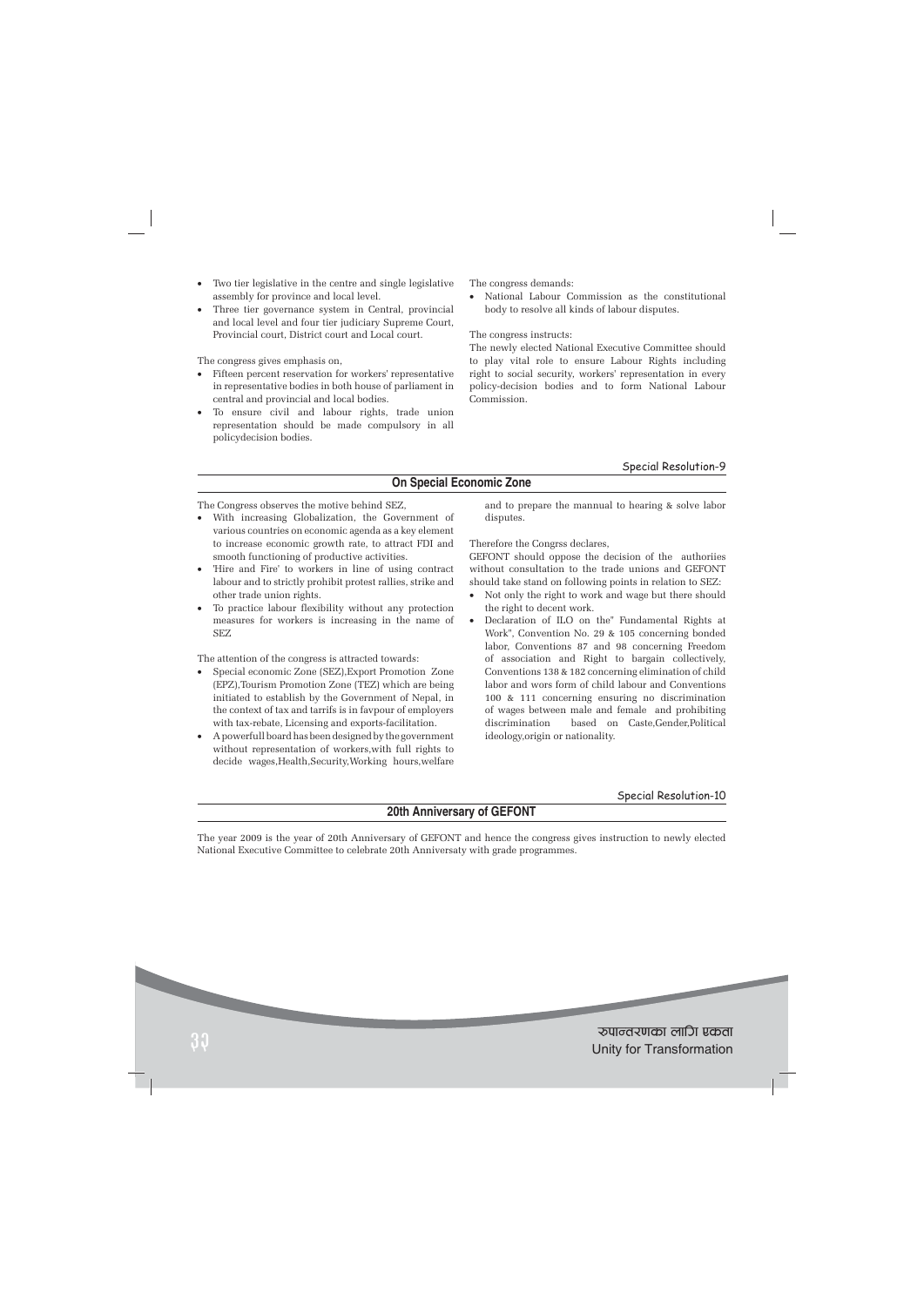- Two tier legislative in the centre and single legislative assembly for province and local level.
- Three tier governance system in Central, provincial and local level and four tier judiciary Supreme Court, Provincial court, District court and Local court.

The congress gives emphasis on,

- Fifteen percent reservation for workers' representative in representative bodies in both house of parliament in central and provincial and local bodies.
- To ensure civil and labour rights, trade union representation should be made compulsory in all policydecision bodies.

The congress demands:

• National Labour Commission as the constitutional body to resolve all kinds of labour disputes.

The congress instructs:

The newly elected National Executive Committee should to play vital role to ensure Labour Rights including right to social security, workers' representation in every policy-decision bodies and to form National Labour Commission.

#### Special Resolution-9

# **On Special Economic Zone**

The Congress observes the motive behind SEZ,

- With increasing Globalization, the Government of various countries on economic agenda as a key element to increase economic growth rate, to attract FDI and smooth functioning of productive activities.
- 'Hire and Fire' to workers in line of using contract labour and to strictly prohibit protest rallies, strike and other trade union rights.
- To practice labour flexibility without any protection measures for workers is increasing in the name of SEZ

The attention of the congress is attracted towards:

- Special economic Zone (SEZ),Export Promotion Zone (EPZ),Tourism Promotion Zone (TEZ) which are being initiated to establish by the Government of Nepal, in the context of tax and tarrifs is in favpour of employers with tax-rebate, Licensing and exports-facilitation.
- A powerfull board has been designed by the government without representation of workers,with full rights to decide wages,Health,Security,Working hours,welfare

and to prepare the mannual to hearing & solve labor disputes.

Therefore the Congrss declares,

GEFONT should oppose the decision of the authoriies without consultation to the trade unions and GEFONT should take stand on following points in relation to SEZ:

- Not only the right to work and wage but there should the right to decent work.
- Declaration of ILO on the" Fundamental Rights at Work", Convention No. 29 & 105 concerning bonded labor, Conventions 87 and 98 concerning Freedom of association and Right to bargain collectively, Conventions 138 & 182 concerning elimination of child labor and wors form of child labour and Conventions 100 & 111 concerning ensuring no discrimination of wages between male and female and prohibiting discrimination based on Caste,Gender,Political ideology,origin or nationality.

#### Special Resolution-10

# **20th Anniversary of GEFONT**

The year 2009 is the year of 20th Anniversary of GEFONT and hence the congress gives instruction to newly elected National Executive Committee to celebrate 20th Anniversaty with grade programmes.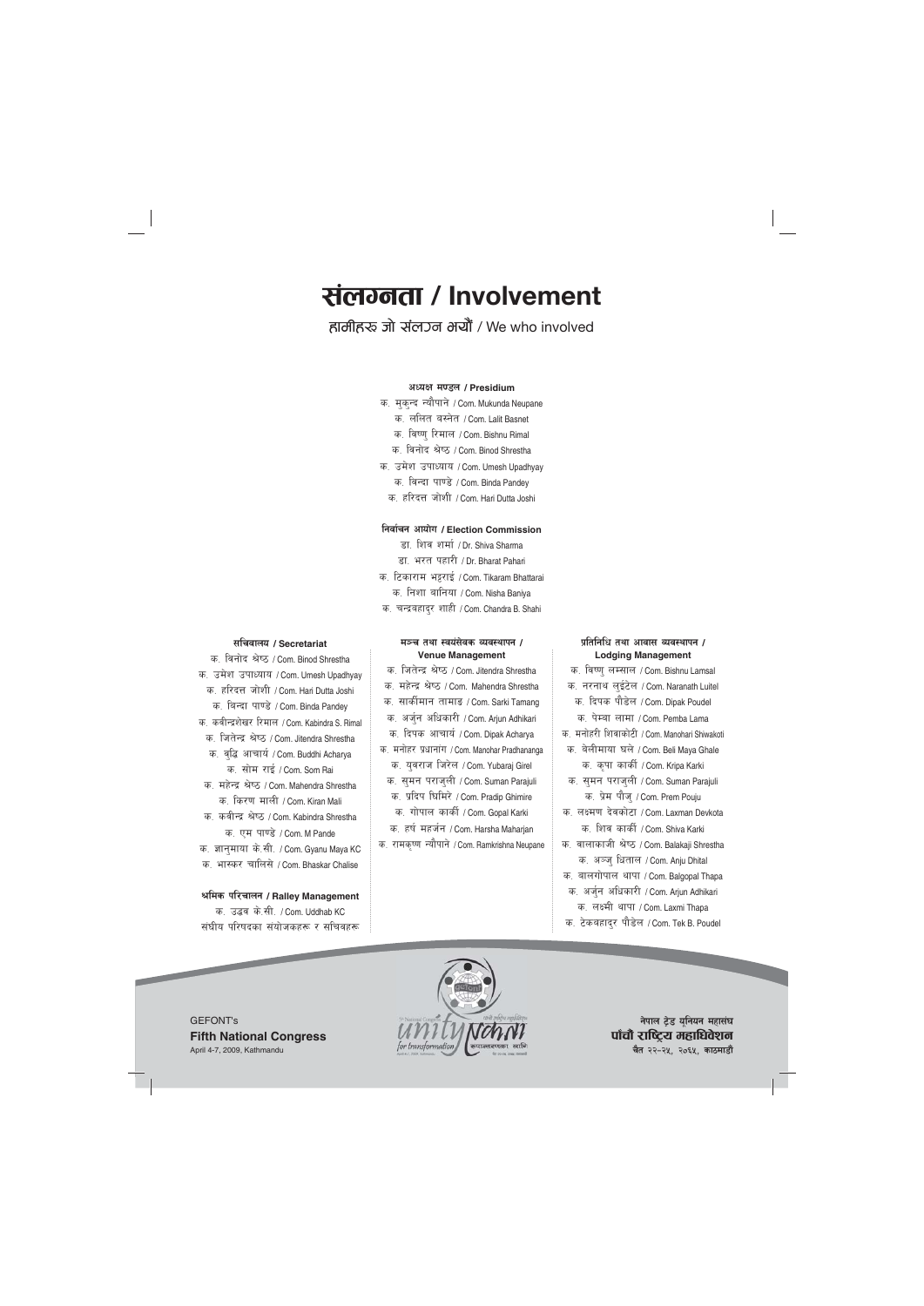# <u>संलग्नता / Involvement</u>

हामीहरू जो संलुञ्ज भयौं / We who involved

#### **cWoIf d08n / Presidium**

- क. मुक्न्द न्यौपाने / Com. Mukunda Neupane
	- क. ललित बस्नेत / Com. Lalit Basnet
	- क. विष्णु रिमाल / Com. Bishnu Rimal
	- क. विनोद श्रेष्ठ / Com. Binod Shrestha
- क. उमेश उपाध्याय / Com. Umesh Upadhyay क. विन्दा पाण्डे / Com. Binda Pandey
	- क. हरिदत्त जोशी / Com. Hari Dutta Joshi

#### **lgjf{rg cfof]u / Election Commission**

- डा. शिव शर्मा / Dr. Shiva Sharma
- डा. भरत पहारी / Dr. Bharat Pahari क. टिकाराम भट्टराई / Com. Tikaram Bhattarai
	- क. निशा बानिया / Com. Nisha Baniya
- क. चन्द्रबहाद्र शाही / Com. Chandra B. Shahi

#### **;lrjfno / Secretariat**

क. विनोद श्रेष्ठ / Com. Binod Shrestha क. उमेश उपाध्याय / Com. Umesh Upadhyay क. हरिदत्त जोशी / Com. Hari Dutta Joshi क. बिन्दा पाण्डे / Com. Binda Pandey क, कवीन्द्रशेखर रिमाल / Com. Kabindra S. Rimal क. जितेन्द्र श्रेष्ठ / Com. Jitendra Shrestha क. वृद्धि आचार्य / Com. Buddhi Acharya क, सोम राई / Com. Som Rai क. महेन्द्र श्रेष्ठ / Com. Mahendra Shrestha क, किरण माली / Com. Kiran Mali क, कवीन्द्र श्रेष्ठ / Com. Kabindra Shrestha क. एम पाण्डे / Com. M Pande क. ज्ञान्**माया के.सी. / Com. Gyanu Maya KC** क. भास्कर चालिसे / Com. Bhaskar Chalise

#### **>lds kl/rfng / Ralley Management**

क. उद्धव के.सी. / Com. Uddhab KC संघीय परिषदका संयोजकहरू र सचिवहरू

## **d~r tyf :jo+;]js Joj:yfkg / Venue Management**

- क. जितेन्द्र श्रेष्ठ / Com. Jitendra Shrestha
- क, महेन्द्र श्रेष्ठ / Com. Mahendra Shrestha
- क. सार्कीमान तामाङ / Com. Sarki Tamang
- क. अर्जुन अधिकारी / Com. Arjun Adhikari
- क. दिपक आचार्य / Com. Dipak Acharya
- क. मनोहर प्रधानांग / Com. Manohar Pradhananga क. युवराज जिरेल / Com. Yubaraj Girel
	- क. समन पराज्ली / Com. Suman Parajuli
	- क. प्रदिप घिमिरे / Com. Pradip Ghimire
	- क. गोपाल कार्की / Com. Gopal Karki
- क. हर्ष महर्जन / Com. Harsha Maharjan
- क. रामकृष्ण न्यौपाने / Com. Ramkrishna Neupane

#### **k|ltlglw tyf cfjf; Joj:yfkg / Lodging Management**

- क. विष्ण् लम्साल / Com. Bishnu Lamsal
- क. नरनाथ लुईटेल / Com. Naranath Luitel क. दिपक पौडेल / Com. Dipak Poudel
	- क. पेम्बा लामा / Com. Pemba Lama
- क, मनोहरी शिवाकोटी / Com. Manohari Shiwakoti
- क. बेलीमाया घले / Com. Beli Maya Ghale क. कृपा कार्की / Com. Kripa Karki
- क. समन पराज्ली / Com. Suman Parajuli क. प्रेम पौजु / Com. Prem Pouju
- क, लक्ष्मण देवकोटा / Com. Laxman Devkota क, शिव कार्की / Com. Shiva Karki
- क. वालाकाजी श्रेष्ठ / Com. Balakaji Shrestha क. अञ्ज् धिताल / Com. Anju Dhital
- क. बालगोपाल थापा / Com. Balgopal Thapa
- क. अर्जुन अधिकारी / Com. Arjun Adhikari
	- क. लक्ष्मी थापा / Com. Laxmi Thapa
- क. टेकबहाद्र पौडेल / Com. Tek B. Poudel

GEFONT's **Fifth National Congress** April 4-7, 2009, Kathmandu



**नेपाल ट्रेड यूनियन महासंघ** पाँचौ राष्ट्रिय महाधिवेशन **चैत २२-२५, २०६५, काठमाडौं**